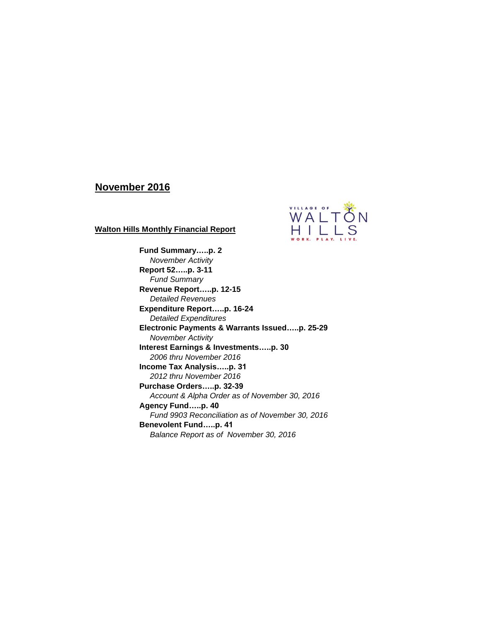## **November 2016**



**Walton Hills Monthly Financial Report**

**Fund Summary…..p. 2**

*November Activity* **Report 52…..p. 3-11** *Fund Summary* **Revenue Report…..p. 12-15** *Detailed Revenues* **Expenditure Report…..p. 16-24**  *Detailed Expenditures* **Electronic Payments & Warrants Issued…..p. 25-29** *November Activity* **Interest Earnings & Investments…..p. 30** *2006 thru November 2016* **Income Tax Analysis…..p. 31** *2012 thru November 2016* **Purchase Orders…..p. 32-39** *Account & Alpha Order as of November 30, 2016* **Agency Fund…..p. 40** *Fund 9903 Reconciliation as of November 30, 2016* **Benevolent Fund…..p. 41** *Balance Report as of November 30, 2016*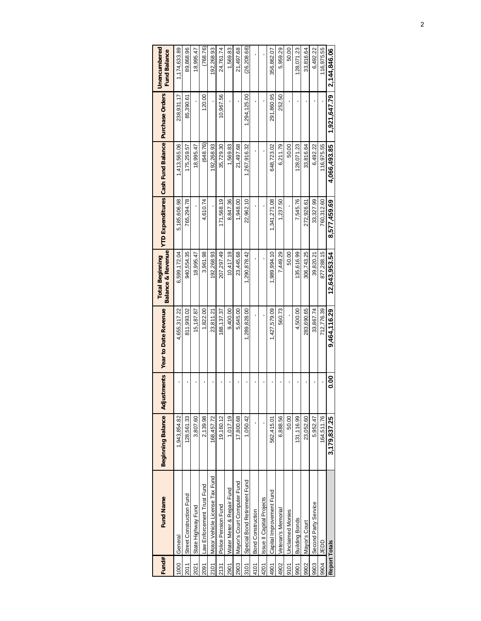| Fund#         | <b>Fund Name</b>               | <b>Beginning Balance</b> | stments<br>Adjus | <b>Year to Date Revenue</b> | <b>Balance &amp; Revenue</b><br><b>Total Beginning</b> |              | YTD Expenditures Cash Fund Balance Purchase Orders |              | <b>Jnencumbered</b><br><b>Fund Balance</b> |
|---------------|--------------------------------|--------------------------|------------------|-----------------------------|--------------------------------------------------------|--------------|----------------------------------------------------|--------------|--------------------------------------------|
| 1000          | General                        | ,943,854.82              |                  | 4,655,317.22                | 6,599,172.04                                           | 5,185,606.98 | 1,413,565.06                                       | 238,931.17   | 1,174,633.89                               |
| 2011          | Street Construction Fund       | 128,561.33               |                  | 811,993.02                  | 940,554.35                                             | 765,294.78   | 175,259.57                                         | 85,390.61    | 89,868.96                                  |
| 2021          | State Highway Fund             | 3,807.60                 |                  | 15,187.87                   | 18,995.47                                              |              | 18,995.47                                          |              | 18,995.47                                  |
| 2091          | Law Enforcement Trust Fund     | 2,139.98                 |                  | 1,822.00                    | 3,961.98                                               | 4,610.74     | (648.76)                                           | 120.00       | (768.76)                                   |
| 2101          | Motor Vehicle License Tax Fund | 168,457.72               |                  | 23,811.21                   | 92,268.93                                              |              | 192,268.93                                         |              | 192,268.93                                 |
| 2131          | Police Pension Fund            | 19,160.12                |                  | 88,137.37                   | 207.297.49                                             | 171,568.19   | 35,729.30                                          | 10,967.56    | 24,761.74                                  |
| 2901          | Water Meter & Repair Fund      | 1,017.19                 |                  | 9,400.00                    | 10,417.19                                              | 8,847.36     | 1,569.83                                           |              | 1,569.83                                   |
| 2903          | Mayor's Court Computer Fund    | 17,800.68                | 1                | 5,645.00                    | 23,445.68                                              | 1,948.00     | 21,497.68                                          |              | 21,497.68                                  |
| 3101          | Special Bond Retirement Fund   | 1,050.42                 |                  | 1,289,828.00                | 1,290,878.42                                           | 22,962.10    | 1,267,916.32                                       | 1,294,125.00 | (26, 208.68)                               |
| 4101          | <b>Bond Construction</b>       |                          |                  |                             |                                                        |              |                                                    |              |                                            |
| 4201          | Issue II Capital Projects      |                          |                  |                             |                                                        |              |                                                    |              |                                            |
| 4901          | Capital Improvement Fund       | 562,415.01               |                  | 1,427,579.09                | ,989,994.10                                            | .341,271.08  | 648,723.02                                         | 291,860.95   | 356,862.07                                 |
| 4902          | Veteran's Memorial             | 6,888.56                 | ı                | 560.73                      | 7,449.29                                               | 1,237.50     | 6,211.79                                           | 252.50       | 5,959.29                                   |
| 9101          | <b>Unclaimed Monies</b>        | 50.00                    |                  |                             | 50.00                                                  |              | 50.00                                              |              | 50.00                                      |
| 9901          | <b>Building Bonds</b>          | 131, 116.99              |                  | 4,500.00                    | 135,616.99                                             | 7,545.76     | 128,071.23                                         |              | 128,071.23                                 |
| 9902          | Mayor's Court                  | 23,052.60                |                  | 283,690.65                  | 306,743.25                                             | 272,926.61   | 33,816.64                                          |              | 33,816.64                                  |
| 9903          | Second Party Service           | 5,952.47                 |                  | 33,867.74                   | 39,820.21                                              | 33,327.99    | 6,492.22                                           |              | 6,492.22                                   |
| 9904          | <b>UEDD</b>                    | 164,511.76               |                  | 712,776.39                  | 877,288.15                                             | 760,312.60   | 116,975.55                                         |              | 116,975.55                                 |
| Report Totals |                                | 3,179,837.25             | <b>80.0</b>      | 9,464,116.29                | 12,643,953.54                                          | 8.577.459.69 | 4,066,493.85                                       | 1,921,647.79 | 2,144,846.06                               |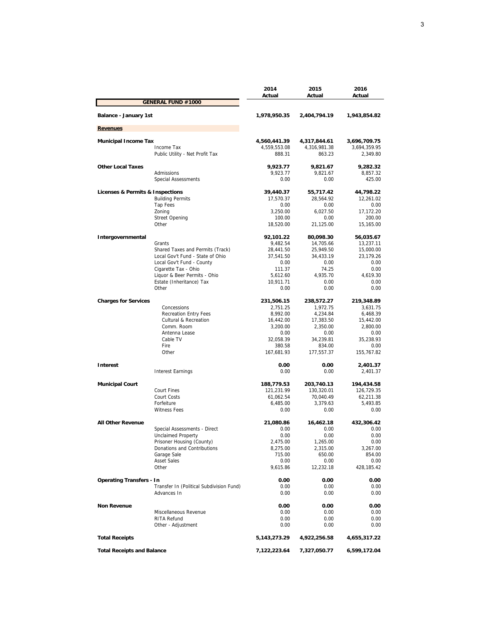|                                                       | 2014                         | 2015                         | 2016                         |
|-------------------------------------------------------|------------------------------|------------------------------|------------------------------|
| <b>GENERAL FUND #1000</b>                             | Actual                       | Actual                       | Actual                       |
|                                                       |                              |                              |                              |
| Balance - January 1st                                 | 1,978,950.35                 | 2,404,794.19                 | 1,943,854.82                 |
| <b>Revenues</b>                                       |                              |                              |                              |
|                                                       |                              |                              |                              |
| <b>Municipal Income Tax</b><br>Income Tax             | 4,560,441.39<br>4,559,553.08 | 4,317,844.61<br>4,316,981.38 | 3,696,709.75<br>3,694,359.95 |
| Public Utility - Net Profit Tax                       | 888.31                       | 863.23                       | 2,349.80                     |
|                                                       |                              |                              |                              |
| <b>Other Local Taxes</b>                              | 9,923.77                     | 9,821.67                     | 9,282.32                     |
| <b>Admissions</b>                                     | 9,923.77                     | 9,821.67                     | 8,857.32                     |
| <b>Special Assessments</b>                            | 0.00                         | 0.00                         | 425.00                       |
| <b>Licenses &amp; Permits &amp; Inspections</b>       | 39,440.37                    | 55,717.42                    | 44,798.22                    |
| <b>Building Permits</b>                               | 17,570.37                    | 28,564.92                    | 12,261.02                    |
| <b>Tap Fees</b>                                       | 0.00                         | 0.00                         | 0.00                         |
| Zoning                                                | 3,250.00                     | 6,027.50                     | 17,172.20                    |
| <b>Street Opening</b><br>Other                        | 100.00                       | 0.00<br>21,125.00            | 200.00                       |
|                                                       | 18,520.00                    |                              | 15,165.00                    |
| Intergovernmental                                     | 92,101.22                    | 80,098.30                    | 56,035.67                    |
| Grants                                                | 9,482.54                     | 14.705.66                    | 13,237.11                    |
| Shared Taxes and Permits (Track)                      | 28,441.50                    | 25,949.50                    | 15,000.00                    |
| Local Gov't Fund - State of Ohio                      | 37,541.50                    | 34,433.19                    | 23,179.26                    |
| Local Gov't Fund - County                             | 0.00                         | 0.00                         | 0.00                         |
| Cigarette Tax - Ohio<br>Liquor & Beer Permits - Ohio  | 111.37<br>5,612.60           | 74.25<br>4,935.70            | 0.00<br>4,619.30             |
| Estate (Inheritance) Tax                              | 10,911.71                    | 0.00                         | 0.00                         |
| Other                                                 | 0.00                         | 0.00                         | 0.00                         |
|                                                       |                              |                              |                              |
| <b>Charges for Services</b>                           | 231,506.15                   | 238,572.27                   | 219,348.89                   |
| Concessions                                           | 2,751.25                     | 1,972.75                     | 3,631.75                     |
| <b>Recreation Entry Fees</b><br>Cultural & Recreation | 8,992.00<br>16,442.00        | 4,234.84<br>17,383.50        | 6,468.39<br>15,442.00        |
| Comm. Room                                            | 3,200.00                     | 2,350.00                     | 2,800.00                     |
| Antenna Lease                                         | 0.00                         | 0.00                         | 0.00                         |
| Cable TV                                              | 32,058.39                    | 34,239.81                    | 35,238.93                    |
| Fire                                                  | 380.58                       | 834.00                       | 0.00                         |
| Other                                                 | 167,681.93                   | 177,557.37                   | 155,767.82                   |
| <b>Interest</b>                                       | 0.00                         | 0.00                         | 2,401.37                     |
| <b>Interest Earnings</b>                              | 0.00                         | 0.00                         | 2,401.37                     |
|                                                       |                              |                              |                              |
| <b>Municipal Court</b>                                | 188,779.53                   | 203,740.13                   | 194,434.58                   |
| <b>Court Fines</b>                                    | 121,231.99                   | 130,320.01                   | 126,729.35                   |
| Court Costs                                           | 61,062.54                    | 70,040.49                    | 62,211.38                    |
| Forfeiture<br><b>Witness Fees</b>                     | 6,485.00<br>0.00             | 3,379.63<br>0.00             | 5,493.85<br>0.00             |
|                                                       |                              |                              |                              |
| <b>All Other Revenue</b>                              | 21,080.86                    | 16,462.18                    | 432.306.42                   |
| Special Assessments - Direct                          | 0.00                         | 0.00                         | 0.00                         |
| Unclaimed Property                                    | 0.00                         | 0.00                         | 0.00                         |
| Prisoner Housing (County)                             | 2,475.00                     | 1,265.00                     | 0.00                         |
| Donations and Contributions<br>Garage Sale            | 8,275.00<br>715.00           | 2,315.00<br>650.00           | 3,267.00<br>854.00           |
| <b>Asset Sales</b>                                    | 0.00                         | 0.00                         | 0.00                         |
| Other                                                 | 9,615.86                     | 12,232.18                    | 428,185.42                   |
|                                                       |                              |                              |                              |
| <b>Operating Transfers - In</b>                       | 0.00                         | 0.00                         | 0.00                         |
| Transfer In (Political Subdivision Fund)              | 0.00                         | 0.00                         | 0.00                         |
| Advances In                                           | 0.00                         | 0.00                         | 0.00                         |
| <b>Non Revenue</b>                                    | 0.00                         | 0.00                         | 0.00                         |
| Miscellaneous Revenue                                 | 0.00                         | 0.00                         | 0.00                         |
| RITA Refund                                           | 0.00                         | 0.00                         | 0.00                         |
| Other - Adjustment                                    | 0.00                         | 0.00                         | 0.00                         |
| <b>Total Receipts</b>                                 | 5, 143, 273. 29              | 4,922,256.58                 | 4,655,317.22                 |
| <b>Total Receipts and Balance</b>                     | 7,122,223.64                 | 7,327,050.77                 | 6,599,172.04                 |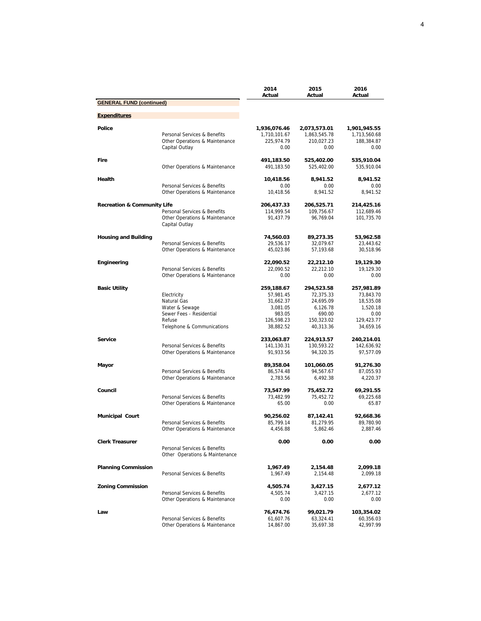|                                        |                                                                | 2014<br>Actual          | 2015                    | 2016<br>Actual          |
|----------------------------------------|----------------------------------------------------------------|-------------------------|-------------------------|-------------------------|
| <b>GENERAL FUND (continued)</b>        |                                                                |                         | Actual                  |                         |
|                                        |                                                                |                         |                         |                         |
| <b>Expenditures</b>                    |                                                                |                         |                         |                         |
| Police                                 |                                                                | 1,936,076.46            | 2,073,573.01            | 1,901,945.55            |
|                                        | Personal Services & Benefits                                   | 1,710,101.67            | 1,863,545.78            | 1,713,560.68            |
|                                        | Other Operations & Maintenance                                 | 225,974.79              | 210,027.23              | 188,384.87              |
|                                        | Capital Outlay                                                 | 0.00                    | 0.00                    | 0.00                    |
| Fire                                   |                                                                | 491,183.50              | 525,402.00              | 535,910.04              |
|                                        | Other Operations & Maintenance                                 | 491,183.50              | 525,402.00              | 535,910.04              |
| Health                                 |                                                                | 10,418.56               | 8,941.52                | 8,941.52                |
|                                        | Personal Services & Benefits                                   | 0.00                    | 0.00                    | 0.00                    |
|                                        | Other Operations & Maintenance                                 | 10,418.56               | 8,941.52                | 8,941.52                |
| <b>Recreation &amp; Community Life</b> |                                                                | 206,437.33              | 206,525.71              | 214,425.16              |
|                                        | Personal Services & Benefits                                   | 114,999.54              | 109,756.67              | 112,689.46              |
|                                        | Other Operations & Maintenance<br>Capital Outlay               | 91,437.79               | 96,769.04               | 101,735.70              |
| <b>Housing and Building</b>            |                                                                | 74,560.03               | 89,273.35               | 53,962.58               |
|                                        | Personal Services & Benefits                                   | 29,536.17               | 32,079.67               | 23.443.62               |
|                                        | Other Operations & Maintenance                                 | 45,023.86               | 57,193.68               | 30,518.96               |
| Engineering                            |                                                                | 22,090.52               | 22,212.10               | 19,129.30               |
|                                        | Personal Services & Benefits                                   | 22,090.52               | 22,212.10               | 19,129.30               |
|                                        | Other Operations & Maintenance                                 | 0.00                    | 0.00                    | 0.00                    |
| <b>Basic Utility</b>                   |                                                                | 259,188.67              | 294,523.58              | 257,981.89              |
|                                        | Electricity                                                    | 57,981.45               | 72,375.33               | 73,843.70               |
|                                        | Natural Gas                                                    | 31,662.37               | 24,695.09               | 18,535.08               |
|                                        | Water & Sewage                                                 | 3,081.05                | 6,126.78                | 1,520.18                |
|                                        | Sewer Fees - Residential                                       | 983.05                  | 690.00                  | 0.00                    |
|                                        | Refuse<br>Telephone & Communications                           | 126,598.23<br>38,882.52 | 150,323.02<br>40,313.36 | 129,423.77<br>34,659.16 |
|                                        |                                                                |                         |                         |                         |
| <b>Service</b>                         | Personal Services & Benefits                                   | 233,063.87              | 224,913.57              | 240,214.01              |
|                                        | Other Operations & Maintenance                                 | 141,130.31<br>91,933.56 | 130,593.22<br>94,320.35 | 142,636.92<br>97,577.09 |
|                                        |                                                                |                         |                         |                         |
| Mayor                                  |                                                                | 89,358.04               | 101,060.05              | 91,276.30               |
|                                        | Personal Services & Benefits<br>Other Operations & Maintenance | 86,574.48<br>2,783.56   | 94,567.67<br>6,492.38   | 87,055.93<br>4,220.37   |
|                                        |                                                                |                         |                         |                         |
| Council                                |                                                                | 73,547.99               | 75,452.72               | 69,291.55               |
|                                        | Personal Services & Benefits<br>Other Operations & Maintenance | 73,482.99<br>65.00      | 75,452.72<br>0.00       | 69,225.68<br>65.87      |
|                                        |                                                                |                         |                         |                         |
| <b>Municipal Court</b>                 | Personal Services & Benefits                                   | 90,256.02               | 87,142.41               | 92,668.36               |
|                                        | Other Operations & Maintenance                                 | 85,799.14<br>4,456.88   | 81,279.95<br>5.862.46   | 89,780.90<br>2,887.46   |
|                                        |                                                                |                         |                         |                         |
| <b>Clerk Treasurer</b>                 | Personal Services & Benefits                                   | 0.00                    | 0.00                    | 0.00                    |
|                                        | Other Operations & Maintenance                                 |                         |                         |                         |
|                                        |                                                                |                         |                         |                         |
| <b>Planning Commission</b>             | Personal Services & Benefits                                   | 1,967.49                | 2,154.48                | 2,099.18                |
|                                        |                                                                | 1,967.49                | 2,154.48                | 2,099.18                |
| <b>Zoning Commission</b>               |                                                                | 4,505.74                | 3,427.15                | 2,677.12                |
|                                        | Personal Services & Benefits                                   | 4,505.74                | 3,427.15                | 2,677.12                |
|                                        | Other Operations & Maintenance                                 | 0.00                    | 0.00                    | 0.00                    |
| Law                                    |                                                                | 76,474.76               | 99,021.79               | 103,354.02              |
|                                        | Personal Services & Benefits                                   | 61,607.76               | 63,324.41               | 60,356.03               |
|                                        | Other Operations & Maintenance                                 | 14,867.00               | 35,697.38               | 42,997.99               |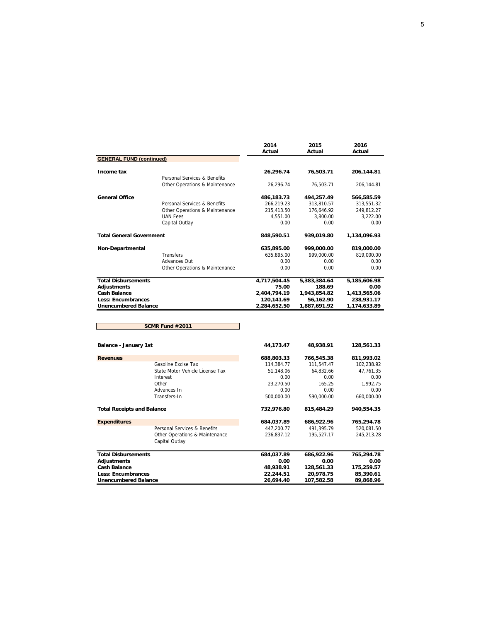|                                   |                                                                | 2014<br>Actual | 2015<br>Actual | 2016<br>Actual |
|-----------------------------------|----------------------------------------------------------------|----------------|----------------|----------------|
| <b>GENERAL FUND (continued)</b>   |                                                                |                |                |                |
| Income tax                        |                                                                | 26,296.74      | 76,503.71      | 206,144.81     |
|                                   | Personal Services & Benefits<br>Other Operations & Maintenance | 26,296.74      | 76,503.71      | 206,144.81     |
|                                   |                                                                |                |                |                |
| <b>General Office</b>             |                                                                | 486,183.73     | 494,257.49     | 566,585.59     |
|                                   | Personal Services & Benefits                                   | 266,219.23     | 313,810.57     | 313,551.32     |
|                                   | Other Operations & Maintenance                                 | 215,413.50     | 176,646.92     | 249,812.27     |
|                                   | <b>UAN Fees</b>                                                | 4,551.00       | 3,800.00       | 3,222.00       |
|                                   | Capital Outlay                                                 | 0.00           | 0.00           | 0.00           |
| <b>Total General Government</b>   |                                                                | 848,590.51     | 939,019.80     | 1,134,096.93   |
| Non-Departmental                  |                                                                | 635,895.00     | 999,000.00     | 819,000.00     |
|                                   | <b>Transfers</b>                                               | 635,895.00     | 999,000.00     | 819,000.00     |
|                                   | Advances Out                                                   | 0.00           | 0.00           | 0.00           |
|                                   | Other Operations & Maintenance                                 | 0.00           | 0.00           | 0.00           |
| <b>Total Disbursements</b>        |                                                                | 4,717,504.45   | 5,383,384.64   | 5,185,606.98   |
| <b>Adjustments</b>                |                                                                | 75.00          | 188.69         | 0.00           |
| <b>Cash Balance</b>               |                                                                | 2,404,794.19   | 1,943,854.82   | 1,413,565.06   |
| <b>Less: Encumbrances</b>         |                                                                | 120,141.69     | 56,162.90      | 238,931.17     |
| <b>Unencumbered Balance</b>       |                                                                | 2,284,652.50   | 1,887,691.92   | 1,174,633.89   |
|                                   |                                                                |                |                |                |
|                                   | SCMR Fund #2011                                                |                |                |                |
| Balance - January 1st             |                                                                | 44,173.47      | 48,938.91      | 128,561.33     |
| <b>Revenues</b>                   |                                                                | 688,803.33     | 766,545.38     | 811,993.02     |
|                                   | Gasoline Excise Tax                                            | 114,384.77     | 111,547.47     | 102,238.92     |
|                                   | State Motor Vehicle License Tax                                | 51.148.06      | 64.832.66      | 47.761.35      |
|                                   | Interest                                                       | 0.00           | 0.00           | 0.00           |
|                                   | Other                                                          | 23.270.50      | 165.25         | 1,992.75       |
|                                   | Advances In                                                    | 0.00           | 0.00           | 0.00           |
|                                   | Transfers-In                                                   | 500,000.00     | 590,000.00     | 660,000.00     |
| <b>Total Receipts and Balance</b> |                                                                | 732,976.80     | 815,484.29     | 940,554.35     |
| <b>Expenditures</b>               |                                                                | 684,037.89     | 686,922.96     | 765,294.78     |
|                                   | Personal Services & Benefits                                   | 447,200.77     | 491,395.79     | 520,081.50     |
|                                   | Other Operations & Maintenance<br>Capital Outlay               | 236,837.12     | 195,527.17     | 245,213.28     |

|                             | Personal Services & Benefits<br>Other Operations & Maintenance<br>Capital Outlay | 447.200.77<br>236.837.12 | 491.395.79<br>195.527.17 | 520.081.50<br>245.213.28 |
|-----------------------------|----------------------------------------------------------------------------------|--------------------------|--------------------------|--------------------------|
| <b>Total Disbursements</b>  |                                                                                  | 684.037.89               | 686.922.96               | 765,294.78               |
| Adjustments                 |                                                                                  | 0.00                     | 0.00                     | 0.00                     |
| <b>Cash Balance</b>         |                                                                                  | 48.938.91                | 128.561.33               | 175.259.57               |
| <b>Less: Encumbrances</b>   |                                                                                  | 22.244.51                | 20.978.75                | 85,390.61                |
| <b>Unencumbered Balance</b> |                                                                                  | 26.694.40                | 107.582.58               | 89.868.96                |

**Unencumbered Balance 26,694.40 107,582.58 89,868.96**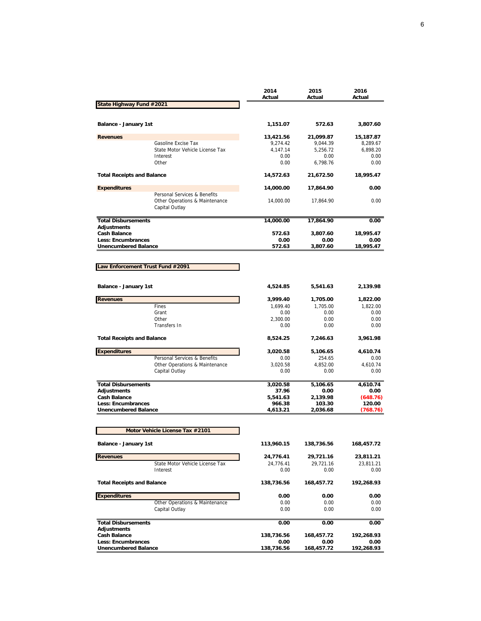|                                                  |                                                                                  | 2014<br>Actual | 2015<br>Actual        | 2016<br>Actual |
|--------------------------------------------------|----------------------------------------------------------------------------------|----------------|-----------------------|----------------|
| <b>State Highway Fund #2021</b>                  |                                                                                  |                |                       |                |
| <b>Balance - January 1st</b>                     |                                                                                  | 1,151.07       | 572.63                | 3,807.60       |
| <b>Revenues</b>                                  |                                                                                  | 13,421.56      | 21,099.87             | 15,187.87      |
|                                                  | Gasoline Excise Tax                                                              | 9,274.42       | 9,044.39              | 8,289.67       |
|                                                  | State Motor Vehicle License Tax                                                  | 4,147.14       | 5,256.72              | 6,898.20       |
|                                                  | Interest                                                                         | 0.00           | 0.00                  | 0.00           |
|                                                  | Other                                                                            | 0.00           | 6,798.76              | 0.00           |
| <b>Total Receipts and Balance</b>                |                                                                                  | 14,572.63      | 21,672.50             | 18,995.47      |
| <b>Expenditures</b>                              |                                                                                  | 14,000.00      | 17,864.90             | 0.00           |
|                                                  | Personal Services & Benefits<br>Other Operations & Maintenance<br>Capital Outlay | 14,000.00      | 17,864.90             | 0.00           |
| <b>Total Disbursements</b>                       |                                                                                  | 14,000.00      | 17,864.90             | 0.00           |
| <b>Adjustments</b>                               |                                                                                  |                |                       |                |
| <b>Cash Balance</b>                              |                                                                                  | 572.63         | 3,807.60              | 18,995.47      |
| <b>Less: Encumbrances</b>                        |                                                                                  | 0.00           | 0.00                  | 0.00           |
| <b>Unencumbered Balance</b>                      |                                                                                  | 572.63         | 3,807.60              | 18,995.47      |
| Law Enforcement Trust Fund #2091                 |                                                                                  |                |                       |                |
|                                                  |                                                                                  |                |                       |                |
| Balance - January 1st                            |                                                                                  | 4,524.85       | 5,541.63              | 2,139.98       |
| <b>Revenues</b>                                  |                                                                                  | 3,999.40       | 1,705.00              | 1,822.00       |
|                                                  | Fines                                                                            | 1,699.40       | 1,705.00              | 1,822.00       |
|                                                  | Grant                                                                            | 0.00           | 0.00                  | 0.00           |
|                                                  | Other                                                                            | 2,300.00       | 0.00                  | 0.00           |
|                                                  | Transfers In                                                                     | 0.00           | 0.00                  | 0.00           |
| <b>Total Receipts and Balance</b>                |                                                                                  | 8,524.25       | 7,246.63              | 3,961.98       |
| <b>Expenditures</b>                              |                                                                                  | 3,020.58       | 5,106.65              | 4,610.74       |
|                                                  | Personal Services & Benefits                                                     | 0.00           | 254.65                | 0.00           |
|                                                  | Other Operations & Maintenance                                                   | 3,020.58       | 4,852.00              | 4,610.74       |
|                                                  | Capital Outlay                                                                   | 0.00           | 0.00                  | 0.00           |
| <b>Total Disbursements</b>                       |                                                                                  | 3,020.58       | $\overline{5,}106.65$ | 4,610.74       |
| <b>Adjustments</b>                               |                                                                                  | 37.96          | 0.00                  | 0.00           |
| <b>Cash Balance</b>                              |                                                                                  | 5,541.63       | 2,139.98              | (648.76)       |
| <b>Less: Encumbrances</b>                        |                                                                                  | 966.38         | 103.30                | 120.00         |
| <b>Unencumbered Balance</b>                      |                                                                                  | 4,613.21       | 2,036.68              | (768.76)       |
|                                                  | Motor Vehicle License Tax #2101                                                  |                |                       |                |
|                                                  |                                                                                  |                |                       |                |
| Balance - January 1st                            |                                                                                  | 113,960.15     | 138,736.56            | 168,457.72     |
| <b>Revenues</b>                                  |                                                                                  | 24,776.41      | 29,721.16             | 23,811.21      |
|                                                  | State Motor Vehicle License Tax                                                  | 24,776.41      | 29,721.16             | 23,811.21      |
|                                                  | Interest                                                                         | 0.00           | 0.00                  | 0.00           |
| <b>Total Receipts and Balance</b>                |                                                                                  | 138,736.56     | 168,457.72            | 192,268.93     |
| <b>Expenditures</b>                              |                                                                                  | 0.00           | 0.00                  | 0.00           |
|                                                  | Other Operations & Maintenance<br>Capital Outlay                                 | 0.00<br>0.00   | 0.00<br>0.00          | 0.00<br>0.00   |
|                                                  |                                                                                  |                |                       |                |
| <b>Total Disbursements</b><br><b>Adjustments</b> |                                                                                  | 0.00           | 0.00                  | 0.00           |
| <b>Cash Balance</b>                              |                                                                                  | 138,736.56     | 168,457.72            | 192,268.93     |
| Less: Encumbrances                               |                                                                                  | 0.00           | 0.00                  | 0.00           |
| <b>Unencumbered Balance</b>                      |                                                                                  | 138,736.56     | 168,457.72            | 192,268.93     |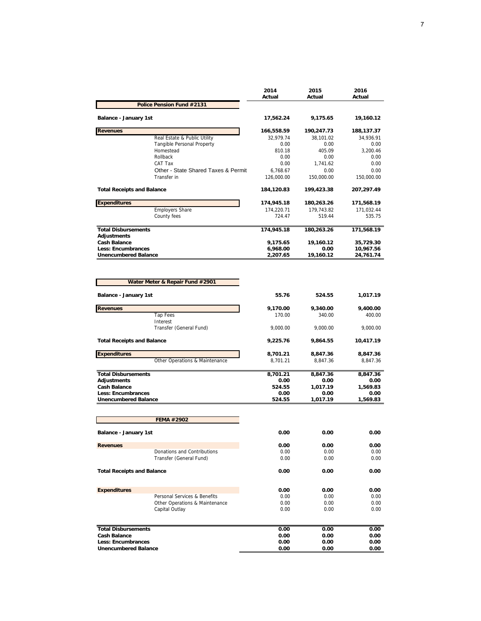|                                                          | 2014<br>Actual       | 2015<br>Actual    | 2016<br>Actual         |
|----------------------------------------------------------|----------------------|-------------------|------------------------|
| Police Pension Fund #2131                                |                      |                   |                        |
| Balance - January 1st                                    | 17,562.24            | 9,175.65          | 19,160.12              |
| <b>Revenues</b>                                          | 166,558.59           | 190,247.73        | 188,137.37             |
| Real Estate & Public Utility                             | 32.979.74            | 38,101.02         | 34,936.91              |
| Tangible Personal Property                               | 0.00                 | 0.00              | 0.00                   |
| Homestead                                                | 810.18               | 405.09            | 3.200.46               |
| Rollback                                                 | 0.00                 | 0.00              | 0.00                   |
| CAT Tax                                                  | 0.00                 | 1.741.62          | 0.00                   |
| Other - State Shared Taxes & Permit                      | 6,768.67             | 0.00              | 0.00                   |
| Transfer in                                              | 126.000.00           | 150.000.00        | 150,000.00             |
| <b>Total Receipts and Balance</b>                        | 184,120.83           | 199,423.38        | 207,297.49             |
| <b>Expenditures</b>                                      | 174,945.18           | 180,263.26        | 171,568.19             |
| <b>Employers Share</b>                                   | 174.220.71           | 179.743.82        | 171.032.44             |
| County fees                                              | 724.47               | 519.44            | 535.75                 |
| <b>Total Disbursements</b>                               | 174,945.18           | 180,263.26        | 171,568.19             |
| <b>Adjustments</b><br><b>Cash Balance</b>                |                      |                   |                        |
|                                                          | 9,175.65             | 19,160.12         | 35,729.30              |
| <b>Less: Encumbrances</b><br><b>Unencumbered Balance</b> | 6.968.00<br>2,207.65 | 0.00<br>19,160.12 | 10.967.56<br>24,761.74 |

|                                   | Water Meter & Repair Fund #2901 |          |          |           |
|-----------------------------------|---------------------------------|----------|----------|-----------|
| <b>Balance - January 1st</b>      |                                 | 55.76    | 524.55   | 1,017.19  |
| <b>Revenues</b>                   |                                 | 9,170.00 | 9,340.00 | 9,400.00  |
|                                   | <b>Tap Fees</b>                 | 170.00   | 340.00   | 400.00    |
|                                   | Interest                        |          |          |           |
|                                   | Transfer (General Fund)         | 9,000.00 | 9,000.00 | 9,000.00  |
| <b>Total Receipts and Balance</b> |                                 | 9,225.76 | 9,864.55 | 10,417.19 |
| <b>Expenditures</b>               |                                 | 8,701.21 | 8,847.36 | 8,847.36  |
|                                   | Other Operations & Maintenance  | 8,701.21 | 8,847.36 | 8,847.36  |
| <b>Total Disbursements</b>        |                                 | 8,701.21 | 8,847.36 | 8,847.36  |
| <b>Adjustments</b>                |                                 | 0.00     | 0.00     | 0.00      |
| <b>Cash Balance</b>               |                                 | 524.55   | 1,017.19 | 1,569.83  |
| <b>Less: Encumbrances</b>         |                                 | 0.00     | 0.00     | 0.00      |
| <b>Unencumbered Balance</b>       |                                 | 524.55   | 1,017.19 | 1,569.83  |
|                                   |                                 |          |          |           |
|                                   | FEMA #2902                      |          |          |           |
| <b>Balance - January 1st</b>      |                                 | 0.00     | 0.00     | 0.00      |
| <b>Revenues</b>                   |                                 | 0.00     | 0.00     | 0.00      |
|                                   | Donations and Contributions     | 0.00     | 0.00     | 0.00      |
|                                   | Transfer (General Fund)         | 0.00     | 0.00     | 0.00      |
| <b>Total Receipts and Balance</b> |                                 | 0.00     | 0.00     | 0.00      |
| <b>Expenditures</b>               |                                 | 0.00     | 0.00     | 0.00      |
|                                   | Personal Services & Benefits    | 0.00     | 0.00     | 0.00      |
|                                   | Other Operations & Maintenance  | 0.00     | 0.00     | 0.00      |
|                                   | Capital Outlay                  | 0.00     | 0.00     | 0.00      |
|                                   |                                 |          |          |           |
| <b>Total Disbursements</b>        |                                 | 0.00     | 0.00     | 0.00      |
| <b>Cash Balance</b>               |                                 | 0.00     | 0.00     | 0.00      |
| <b>Less: Encumbrances</b>         |                                 | 0.00     | 0.00     | 0.00      |
| <b>Unencumbered Balance</b>       |                                 | 0.00     | 0.00     | 0.00      |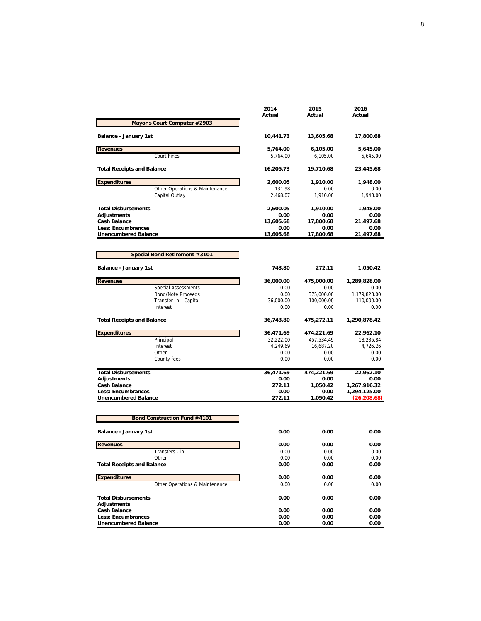|                                                          | 2014<br>Actual | 2015<br>Actual   | 2016<br>Actual               |
|----------------------------------------------------------|----------------|------------------|------------------------------|
| Mayor's Court Computer #2903                             |                |                  |                              |
| Balance - January 1st                                    | 10,441.73      | 13,605.68        | 17,800.68                    |
| <b>Revenues</b>                                          | 5,764.00       | 6,105.00         | 5,645.00                     |
| Court Fines                                              | 5,764.00       | 6,105.00         | 5,645.00                     |
| <b>Total Receipts and Balance</b>                        | 16,205.73      | 19,710.68        | 23,445.68                    |
| <b>Expenditures</b>                                      | 2,600.05       | 1,910.00         | 1,948.00                     |
| Other Operations & Maintenance                           | 131.98         | 0.00             | 0.00                         |
| Capital Outlay                                           | 2,468.07       | 1,910.00         | 1,948.00                     |
| <b>Total Disbursements</b>                               | 2,600.05       | 1,910.00         | 1,948.00                     |
| <b>Adjustments</b>                                       | 0.00           | 0.00             | 0.00                         |
| <b>Cash Balance</b>                                      | 13,605.68      | 17,800.68        | 21,497.68                    |
| <b>Less: Encumbrances</b>                                | 0.00           | 0.00             | 0.00                         |
| <b>Unencumbered Balance</b>                              | 13,605.68      | 17,800.68        | 21,497.68                    |
| Special Bond Retirement #3101                            |                |                  |                              |
|                                                          |                |                  |                              |
| Balance - January 1st                                    | 743.80         | 272.11           | 1,050.42                     |
| <b>Revenues</b>                                          | 36,000.00      | 475,000.00       | 1,289,828.00                 |
| <b>Special Assessments</b>                               | 0.00           | 0.00             | 0.00                         |
| Bond/Note Proceeds                                       | 0.00           | 375,000.00       | 1,179,828.00                 |
| Transfer In - Capital                                    | 36,000.00      | 100,000.00       | 110,000.00                   |
| Interest                                                 | 0.00           | 0.00             | 0.00                         |
| <b>Total Receipts and Balance</b>                        | 36,743.80      | 475,272.11       | 1,290,878.42                 |
| <b>Expenditures</b>                                      | 36,471.69      | 474,221.69       | 22,962.10                    |
| Principal                                                | 32,222.00      | 457,534.49       | 18,235.84                    |
| Interest                                                 | 4,249.69       | 16,687.20        | 4,726.26                     |
| Other                                                    | 0.00           | 0.00             | 0.00                         |
| County fees                                              | 0.00           | 0.00             | 0.00                         |
| <b>Total Disbursements</b>                               | 36,471.69      | 474,221.69       | 22,962.10                    |
| <b>Adjustments</b>                                       | 0.00           | 0.00             | 0.00                         |
| <b>Cash Balance</b>                                      | 272.11         | 1,050.42         | 1,267,916.32                 |
| <b>Less: Encumbrances</b><br><b>Unencumbered Balance</b> | 0.00<br>272.11 | 0.00<br>1,050.42 | 1,294,125.00<br>(26, 208.68) |
|                                                          |                |                  |                              |
| Bond Construction Fund #4101                             |                |                  |                              |
| Balance - January 1st                                    | 0.00           | 0.00             | 0.00                         |
| <b>Revenues</b>                                          | 0.00           | 0.00             | 0.00                         |
| Transfers - in                                           | 0.00           | 0.00             | 0.00                         |
| Other                                                    | 0.00           | 0.00             | 0.00                         |
| <b>Total Receipts and Balance</b>                        | 0.00           | 0.00             | 0.00                         |
| <b>Expenditures</b>                                      | 0.00           | 0.00             | 0.00                         |
| Other Operations & Maintenance                           | 0.00           | 0.00             | 0.00                         |
| <b>Total Disbursements</b>                               | 0.00           | 0.00             | 0.00                         |
| <b>Adjustments</b>                                       |                |                  |                              |
| <b>Cash Balance</b>                                      | 0.00           | 0.00             | 0.00                         |
| Less: Encumbrances                                       | 0.00           | 0.00             | 0.00                         |
| <b>Unencumbered Balance</b>                              | 0.00           | 0.00             | 0.00                         |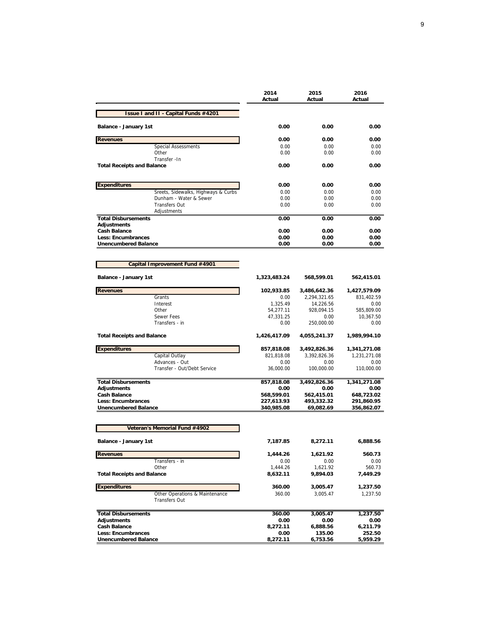|                                      | 2014<br>Actual | 2015<br>Actual | 2016<br>Actual |
|--------------------------------------|----------------|----------------|----------------|
| Issue I and II - Capital Funds #4201 |                |                |                |
| <b>Balance - January 1st</b>         | 0.00           | 0.00           | 0.00           |
| <b>Revenues</b>                      | 0.00           | 0.00           | 0.00           |
| <b>Special Assessments</b>           | 0.00           | 0.00           | 0.00           |
| Other                                | 0.00           | 0.00           | 0.00           |
| Transfer - In                        |                |                |                |
| <b>Total Receipts and Balance</b>    | 0.00           | 0.00           | 0.00           |
|                                      |                |                |                |
| <b>Expenditures</b>                  | 0.00           | 0.00           | 0.00           |
| Sreets, Sidewalks, Highways & Curbs  | 0.00           | 0.00           | 0.00           |
| Dunham - Water & Sewer               | 0.00           | 0.00           | 0.00           |
| <b>Transfers Out</b>                 | 0.00           | 0.00           | 0.00           |
| Adjustments                          |                |                |                |
| <b>Total Disbursements</b>           | 0.00           | 0.00           | 0.00           |
| <b>Adjustments</b>                   |                |                |                |
| <b>Cash Balance</b>                  | 0.00           | 0.00           | 0.00           |
| <b>Less: Encumbrances</b>            | 0.00           | 0.00           | 0.00           |
| <b>Unencumbered Balance</b>          | 0.00           | 0.00           | 0.00           |
|                                      |                |                |                |
| Capital Improvement Fund #4901       |                |                |                |
| <b>Balance - January 1st</b>         | 1,323,483.24   | 568,599.01     | 562,415.01     |
| <b>Revenues</b>                      | 102,933.85     | 3,486,642.36   | 1,427,579.09   |
| Grants                               | 0.00           | 2,294,321.65   | 831,402.59     |
| Interest                             | 1.325.49       | 14.226.56      | 0.00           |

| Grants                            | 0.00         | 2,294,321.65 | 831,402.59   |
|-----------------------------------|--------------|--------------|--------------|
| Interest                          | 1,325.49     | 14,226.56    | 0.00         |
| Other                             | 54,277.11    | 928,094.15   | 585,809.00   |
| <b>Sewer Fees</b>                 | 47,331.25    | 0.00         | 10,367.50    |
| Transfers - in                    | 0.00         | 250,000.00   | 0.00         |
| <b>Total Receipts and Balance</b> | 1,426,417.09 | 4,055,241.37 | 1,989,994.10 |
| <b>Expenditures</b>               | 857,818.08   | 3,492,826.36 | 1,341,271.08 |
| Capital Outlay                    | 821.818.08   | 3.392.826.36 | 1,231,271.08 |
| Advances - Out                    | 0.00         | 0.00         | 0.00         |
| Transfer - Out/Debt Service       | 36,000.00    | 100,000.00   | 110,000.00   |
| <b>Total Disbursements</b>        | 857,818.08   | 3,492,826.36 | 1,341,271.08 |
| <b>Adjustments</b>                | 0.00         | 0.00         | 0.00         |
| <b>Cash Balance</b>               | 568,599.01   | 562,415.01   | 648,723.02   |
| <b>Less: Encumbrances</b>         | 227,613.93   | 493,332.32   | 291,860.95   |
| <b>Unencumbered Balance</b>       | 340,985.08   | 69,082.69    | 356,862.07   |
| Veteran's Memorial Fund #4902     |              |              |              |
|                                   |              |              |              |
| Balance - January 1st             | 7,187.85     | 8,272.11     | 6,888.56     |
| <b>Revenues</b>                   | 1,444.26     | 1,621.92     | 560.73       |
| Transfers - in                    | 0.00         | 0.00         | 0.00         |
| Other                             | 1,444.26     | 1,621.92     | 560.73       |
| <b>Total Receipts and Balance</b> | 8,632.11     | 9.894.03     | 7,449.29     |
| <b>Expenditures</b>               | 360.00       | 3,005.47     | 1,237.50     |

**Total Disbursements 360.00 3,005.47 1,237.50 Adjustments 0.00 0.00 0.00 Cash Balance 8,272.11 6,888.56 6,211.79 Less: Encumbrances 0.00 135.00 252.50 Unencumbered Balance 8,272.11 6,753.56 5,959.29**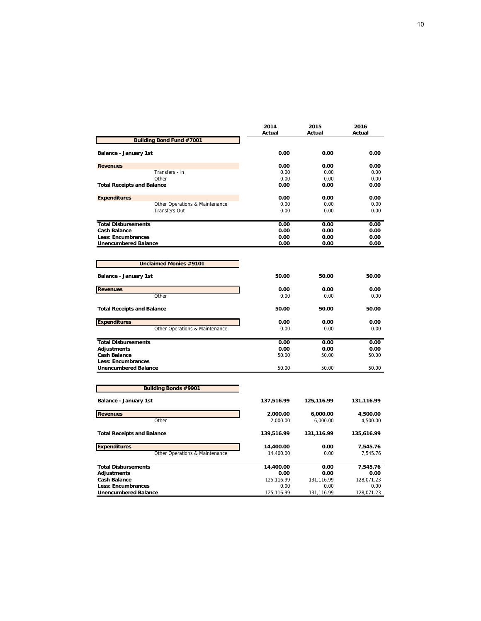|                                   | 2014<br>Actual | 2015<br>Actual | 2016<br>Actual |
|-----------------------------------|----------------|----------------|----------------|
| <b>Building Bond Fund #7001</b>   |                |                |                |
|                                   |                |                |                |
| <b>Balance - January 1st</b>      | 0.00           | 0.00           | 0.00           |
| <b>Revenues</b>                   | 0.00           | 0.00           | 0.00           |
| Transfers - in                    | 0.00           | 0.00           | 0.00           |
| Other                             | 0.00           | 0.00           | 0.00           |
| <b>Total Receipts and Balance</b> | 0.00           | 0.00           | 0.00           |
| <b>Expenditures</b>               | 0.00           | 0.00           | 0.00           |
| Other Operations & Maintenance    | 0.00           | 0.00           | 0.00           |
| <b>Transfers Out</b>              | 0.00           | 0.00           | 0.00           |
| <b>Total Disbursements</b>        | 0.00           | 0.00           | 0.00           |
| <b>Cash Balance</b>               | 0.00           | 0.00           | 0.00           |
| <b>Less: Encumbrances</b>         | 0.00           | 0.00           | 0.00           |
| <b>Unencumbered Balance</b>       | 0.00           | 0.00           | 0.00           |
|                                   |                |                |                |
| <b>Unclaimed Monies #9101</b>     |                |                |                |
|                                   |                |                |                |
| Balance - January 1st             | 50.00          | 50.00          | 50.00          |
| <b>Revenues</b>                   | 0.00           | 0.00           | 0.00           |
| Other                             | 0.00           | 0.00           | 0.00           |
| <b>Total Receipts and Balance</b> | 50.00          | 50.00          | 50.00          |
|                                   |                |                |                |
| <b>Expenditures</b>               | 0.00           | 0.00           | 0.00           |
| Other Operations & Maintenance    | 0.00           | 0.00           | 0.00           |
| <b>Total Disbursements</b>        | 0.00           | 0.00           | 0.00           |
| <b>Adjustments</b>                | 0.00           | 0.00           | 0.00           |
| <b>Cash Balance</b>               | 50.00          | 50.00          | 50.00          |
| <b>Less: Encumbrances</b>         |                |                |                |
| <b>Unencumbered Balance</b>       | 50.00          | 50.00          | 50.00          |
|                                   |                |                |                |
| <b>Building Bonds #9901</b>       |                |                |                |
|                                   |                |                |                |
| Balance - January 1st             | 137,516.99     | 125,116.99     | 131,116.99     |
| <b>Revenues</b>                   | 2,000.00       | 6,000.00       | 4,500.00       |
| Other                             | 2,000.00       | 6,000.00       | 4,500.00       |
| <b>Total Receipts and Balance</b> | 139,516.99     | 131,116.99     | 135,616.99     |
|                                   |                |                |                |
| <b>Expenditures</b>               | 14,400.00      | 0.00           | 7,545.76       |
| Other Operations & Maintenance    | 14,400.00      | 0.00           | 7,545.76       |
| <b>Total Disbursements</b>        | 14,400.00      | 0.00           | 7,545.76       |
| <b>Adjustments</b>                | 0.00           | 0.00           | 0.00           |
| <b>Cash Balance</b>               | 125,116.99     | 131,116.99     | 128,071.23     |
| Less: Encumbrances                | 0.00           | 0.00           | 0.00           |
| <b>Unencumbered Balance</b>       | 125,116.99     | 131,116.99     | 128,071.23     |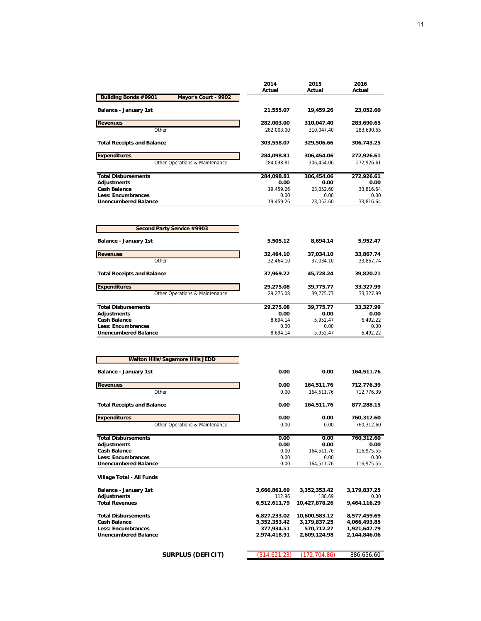|                                                     | 2014<br>Actual | 2015<br>Actual | 2016<br>Actual |
|-----------------------------------------------------|----------------|----------------|----------------|
| <b>Building Bonds #9901</b><br>Mayor's Court - 9902 |                |                |                |
| Balance - January 1st                               | 21,555.07      | 19,459.26      | 23,052.60      |
| <b>Revenues</b>                                     | 282,003.00     | 310,047.40     | 283,690.65     |
| Other                                               | 282,003.00     | 310,047.40     | 283,690.65     |
| <b>Total Receipts and Balance</b>                   | 303,558.07     | 329,506.66     | 306,743.25     |
| <b>Expenditures</b>                                 | 284,098.81     | 306,454.06     | 272,926.61     |
| Other Operations & Maintenance                      | 284,098.81     | 306,454.06     | 272,926.61     |
| <b>Total Disbursements</b>                          | 284,098.81     | 306,454.06     | 272,926.61     |
| <b>Adjustments</b>                                  | 0.00           | 0.00           | 0.00           |
| <b>Cash Balance</b>                                 | 19,459.26      | 23,052.60      | 33,816.64      |
| <b>Less: Encumbrances</b>                           | 0.00           | 0.00           | 0.00           |
| <b>Unencumbered Balance</b>                         | 19,459.26      | 23,052.60      | 33,816.64      |
|                                                     |                |                |                |
| Second Party Service #9903                          |                |                |                |
| <b>Balance - January 1st</b>                        | 5,505.12       | 8,694.14       | 5,952.47       |
| <b>Revenues</b>                                     | 32,464.10      | 37,034.10      | 33,867.74      |
| Other                                               | 32,464.10      | 37,034.10      | 33,867.74      |
| <b>Total Receipts and Balance</b>                   | 37,969.22      | 45,728.24      | 39,820.21      |
| <b>Expenditures</b>                                 | 29,275.08      | 39,775.77      | 33,327.99      |
| Other Operations & Maintenance                      | 29,275.08      | 39,775.77      | 33,327.99      |
| <b>Total Disbursements</b>                          | 29,275.08      | 39,775.77      | 33,327.99      |
| <b>Adjustments</b>                                  | 0.00           | 0.00           | 0.00           |
| <b>Cash Balance</b>                                 | 8,694.14       | 5,952.47       | 6,492.22       |
| <b>Less: Encumbrances</b>                           | 0.00           | 0.00           | 0.00           |
| <b>Unencumbered Balance</b>                         | 8,694.14       | 5,952.47       | 6,492.22       |
|                                                     |                |                |                |
| <b>Walton Hills/Sagamore Hills JEDD</b>             |                |                |                |
| <b>Balance - January 1st</b>                        | 0.00           | 0.00           | 164,511.76     |

| Balance - January 1st             | 0.00          | 0.00          | 164.511.76   |
|-----------------------------------|---------------|---------------|--------------|
| <b>Revenues</b>                   | 0.00          | 164,511.76    | 712,776.39   |
| Other                             | 0.00          | 164.511.76    | 712.776.39   |
| <b>Total Receipts and Balance</b> | 0.00          | 164,511.76    | 877,288.15   |
| <b>Expenditures</b>               | 0.00          | 0.00          | 760,312.60   |
| Other Operations & Maintenance    | 0.00          | 0.00          | 760,312.60   |
| <b>Total Disbursements</b>        | 0.00          | 0.00          | 760,312.60   |
| <b>Adjustments</b>                | 0.00          | 0.00          | 0.00         |
| <b>Cash Balance</b>               | 0.00          | 164,511.76    | 116,975.55   |
| <b>Less: Encumbrances</b>         | 0.00          | 0.00          | 0.00         |
| <b>Unencumbered Balance</b>       | 0.00          | 164,511.76    | 116,975.55   |
| Village Total - All Funds         |               |               |              |
| Balance - January 1st             | 3,666,861.69  | 3,352,353.42  | 3,179,837.25 |
| <b>Adjustments</b>                | 112.96        | 188.69        | 0.00         |
| <b>Total Revenues</b>             | 6,512,611.79  | 10,427,878.26 | 9,464,116.29 |
| <b>Total Disbursements</b>        | 6,827,233.02  | 10,600,583.12 | 8,577,459.69 |
| <b>Cash Balance</b>               | 3,352,353.42  | 3,179,837.25  | 4,066,493.85 |
| <b>Less: Encumbrances</b>         | 377,934.51    | 570,712.27    | 1,921,647.79 |
| <b>Unencumbered Balance</b>       | 2,974,418.91  | 2,609,124.98  | 2,144,846.06 |
|                                   |               |               |              |
| <b>SURPLUS (DEFICIT)</b>          | (314, 621.23) | (172,704.86)  | 886,656.60   |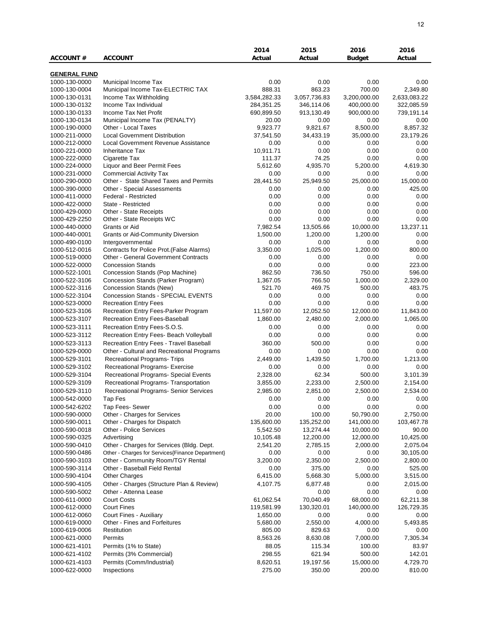|                                |                                                         | 2014                | 2015                    | 2016                   | 2016                   |
|--------------------------------|---------------------------------------------------------|---------------------|-------------------------|------------------------|------------------------|
| <b>ACCOUNT #</b>               | <b>ACCOUNT</b>                                          | Actual              | Actual                  | <b>Budget</b>          | Actual                 |
|                                |                                                         |                     |                         |                        |                        |
| <b>GENERAL FUND</b>            |                                                         |                     |                         |                        |                        |
| 1000-130-0000                  | Municipal Income Tax                                    | 0.00                | 0.00                    | 0.00                   | 0.00                   |
| 1000-130-0004                  | Municipal Income Tax-ELECTRIC TAX                       | 888.31              | 863.23                  | 700.00                 | 2,349.80               |
| 1000-130-0131                  | Income Tax Withholding                                  | 3,584,282.33        | 3,057,736.83            | 3,200,000.00           | 2,633,083.22           |
| 1000-130-0132                  | Income Tax Individual<br>Income Tax Net Profit          | 284,351.25          | 346,114.06              | 400,000.00             | 322,085.59             |
| 1000-130-0133                  |                                                         | 690,899.50          | 913,130.49              | 900,000.00             | 739,191.14             |
| 1000-130-0134<br>1000-190-0000 | Municipal Income Tax (PENALTY)<br>Other - Local Taxes   | 20.00<br>9,923.77   | 0.00<br>9,821.67        | 0.00<br>8,500.00       | 0.00<br>8,857.32       |
| 1000-211-0000                  | <b>Local Government Distribution</b>                    | 37,541.50           | 34,433.19               | 35,000.00              | 23,179.26              |
| 1000-212-0000                  | Local Government Revenue Assistance                     | 0.00                | 0.00                    | 0.00                   | 0.00                   |
| 1000-221-0000                  | <b>Inheritance Tax</b>                                  | 10,911.71           | 0.00                    | 0.00                   | 0.00                   |
| 1000-222-0000                  | Cigarette Tax                                           | 111.37              | 74.25                   | 0.00                   | 0.00                   |
| 1000-224-0000                  | Liquor and Beer Permit Fees                             | 5,612.60            | 4,935.70                | 5,200.00               | 4,619.30               |
| 1000-231-0000                  | <b>Commercial Activity Tax</b>                          | 0.00                | 0.00                    | 0.00                   | 0.00                   |
| 1000-290-0000                  | Other - State Shared Taxes and Permits                  | 28,441.50           | 25,949.50               | 25,000.00              | 15,000.00              |
| 1000-390-0000                  | Other - Special Assessments                             | 0.00                | 0.00                    | 0.00                   | 425.00                 |
| 1000-411-0000                  | Federal - Restricted                                    | 0.00                | 0.00                    | 0.00                   | 0.00                   |
| 1000-422-0000                  | State - Restricted                                      | 0.00                | 0.00                    | 0.00                   | 0.00                   |
| 1000-429-0000                  | Other - State Receipts                                  | 0.00                | 0.00                    | 0.00                   | 0.00                   |
| 1000-429-2250                  | Other - State Receipts WC                               | 0.00                | 0.00                    | 0.00                   | 0.00                   |
| 1000-440-0000                  | Grants or Aid                                           | 7,982.54            | 13,505.66               | 10,000.00              | 13,237.11              |
| 1000-440-0001                  | <b>Grants or Aid-Community Diversion</b>                | 1,500.00            | 1,200.00                | 1,200.00               | 0.00                   |
| 1000-490-0100                  | Intergovernmental                                       | 0.00                | 0.00                    | 0.00                   | 0.00                   |
| 1000-512-0016                  | Contracts for Police Prot. (False Alarms)               | 3,350.00            | 1,025.00                | 1,200.00               | 800.00                 |
| 1000-519-0000                  | <b>Other - General Government Contracts</b>             | 0.00                | 0.00                    | 0.00                   | 0.00                   |
| 1000-522-0000                  | <b>Concession Stands</b>                                | 0.00                | 0.00                    | 0.00                   | 223.00                 |
| 1000-522-1001                  | Concession Stands (Pop Machine)                         | 862.50              | 736.50                  | 750.00                 | 596.00                 |
| 1000-522-3106                  | Concession Stands (Parker Program)                      | 1,367.05            | 766.50                  | 1,000.00               | 2,329.00               |
| 1000-522-3116                  | Concession Stands (New)                                 | 521.70              | 469.75                  | 500.00                 | 483.75                 |
| 1000-522-3104                  | Concession Stands - SPECIAL EVENTS                      | 0.00                | 0.00                    | 0.00                   | 0.00                   |
| 1000-523-0000                  | <b>Recreation Entry Fees</b>                            | 0.00                | 0.00                    | 0.00                   | 0.00                   |
| 1000-523-3106                  | Recreation Entry Fees-Parker Program                    | 11,597.00           | 12,052.50               | 12,000.00              | 11,843.00              |
| 1000-523-3107                  | Recreation Entry Fees-Baseball                          | 1,860.00            | 2,480.00                | 2,000.00               | 1,065.00               |
| 1000-523-3111                  | Recreation Entry Fees-S.O.S.                            | 0.00                | 0.00                    | 0.00                   | 0.00                   |
| 1000-523-3112                  | Recreation Entry Fees- Beach Volleyball                 | 0.00                | 0.00                    | 0.00                   | 0.00                   |
| 1000-523-3113                  | Recreation Entry Fees - Travel Baseball                 | 360.00              | 500.00                  | 0.00                   | 0.00                   |
| 1000-529-0000                  | Other - Cultural and Recreational Programs              | 0.00                | 0.00                    | 0.00                   | 0.00                   |
| 1000-529-3101                  | <b>Recreational Programs- Trips</b>                     | 2,449.00            | 1,439.50                | 1,700.00               | 1,213.00               |
| 1000-529-3102                  | Recreational Programs- Exercise                         | 0.00                | 0.00                    | 0.00                   | 0.00                   |
| 1000-529-3104                  | Recreational Programs- Special Events                   | 2,328.00            | 62.34                   | 500.00                 | 3,101.39               |
| 1000-529-3109                  | Recreational Programs- Transportation                   | 3,855.00            | 2,233.00                | 2,500.00               | 2,154.00               |
| 1000-529-3110                  | <b>Recreational Programs- Senior Services</b>           | 2,985.00            | 2,851.00                | 2,500.00               | 2,534.00               |
| 1000-542-0000                  | Tap Fes                                                 | 0.00                | 0.00                    | 0.00                   | 0.00                   |
| 1000-542-6202                  | Tap Fees- Sewer                                         | 0.00                | 0.00                    | 0.00                   | 0.00                   |
| 1000-590-0000                  | Other - Charges for Services                            | 20.00<br>135,600.00 | 100.00                  | 50,790.00              | 2,750.00<br>103,467.78 |
| 1000-590-0011<br>1000-590-0018 | Other - Charges for Dispatch<br>Other - Police Services | 5,542.50            | 135,252.00<br>13,274.44 | 141,000.00             | 90.00                  |
| 1000-590-0325                  | Advertising                                             | 10,105.48           | 12,200.00               | 10,000.00<br>12,000.00 | 10,425.00              |
| 1000-590-0410                  | Other - Charges for Services (Bldg. Dept.               | 2,541.20            | 2,785.15                | 2,000.00               | 2,075.04               |
| 1000-590-0486                  | Other - Charges for Services{Finance Department}        | 0.00                | 0.00                    | 0.00                   | 30,105.00              |
| 1000-590-3103                  | Other - Community Room/TGY Rental                       | 3,200.00            | 2,350.00                | 2,500.00               | 2,800.00               |
| 1000-590-3114                  | Other - Baseball Field Rental                           | 0.00                | 375.00                  | 0.00                   | 525.00                 |
| 1000-590-4104                  | <b>Other Charges</b>                                    | 6,415.00            | 5,668.30                | 5,000.00               | 3,515.00               |
| 1000-590-4105                  | Other - Charges (Structure Plan & Review)               | 4,107.75            | 6,877.48                | 0.00                   | 2,015.00               |
| 1000-590-5002                  | Other - Attenna Lease                                   |                     | 0.00                    | 0.00                   | 0.00                   |
| 1000-611-0000                  | <b>Court Costs</b>                                      | 61,062.54           | 70,040.49               | 68,000.00              | 62,211.38              |
| 1000-612-0000                  | <b>Court Fines</b>                                      | 119,581.99          | 130,320.01              | 140,000.00             | 126,729.35             |
| 1000-612-0060                  | Court Fines - Auxiliary                                 | 1,650.00            | 0.00                    | 0.00                   | 0.00                   |
| 1000-619-0000                  | Other - Fines and Forfeitures                           | 5,680.00            | 2,550.00                | 4,000.00               | 5,493.85               |
| 1000-619-0006                  | Restitution                                             | 805.00              | 829.63                  | 0.00                   | 0.00                   |
| 1000-621-0000                  | Permits                                                 | 8,563.26            | 8,630.08                | 7,000.00               | 7,305.34               |
| 1000-621-4101                  | Permits (1% to State)                                   | 88.05               | 115.34                  | 100.00                 | 83.97                  |
| 1000-621-4102                  | Permits (3% Commercial)                                 | 298.55              | 621.94                  | 500.00                 | 142.01                 |
| 1000-621-4103                  | Permits (Comm/Industrial)                               | 8,620.51            | 19,197.56               | 15,000.00              | 4,729.70               |
| 1000-622-0000                  | Inspections                                             | 275.00              | 350.00                  | 200.00                 | 810.00                 |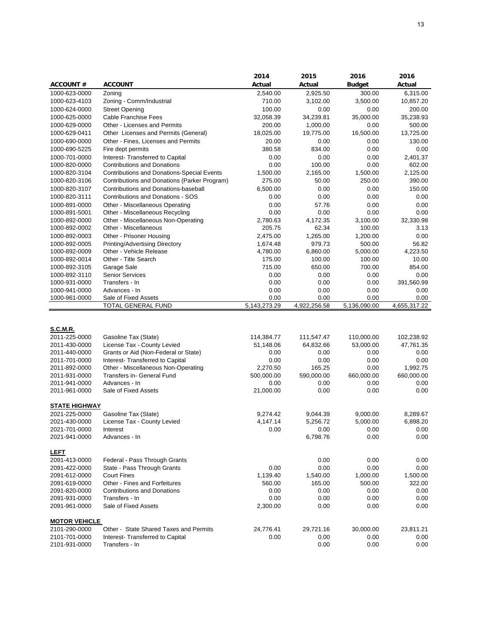|                                                                                     |                                                                                                                                 | 2014                                    | 2015                                    | 2016                                    | 2016                                    |
|-------------------------------------------------------------------------------------|---------------------------------------------------------------------------------------------------------------------------------|-----------------------------------------|-----------------------------------------|-----------------------------------------|-----------------------------------------|
| <b>ACCOUNT #</b>                                                                    | <b>ACCOUNT</b>                                                                                                                  | Actual                                  | Actual                                  | <b>Budget</b>                           | Actual                                  |
| 1000-623-0000                                                                       | Zoning                                                                                                                          | 2,540.00                                | 2,925.50                                | 300.00                                  | 6,315.00                                |
| 1000-623-4103                                                                       | Zoning - Comm/Industrial                                                                                                        | 710.00                                  | 3,102.00                                | 3,500.00                                | 10,857.20                               |
| 1000-624-0000                                                                       | <b>Street Opening</b>                                                                                                           | 100.00                                  | 0.00                                    | 0.00                                    | 200.00                                  |
| 1000-625-0000                                                                       | <b>Cable Franchise Fees</b>                                                                                                     | 32,058.39                               | 34,239.81                               | 35,000.00                               | 35,238.93                               |
| 1000-629-0000                                                                       | Other - Licenses and Permits                                                                                                    | 200.00                                  | 1,000.00                                | 0.00                                    | 500.00                                  |
| 1000-629-0411                                                                       | Other Licenses and Permits (General)                                                                                            | 18,025.00                               | 19,775.00                               | 16,500.00                               | 13,725.00                               |
|                                                                                     |                                                                                                                                 |                                         |                                         |                                         |                                         |
| 1000-690-0000                                                                       | Other - Fines, Licenses and Permits                                                                                             | 20.00                                   | 0.00                                    | 0.00                                    | 130.00                                  |
| 1000-690-5225                                                                       | Fire dept permits                                                                                                               | 380.58                                  | 834.00                                  | 0.00                                    | 0.00                                    |
| 1000-701-0000                                                                       | Interest- Transferred to Capital                                                                                                | 0.00                                    | 0.00                                    | 0.00                                    | 2,401.37                                |
| 1000-820-0000                                                                       | <b>Contributions and Donations</b>                                                                                              | 0.00                                    | 100.00                                  | 0.00                                    | 602.00                                  |
| 1000-820-3104                                                                       | <b>Contributions and Donations-Special Events</b>                                                                               | 1,500.00                                | 2,165.00                                | 1,500.00                                | 2,125.00                                |
| 1000-820-3106                                                                       | Contributions and Donations (Parker Program)                                                                                    | 275.00                                  | 50.00                                   | 250.00                                  | 390.00                                  |
| 1000-820-3107                                                                       | Contributions and Donations-baseball                                                                                            | 6,500.00                                | 0.00                                    | 0.00                                    | 150.00                                  |
| 1000-820-3111                                                                       | <b>Contributions and Donations - SOS</b>                                                                                        | 0.00                                    | 0.00                                    | 0.00                                    | 0.00                                    |
| 1000-891-0000                                                                       | Other - Miscellaneous Operating                                                                                                 | 0.00                                    | 57.76                                   | 0.00                                    | 0.00                                    |
| 1000-891-5001                                                                       | Other - Miscellaneous Recycling                                                                                                 | 0.00                                    | 0.00                                    | 0.00                                    | 0.00                                    |
| 1000-892-0000                                                                       | Other - Miscellaneous Non-Operating                                                                                             | 2,780.63                                | 4,172.35                                | 3,100.00                                | 32,330.98                               |
| 1000-892-0002                                                                       | Other - Miscellaneous                                                                                                           | 205.75                                  | 62.34                                   | 100.00                                  | 3.13                                    |
| 1000-892-0003                                                                       | Other - Prisoner Housing                                                                                                        | 2,475.00                                | 1,265.00                                | 1,200.00                                | 0.00                                    |
| 1000-892-0005                                                                       | <b>Printing/Advertising Directory</b>                                                                                           | 1,674.48                                | 979.73                                  | 500.00                                  | 56.82                                   |
| 1000-892-0009                                                                       | Other - Vehicle Release                                                                                                         | 4,780.00                                | 6,860.00                                | 5,000.00                                | 4,223.50                                |
| 1000-892-0014                                                                       | Other - Title Search                                                                                                            | 175.00                                  | 100.00                                  | 100.00                                  | 10.00                                   |
| 1000-892-3105                                                                       | Garage Sale                                                                                                                     | 715.00                                  | 650.00                                  | 700.00                                  | 854.00                                  |
|                                                                                     |                                                                                                                                 |                                         |                                         |                                         |                                         |
| 1000-892-3110                                                                       | <b>Senior Services</b>                                                                                                          | 0.00                                    | 0.00                                    | 0.00                                    | 0.00                                    |
| 1000-931-0000                                                                       | Transfers - In                                                                                                                  | 0.00                                    | 0.00                                    | 0.00                                    | 391,560.99                              |
| 1000-941-0000                                                                       | Advances - In                                                                                                                   | 0.00                                    | 0.00                                    | 0.00                                    | 0.00                                    |
| 1000-961-0000                                                                       | Sale of Fixed Assets<br>TOTAL GENERAL FUND                                                                                      | 0.00<br>5,143,273.29                    | 0.00<br>4,922,256.58                    | 0.00<br>5,136,090.00                    | 0.00<br>4,655,317.22                    |
| <b>S.C.M.R.</b><br>2011-225-0000<br>2011-430-0000<br>2011-440-0000<br>2011-701-0000 | Gasoline Tax (State)<br>License Tax - County Levied<br>Grants or Aid (Non-Federal or State)<br>Interest- Transferred to Capital | 114,384.77<br>51,148.06<br>0.00<br>0.00 | 111,547.47<br>64,832.66<br>0.00<br>0.00 | 110,000.00<br>53,000.00<br>0.00<br>0.00 | 102,238.92<br>47,761.35<br>0.00<br>0.00 |
| 2011-892-0000                                                                       | Other - Miscellaneous Non-Operating                                                                                             | 2,270.50                                | 165.25                                  | 0.00                                    | 1,992.75                                |
| 2011-931-0000                                                                       | Transfers in- General Fund                                                                                                      | 500,000.00                              | 590,000.00                              | 660,000.00                              | 660,000.00                              |
| 2011-941-0000                                                                       | Advances - In                                                                                                                   | 0.00                                    | 0.00                                    | 0.00                                    | 0.00                                    |
| 2011-961-0000                                                                       | Sale of Fixed Assets                                                                                                            | 21,000.00                               | 0.00                                    | 0.00                                    | 0.00                                    |
| <b>STATE HIGHWAY</b>                                                                |                                                                                                                                 |                                         |                                         |                                         |                                         |
| 2021-225-0000                                                                       | Gasoline Tax (State)                                                                                                            | 9,274.42                                | 9,044.39                                | 9,000.00                                | 8,289.67                                |
| 2021-430-0000                                                                       | License Tax - County Levied                                                                                                     |                                         |                                         |                                         | 6,898.20                                |
| 2021-701-0000                                                                       |                                                                                                                                 | 4,147.14<br>0.00                        | 5,256.72<br>0.00                        | 5,000.00<br>0.00                        | 0.00                                    |
|                                                                                     | Interest                                                                                                                        |                                         |                                         |                                         |                                         |
| 2021-941-0000                                                                       | Advances - In                                                                                                                   |                                         | 6,798.76                                | 0.00                                    | 0.00                                    |
| <b>LEFT</b>                                                                         |                                                                                                                                 |                                         |                                         |                                         |                                         |
| 2091-413-0000                                                                       | Federal - Pass Through Grants                                                                                                   |                                         | 0.00                                    | 0.00                                    | 0.00                                    |
| 2091-422-0000                                                                       | State - Pass Through Grants                                                                                                     | 0.00                                    | 0.00                                    | 0.00                                    | 0.00                                    |
| 2091-612-0000                                                                       | <b>Court Fines</b>                                                                                                              | 1,139.40                                | 1,540.00                                | 1,000.00                                | 1,500.00                                |
| 2091-619-0000                                                                       | Other - Fines and Forfeitures                                                                                                   | 560.00                                  | 165.00                                  | 500.00                                  | 322.00                                  |
| 2091-820-0000                                                                       | <b>Contributions and Donations</b>                                                                                              | 0.00                                    | 0.00                                    | 0.00                                    | 0.00                                    |
| 2091-931-0000                                                                       | Transfers - In                                                                                                                  | 0.00                                    | 0.00                                    | 0.00                                    | 0.00                                    |
| 2091-961-0000                                                                       | Sale of Fixed Assets                                                                                                            | 2,300.00                                | 0.00                                    | 0.00                                    | 0.00                                    |
|                                                                                     |                                                                                                                                 |                                         |                                         |                                         |                                         |
| <b>MOTOR VEHICLE</b><br>2101-290-0000                                               | Other - State Shared Taxes and Permits                                                                                          | 24,776.41                               | 29,721.16                               | 30,000.00                               | 23,811.21                               |
| 2101-701-0000                                                                       | Interest- Transferred to Capital                                                                                                | 0.00                                    | 0.00                                    | 0.00                                    | 0.00                                    |
| 2101-931-0000                                                                       | Transfers - In                                                                                                                  |                                         | 0.00                                    | 0.00                                    | 0.00                                    |
|                                                                                     |                                                                                                                                 |                                         |                                         |                                         |                                         |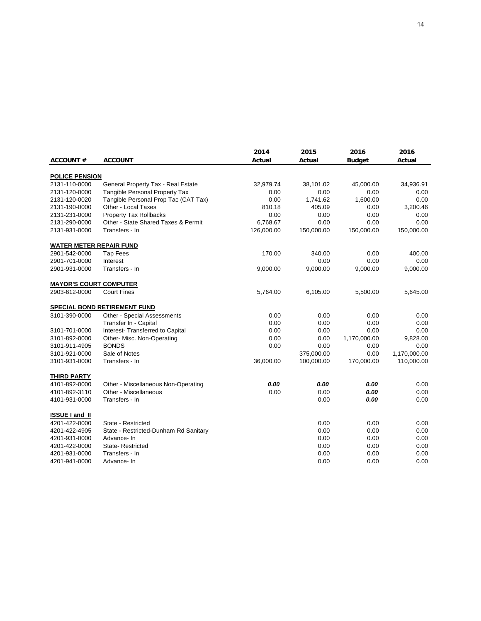|                                |                                       | 2014       | 2015       | 2016          | 2016         |
|--------------------------------|---------------------------------------|------------|------------|---------------|--------------|
| <b>ACCOUNT#</b>                | <b>ACCOUNT</b>                        | Actual     | Actual     | <b>Budget</b> | Actual       |
|                                |                                       |            |            |               |              |
| <b>POLICE PENSION</b>          |                                       |            |            |               |              |
| 2131-110-0000                  | General Property Tax - Real Estate    | 32,979.74  | 38,101.02  | 45,000.00     | 34,936.91    |
| 2131-120-0000                  | Tangible Personal Property Tax        | 0.00       | 0.00       | 0.00          | 0.00         |
| 2131-120-0020                  | Tangible Personal Prop Tac (CAT Tax)  | 0.00       | 1,741.62   | 1,600.00      | 0.00         |
| 2131-190-0000                  | Other - Local Taxes                   | 810.18     | 405.09     | 0.00          | 3,200.46     |
| 2131-231-0000                  | <b>Property Tax Rollbacks</b>         | 0.00       | 0.00       | 0.00          | 0.00         |
| 2131-290-0000                  | Other - State Shared Taxes & Permit   | 6,768.67   | 0.00       | 0.00          | 0.00         |
| 2131-931-0000                  | Transfers - In                        | 126,000.00 | 150,000.00 | 150,000.00    | 150,000.00   |
| <b>WATER METER REPAIR FUND</b> |                                       |            |            |               |              |
| 2901-542-0000                  | <b>Tap Fees</b>                       | 170.00     | 340.00     | 0.00          | 400.00       |
| 2901-701-0000                  | Interest                              |            | 0.00       | 0.00          | 0.00         |
| 2901-931-0000                  | Transfers - In                        | 9,000.00   | 9,000.00   | 9,000.00      | 9,000.00     |
| <b>MAYOR'S COURT COMPUTER</b>  |                                       |            |            |               |              |
| 2903-612-0000                  | <b>Court Fines</b>                    |            |            |               |              |
|                                |                                       | 5,764.00   | 6,105.00   | 5,500.00      | 5,645.00     |
|                                | <b>SPECIAL BOND RETIREMENT FUND</b>   |            |            |               |              |
| 3101-390-0000                  | Other - Special Assessments           | 0.00       | 0.00       | 0.00          | 0.00         |
|                                | Transfer In - Capital                 | 0.00       | 0.00       | 0.00          | 0.00         |
| 3101-701-0000                  | Interest- Transferred to Capital      | 0.00       | 0.00       | 0.00          | 0.00         |
| 3101-892-0000                  | Other- Misc. Non-Operating            | 0.00       | 0.00       | 1,170,000.00  | 9,828.00     |
| 3101-911-4905                  | <b>BONDS</b>                          | 0.00       | 0.00       | 0.00          | 0.00         |
| 3101-921-0000                  | Sale of Notes                         |            | 375,000.00 | 0.00          | 1,170,000.00 |
| 3101-931-0000                  | Transfers - In                        | 36,000.00  | 100,000.00 | 170,000.00    | 110,000.00   |
| <b>THIRD PARTY</b>             |                                       |            |            |               |              |
| 4101-892-0000                  | Other - Miscellaneous Non-Operating   | 0.00       | 0.00       | 0.00          | 0.00         |
| 4101-892-3110                  | Other - Miscellaneous                 | 0.00       | 0.00       | 0.00          | 0.00         |
| 4101-931-0000                  | Transfers - In                        |            | 0.00       | 0.00          | 0.00         |
|                                |                                       |            |            |               |              |
| <b>ISSUE Land II</b>           |                                       |            |            |               |              |
| 4201-422-0000                  | State - Restricted                    |            | 0.00       | 0.00          | 0.00         |
| 4201-422-4905                  | State - Restricted-Dunham Rd Sanitary |            | 0.00       | 0.00          | 0.00         |
| 4201-931-0000                  | Advance-In                            |            | 0.00       | 0.00          | 0.00         |
| 4201-422-0000                  | State-Restricted                      |            | 0.00       | 0.00          | 0.00         |
| 4201-931-0000                  | Transfers - In                        |            | 0.00       | 0.00          | 0.00         |
| 4201-941-0000                  | Advance-In                            |            | 0.00       | 0.00          | 0.00         |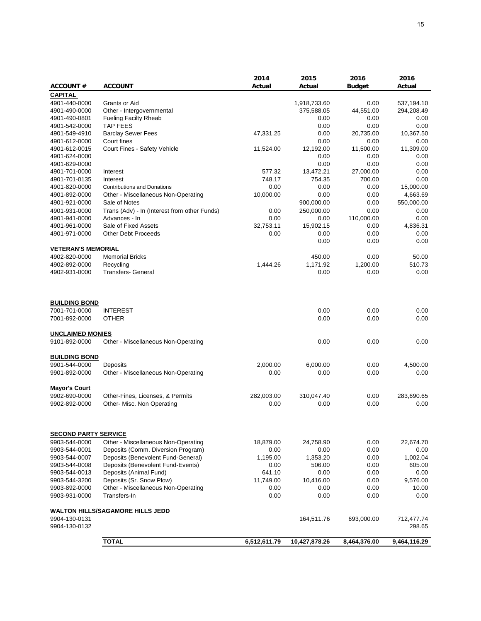|                             |                                              | 2014         | 2015          | 2016          | 2016         |
|-----------------------------|----------------------------------------------|--------------|---------------|---------------|--------------|
| <b>ACCOUNT #</b>            | <b>ACCOUNT</b>                               | Actual       | Actual        | <b>Budget</b> | Actual       |
| <b>CAPITAL</b>              |                                              |              |               |               |              |
| 4901-440-0000               | Grants or Aid                                |              | 1,918,733.60  | 0.00          | 537,194.10   |
| 4901-490-0000               | Other - Intergovernmental                    |              | 375,588.05    | 44,551.00     | 294,208.49   |
| 4901-490-0801               | <b>Fueling Facilty Rheab</b>                 |              | 0.00          | 0.00          | 0.00         |
| 4901-542-0000               | <b>TAP FEES</b>                              |              | 0.00          | 0.00          | 0.00         |
| 4901-549-4910               | <b>Barclay Sewer Fees</b>                    | 47,331.25    | 0.00          | 20,735.00     | 10,367.50    |
| 4901-612-0000               | Court fines                                  |              | 0.00          | 0.00          | 0.00         |
| 4901-612-0015               | Court Fines - Safety Vehicle                 | 11,524.00    | 12,192.00     | 11,500.00     | 11,309.00    |
| 4901-624-0000               |                                              |              | 0.00          | 0.00          | 0.00         |
| 4901-629-0000               |                                              |              | 0.00          | 0.00          | 0.00         |
| 4901-701-0000               | Interest                                     | 577.32       | 13,472.21     | 27,000.00     | 0.00         |
| 4901-701-0135               | Interest                                     | 748.17       | 754.35        | 700.00        | 0.00         |
| 4901-820-0000               | <b>Contributions and Donations</b>           | 0.00         | 0.00          | 0.00          | 15,000.00    |
| 4901-892-0000               | Other - Miscellaneous Non-Operating          | 10,000.00    | 0.00          | 0.00          | 4,663.69     |
| 4901-921-0000               | Sale of Notes                                |              | 900,000.00    | 0.00          | 550,000.00   |
| 4901-931-0000               | Trans (Adv) - In (Interest from other Funds) | 0.00         | 250,000.00    | 0.00          | 0.00         |
| 4901-941-0000               | Advances - In                                | 0.00         | 0.00          | 110,000.00    | 0.00         |
| 4901-961-0000               | Sale of Fixed Assets                         | 32,753.11    | 15,902.15     | 0.00          | 4,836.31     |
| 4901-971-0000               | <b>Other Debt Proceeds</b>                   | 0.00         | 0.00          | 0.00          | 0.00         |
|                             |                                              |              | 0.00          | 0.00          | 0.00         |
| <b>VETERAN'S MEMORIAL</b>   |                                              |              |               |               |              |
| 4902-820-0000               | <b>Memorial Bricks</b>                       |              | 450.00        | 0.00          | 50.00        |
| 4902-892-0000               | Recycling                                    | 1,444.26     | 1,171.92      | 1,200.00      | 510.73       |
| 4902-931-0000               | <b>Transfers- General</b>                    |              | 0.00          | 0.00          | 0.00         |
|                             |                                              |              |               |               |              |
|                             |                                              |              |               |               |              |
| <b>BUILDING BOND</b>        |                                              |              |               |               |              |
| 7001-701-0000               | <b>INTEREST</b>                              |              | 0.00          | 0.00          | 0.00         |
| 7001-892-0000               | <b>OTHER</b>                                 |              | 0.00          | 0.00          | 0.00         |
|                             |                                              |              |               |               |              |
| <b>UNCLAIMED MONIES</b>     |                                              |              |               |               |              |
| 9101-892-0000               | Other - Miscellaneous Non-Operating          |              | 0.00          | 0.00          | 0.00         |
|                             |                                              |              |               |               |              |
| <b>BUILDING BOND</b>        |                                              |              |               |               |              |
| 9901-544-0000               | Deposits                                     | 2,000.00     | 6,000.00      | 0.00          | 4,500.00     |
| 9901-892-0000               | Other - Miscellaneous Non-Operating          | 0.00         | 0.00          | 0.00          | 0.00         |
|                             |                                              |              |               |               |              |
| <b>Mayor's Court</b>        |                                              |              |               |               |              |
| 9902-690-0000               | Other-Fines, Licenses, & Permits             | 282,003.00   | 310,047.40    | 0.00          | 283,690.65   |
| 9902-892-0000               | Other- Misc. Non Operating                   | 0.00         | 0.00          | 0.00          | 0.00         |
|                             |                                              |              |               |               |              |
|                             |                                              |              |               |               |              |
| <b>SECOND PARTY SERVICE</b> |                                              |              |               |               |              |
| 9903-544-0000               | Other - Miscellaneous Non-Operating          | 18,879.00    | 24,758.90     | 0.00          | 22,674.70    |
| 9903-544-0001               | Deposits (Comm. Diversion Program)           | 0.00         | 0.00          | 0.00          | 0.00         |
| 9903-544-0007               | Deposits (Benevolent Fund-General)           | 1,195.00     | 1,353.20      | 0.00          | 1,002.04     |
| 9903-544-0008               | Deposits (Benevolent Fund-Events)            | 0.00         | 506.00        | 0.00          | 605.00       |
| 9903-544-0013               | Deposits (Animal Fund)                       | 641.10       | 0.00          | 0.00          | 0.00         |
| 9903-544-3200               | Deposits (Sr. Snow Plow)                     | 11,749.00    | 10,416.00     | 0.00          | 9,576.00     |
| 9903-892-0000               | Other - Miscellaneous Non-Operating          | 0.00         | 0.00          | 0.00          | 10.00        |
| 9903-931-0000               | Transfers-In                                 | 0.00         | 0.00          | 0.00          | 0.00         |
|                             |                                              |              |               |               |              |
|                             | <b>WALTON HILLS/SAGAMORE HILLS JEDD</b>      |              |               |               |              |
| 9904-130-0131               |                                              |              | 164,511.76    | 693,000.00    | 712,477.74   |
| 9904-130-0132               |                                              |              |               |               | 298.65       |
|                             |                                              |              |               |               |              |
|                             | <b>TOTAL</b>                                 | 6,512,611.79 | 10,427,878.26 | 8,464,376.00  | 9,464,116.29 |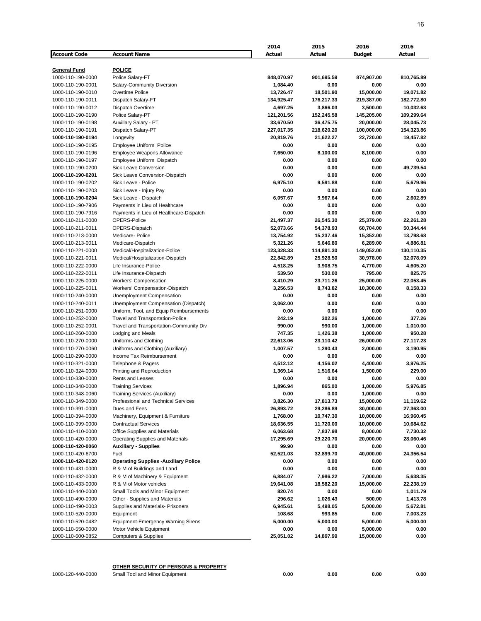|                     |                                              | 2014       | 2015       | 2016          | 2016       |
|---------------------|----------------------------------------------|------------|------------|---------------|------------|
| <b>Account Code</b> | <b>Account Name</b>                          | Actual     | Actual     | <b>Budget</b> | Actual     |
|                     |                                              |            |            |               |            |
| General Fund        | <b>POLICE</b>                                |            |            |               |            |
| 1000-110-190-0000   | Police Salary-FT                             | 848,070.97 | 901,695.59 | 874,907.00    | 810,765.89 |
| 1000-110-190-0001   | Salary-Community Diversion                   | 1,084.40   | 0.00       | 0.00          | 0.00       |
| 1000-110-190-0010   | Overtime Police                              | 13,726.47  | 18,501.90  | 15,000.00     | 19,071.82  |
| 1000-110-190-0011   | Dispatch Salary-FT                           | 134,925.47 | 176,217.33 | 219,387.00    | 182,772.80 |
| 1000-110-190-0012   | Dispatch Overtime                            | 4,697.25   | 3,866.03   | 3,500.00      | 10,032.63  |
| 1000-110-190-0190   | Police Salary-PT                             | 121,201.56 | 152,245.58 | 145,205.00    | 109,299.64 |
| 1000-110-190-0198   | Auxillary Salary - PT                        | 33,670.50  | 36,475.75  | 20,000.00     | 28,045.73  |
| 1000-110-190-0191   | Dispatch Salary-PT                           | 227,017.35 | 218,620.20 | 100,000.00    | 154,323.86 |
| 1000-110-190-0194   | Longevity                                    | 20,819.76  | 21,622.27  | 22,720.00     | 19,457.82  |
| 1000-110-190-0195   | Employee Uniform Police                      | 0.00       | 0.00       | 0.00          | 0.00       |
| 1000-110-190-0196   | Employee Weapons Allowance                   | 7,650.00   | 8,100.00   | 8,100.00      | 0.00       |
| 1000-110-190-0197   | Employee Uniform Dispatch                    | 0.00       | 0.00       | 0.00          | 0.00       |
| 1000-110-190-0200   | <b>Sick Leave Conversion</b>                 | 0.00       | 0.00       | 0.00          | 49,739.54  |
| 1000-110-190-0201   | Sick Leave Conversion-Dispatch               | 0.00       | 0.00       | 0.00          | 0.00       |
| 1000-110-190-0202   | Sick Leave - Police                          | 6,975.10   | 9,591.88   | 0.00          | 5,679.96   |
|                     |                                              |            |            |               |            |
| 1000-110-190-0203   | Sick Leave - Injury Pay                      | 0.00       | 0.00       | 0.00          | 0.00       |
| 1000-110-190-0204   | Sick Leave - Dispatch                        | 6,057.67   | 9,967.64   | 0.00          | 2,602.89   |
| 1000-110-190-7906   | Payments in Lieu of Healthcare               | 0.00       | 0.00       | 0.00          | 0.00       |
| 1000-110-190-7916   | Payments in Lieu of Healthcare-Dispatch      | 0.00       | 0.00       | 0.00          | 0.00       |
| 1000-110-211-0000   | OPERS-Police                                 | 21,497.37  | 26,545.30  | 25,379.00     | 22,261.28  |
| 1000-110-211-0011   | OPERS-Dispatch                               | 52,073.66  | 54,378.93  | 60,704.00     | 50,344.44  |
| 1000-110-213-0000   | Medicare- Police                             | 13,754.92  | 15,237.46  | 15,352.00     | 13,798.68  |
| 1000-110-213-0011   | Medicare-Dispatch                            | 5,321.26   | 5,646.80   | 6,289.00      | 4,886.81   |
| 1000-110-221-0000   | Medical/Hospitalization-Police               | 123,328.33 | 114,891.30 | 149,052.00    | 130,110.35 |
| 1000-110-221-0011   | Medical/Hospitalization-Dispatch             | 22,842.89  | 25,928.50  | 30,978.00     | 32,078.09  |
| 1000-110-222-0000   | Life Insurance-Police                        | 4,518.25   | 3,908.75   | 4,770.00      | 4,605.20   |
| 1000-110-222-0011   | Life Insurance-Dispatch                      | 539.50     | 530.00     | 795.00        | 825.75     |
| 1000-110-225-0000   | <b>Workers' Compensation</b>                 | 8,410.29   | 23,711.26  | 25,000.00     | 22,053.45  |
| 1000-110-225-0011   | Workers' Compensation-Dispatch               | 3,256.53   | 8,743.82   | 10,300.00     | 8,158.33   |
| 1000-110-240-0000   | Unemployment Compensation                    | 0.00       | 0.00       | 0.00          | 0.00       |
| 1000-110-240-0011   | Unemployment Compensation (Dispatch)         | 3,062.00   | 0.00       | 0.00          | 0.00       |
| 1000-110-251-0000   | Uniform, Tool, and Equip Reimbursements      | 0.00       | 0.00       | 0.00          | 0.00       |
| 1000-110-252-0000   | Travel and Transportation-Police             | 242.19     | 302.26     | 1,000.00      | 377.26     |
| 1000-110-252-0001   | Travel and Transportation-Community Div      | 990.00     | 990.00     | 1,000.00      | 1,010.00   |
| 1000-110-260-0000   | Lodging and Meals                            | 747.35     | 1,426.38   | 1,000.00      | 950.28     |
| 1000-110-270-0000   | Uniforms and Clothing                        | 22,613.06  | 23,110.42  | 26,000.00     | 27,117.23  |
| 1000-110-270-0060   | Uniforms and Clothing (Auxiliary)            | 1,007.57   | 1,290.43   | 2,000.00      | 3,190.95   |
| 1000-110-290-0000   | Income Tax Reimbursement                     | 0.00       | 0.00       | 0.00          | 0.00       |
| 1000-110-321-0000   | Telephone & Pagers                           | 4,512.12   | 4,156.02   | 4,400.00      | 3,976.25   |
| 1000-110-324-0000   | Printing and Reproduction                    | 1,369.14   | 1,516.64   | 1,500.00      | 229.00     |
| 1000-110-330-0000   | Rents and Leases                             | 0.00       | 0.00       | 0.00          | 0.00       |
| 1000-110-348-0000   | <b>Training Services</b>                     | 1,896.94   | 865.00     | 1,000.00      | 5,976.85   |
| 1000-110-348-0060   | Training Services (Auxiliary)                | 0.00       | 0.00       | 1,000.00      | 0.00       |
| 1000-110-349-0000   | Professional and Technical Services          | 3,826.30   | 17,813.73  | 15,000.00     | 11,119.62  |
| 1000-110-391-0000   | Dues and Fees                                | 26,893.72  | 29,286.89  | 30,000.00     | 27,363.00  |
| 1000-110-394-0000   | Machinery, Equipment & Furniture             | 1,768.00   | 10,747.30  | 10,000.00     | 16,960.45  |
| 1000-110-399-0000   | <b>Contractual Services</b>                  | 18,636.55  | 11,720.00  | 10,000.00     | 10,684.62  |
| 1000-110-410-0000   | Office Supplies and Materials                | 6,063.68   | 7,837.98   | 8,000.00      | 7,730.32   |
| 1000-110-420-0000   | <b>Operating Supplies and Materials</b>      | 17,295.69  | 29,220.70  | 20,000.00     | 28,060.46  |
| 1000-110-420-0060   | <b>Auxiliary - Supplies</b>                  | 99.90      | 0.00       | 0.00          | 0.00       |
| 1000-110-420-6700   | Fuel                                         | 52,521.03  | 32,899.70  | 40,000.00     | 24,356.54  |
| 1000-110-420-0120   | <b>Operating Supplies - Auxiliary Police</b> | 0.00       | 0.00       | 0.00          | 0.00       |
| 1000-110-431-0000   | R & M of Buildings and Land                  | 0.00       | 0.00       | 0.00          | 0.00       |
| 1000-110-432-0000   | R & M of Machinery & Equipment               | 6,884.07   | 7,986.22   | 7,000.00      | 5,638.35   |
| 1000-110-433-0000   | R & M of Motor vehicles                      | 19,641.08  | 18,582.20  | 15,000.00     | 22,238.19  |
| 1000-110-440-0000   | Small Tools and Minor Equipment              | 820.74     | 0.00       | 0.00          | 1,011.79   |
|                     |                                              |            |            |               |            |
| 1000-110-490-0000   | Other - Supplies and Materials               | 296.62     | 1,026.43   | 500.00        | 1,413.78   |
| 1000-110-490-0003   | Supplies and Materials- Prisoners            | 6,945.61   | 5,498.05   | 5,000.00      | 5,672.81   |
| 1000-110-520-0000   | Equipment                                    | 108.68     | 993.85     | 0.00          | 7,003.23   |
| 1000-110-520-0482   | <b>Equipment-Emergency Warning Sirens</b>    | 5,000.00   | 5,000.00   | 5,000.00      | 5,000.00   |
| 1000-110-550-0000   | Motor Vehicle Equipment                      | 0.00       | 0.00       | 5,000.00      | 0.00       |
| 1000-110-600-0852   | <b>Computers &amp; Supplies</b>              | 25,051.02  | 14,897.99  | 15,000.00     | 0.00       |

**OTHER SECURITY OF PERSONS & PROPERTY**

1000-120-440-0000 Small Tool and Minor Equipment **0.00 0.00 0.00 0.00**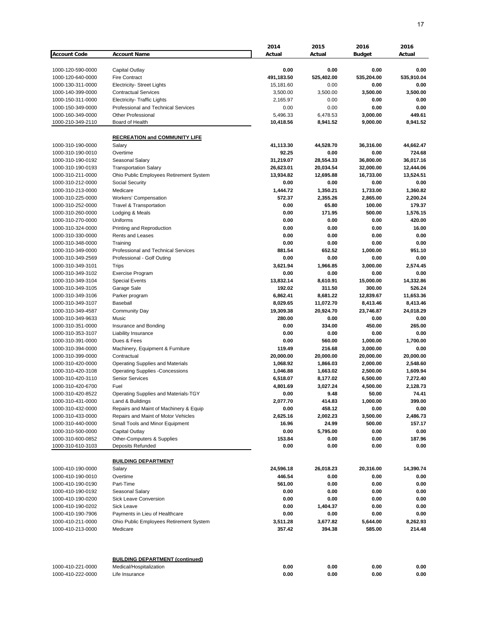|                                        |                                                                           | 2014                 | 2015                 | 2016                 | 2016                 |
|----------------------------------------|---------------------------------------------------------------------------|----------------------|----------------------|----------------------|----------------------|
| <b>Account Code</b>                    | <b>Account Name</b>                                                       | Actual               | Actual               | <b>Budget</b>        | Actual               |
|                                        |                                                                           |                      |                      |                      |                      |
| 1000-120-590-0000                      | Capital Outlay                                                            | 0.00                 | 0.00                 | 0.00                 | 0.00                 |
| 1000-120-640-0000                      | <b>Fire Contract</b>                                                      | 491,183.50           | 525,402.00           | 535,204.00           | 535,910.04           |
| 1000-130-311-0000                      | <b>Electricity- Street Lights</b>                                         | 15,181.60            | 0.00                 | 0.00                 | 0.00                 |
| 1000-140-399-0000<br>1000-150-311-0000 | <b>Contractual Services</b>                                               | 3,500.00             | 3,500.00<br>0.00     | 3,500.00<br>0.00     | 3,500.00<br>0.00     |
| 1000-150-349-0000                      | <b>Electricity- Traffic Lights</b><br>Professional and Technical Services | 2,165.97<br>0.00     | 0.00                 | 0.00                 | 0.00                 |
| 1000-160-349-0000                      | <b>Other Professional</b>                                                 | 5,496.33             | 6,478.53             | 3,000.00             | 449.61               |
| 1000-210-349-2110                      | Board of Health                                                           | 10,418.56            | 8,941.52             | 9,000.00             | 8,941.52             |
|                                        |                                                                           |                      |                      |                      |                      |
|                                        | <b>RECREATION and COMMUNITY LIFE</b>                                      |                      |                      |                      |                      |
| 1000-310-190-0000                      | Salary                                                                    | 41,113.30            | 44,528.70            | 36,316.00            | 44,662.47            |
| 1000-310-190-0010                      | Overtime                                                                  | 92.25                | 0.00                 | 0.00                 | 724.68               |
| 1000-310-190-0192                      | Seasonal Salary                                                           | 31,219.07            | 28,554.33            | 36,800.00            | 36,017.16            |
| 1000-310-190-0193                      | <b>Transportation Salary</b>                                              | 26,623.01            | 20,034.54            | 32,000.00            | 12,444.06            |
| 1000-310-211-0000                      | Ohio Public Employees Retirement System                                   | 13,934.82            | 12,695.88            | 16,733.00            | 13,524.51            |
| 1000-310-212-0000                      | Social Security                                                           | 0.00                 | 0.00                 | 0.00                 | 0.00                 |
| 1000-310-213-0000                      | Medicare                                                                  | 1,444.72             | 1,350.21             | 1,733.00             | 1,360.82             |
| 1000-310-225-0000                      | Workers' Compensation                                                     | 572.37               | 2,355.26             | 2,865.00             | 2,200.24             |
| 1000-310-252-0000                      | <b>Travel &amp; Transportation</b>                                        | 0.00                 | 65.80                | 100.00               | 179.37               |
| 1000-310-260-0000<br>1000-310-270-0000 | Lodging & Meals<br>Uniforms                                               | 0.00<br>0.00         | 171.95<br>0.00       | 500.00<br>0.00       | 1,576.15<br>420.00   |
| 1000-310-324-0000                      | Printing and Reproduction                                                 | 0.00                 | 0.00                 | 0.00                 | 16.00                |
| 1000-310-330-0000                      | Rents and Leases                                                          | 0.00                 | 0.00                 | 0.00                 | 0.00                 |
| 1000-310-348-0000                      | Training                                                                  | 0.00                 | 0.00                 | 0.00                 | 0.00                 |
| 1000-310-349-0000                      | Professional and Technical Services                                       | 881.54               | 652.52               | 1,000.00             | 951.10               |
| 1000-310-349-2569                      | Professional - Golf Outing                                                | 0.00                 | 0.00                 | 0.00                 | 0.00                 |
| 1000-310-349-3101                      | Trips                                                                     | 3,621.94             | 1,966.85             | 3,000.00             | 2,574.45             |
| 1000-310-349-3102                      | <b>Exercise Program</b>                                                   | 0.00                 | 0.00                 | 0.00                 | 0.00                 |
| 1000-310-349-3104                      | <b>Special Events</b>                                                     | 13,832.14            | 8,610.91             | 15,000.00            | 14,332.86            |
| 1000-310-349-3105                      | Garage Sale                                                               | 192.02               | 311.50               | 300.00               | 526.24               |
| 1000-310-349-3106                      | Parker program                                                            | 6,862.41             | 8,681.22             | 12,839.67            | 11,653.36            |
| 1000-310-349-3107                      | Baseball                                                                  | 8,029.65             | 11,072.70            | 8,413.46             | 8,413.46             |
| 1000-310-349-4587                      | <b>Community Day</b>                                                      | 19,309.38            | 20,924.70            | 23,746.87            | 24,018.29            |
| 1000-310-349-9633                      | Music                                                                     | 280.00               | 0.00                 | 0.00                 | 0.00                 |
| 1000-310-351-0000                      | Insurance and Bonding                                                     | 0.00                 | 334.00               | 450.00               | 265.00               |
| 1000-310-353-3107                      | Liability Insurance                                                       | 0.00                 | 0.00                 | 0.00                 | 0.00                 |
| 1000-310-391-0000                      | Dues & Fees                                                               | 0.00                 | 560.00               | 1,000.00             | 1,700.00             |
| 1000-310-394-0000                      | Machinery, Equipment & Furniture                                          | 119.49               | 216.68               | 3,000.00             | 0.00                 |
| 1000-310-399-0000                      | Contractual                                                               | 20,000.00            | 20,000.00            | 20,000.00            | 20,000.00            |
| 1000-310-420-0000                      | <b>Operating Supplies and Materials</b>                                   | 1,068.92             | 1,866.03             | 2,000.00             | 2,548.60             |
| 1000-310-420-3108<br>1000-310-420-3110 | <b>Operating Supplies -Concessions</b><br><b>Senior Services</b>          | 1,046.88<br>6,518.07 | 1,663.02<br>8,177.02 | 2,500.00<br>6,500.00 | 1,609.94             |
| 1000-310-420-6700                      | Fuel                                                                      | 4,801.69             | 3,027.24             | 4,500.00             | 7,272.40<br>2,128.73 |
| 1000-310-420-8522                      | Operating Supplies and Materials-TGY                                      | 0.00                 | 9.48                 | 50.00                | 74.41                |
| 1000-310-431-0000                      | Land & Buildings                                                          | 2,077.70             | 414.83               | 1,000.00             | 399.00               |
| 1000-310-432-0000                      | Repairs and Maint of Machinery & Equip                                    | 0.00                 | 458.12               | 0.00                 | 0.00                 |
| 1000-310-433-0000                      | Repairs and Maint of Motor Vehicles                                       | 2,625.16             | 2,002.23             | 3,500.00             | 2,486.73             |
| 1000-310-440-0000                      | Small Tools and Minor Equipment                                           | 16.96                | 24.99                | 500.00               | 157.17               |
| 1000-310-500-0000                      | Capital Outlay                                                            | 0.00                 | 5,795.00             | 0.00                 | 0.00                 |
| 1000-310-600-0852                      | Other-Computers & Supplies                                                | 153.84               | 0.00                 | 0.00                 | 187.96               |
| 1000-310-610-3103                      | Deposits Refunded                                                         | 0.00                 | 0.00                 | 0.00                 | 0.00                 |
|                                        |                                                                           |                      |                      |                      |                      |
|                                        | <b>BUILDING DEPARTMENT</b>                                                |                      |                      |                      |                      |
| 1000-410-190-0000                      | Salary                                                                    | 24,596.18            | 26,018.23            | 20,316.00            | 14,390.74            |
| 1000-410-190-0010                      | Overtime                                                                  | 446.54               | 0.00                 | 0.00                 | 0.00                 |
| 1000-410-190-0190                      | Part-Time                                                                 | 561.00               | 0.00                 | 0.00                 | 0.00                 |
| 1000-410-190-0192                      | Seasonal Salary                                                           | 0.00                 | 0.00                 | 0.00                 | 0.00                 |
| 1000-410-190-0200                      | Sick Leave Conversion                                                     | 0.00                 | 0.00                 | 0.00                 | 0.00                 |
| 1000-410-190-0202                      | Sick Leave                                                                | 0.00                 | 1,404.37             | 0.00                 | 0.00                 |
| 1000-410-190-7906                      | Payments in Lieu of Healthcare                                            | 0.00                 | 0.00                 | 0.00                 | 0.00                 |
| 1000-410-211-0000                      | Ohio Public Employees Retirement System                                   | 3,511.28             | 3,677.82             | 5,644.00             | 8,262.93             |
| 1000-410-213-0000                      | Medicare                                                                  | 357.42               | 394.38               | 585.00               | 214.48               |
|                                        | <b>BUILDING DEPARTMENT (continued)</b>                                    |                      |                      |                      |                      |
| 1000-410-221-0000                      | Medical/Hospitalization                                                   | 0.00                 | 0.00                 | 0.00                 | 0.00                 |
| 1000-410-222-0000                      | Life Insurance                                                            | 0.00                 | 0.00                 | 0.00                 | 0.00                 |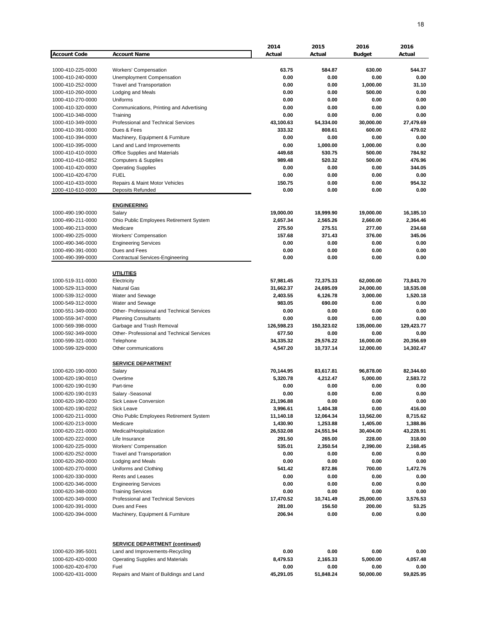|                     |                                            | 2014       | 2015       | 2016          | 2016       |
|---------------------|--------------------------------------------|------------|------------|---------------|------------|
| <b>Account Code</b> | <b>Account Name</b>                        | Actual     | Actual     | <b>Budget</b> | Actual     |
|                     |                                            |            |            |               |            |
| 1000-410-225-0000   | <b>Workers' Compensation</b>               | 63.75      | 584.87     | 630.00        | 544.37     |
| 1000-410-240-0000   | Unemployment Compensation                  | 0.00       | 0.00       | 0.00          | 0.00       |
| 1000-410-252-0000   | <b>Travel and Transportation</b>           | 0.00       | 0.00       | 1,000.00      | 31.10      |
|                     |                                            |            |            |               |            |
| 1000-410-260-0000   | Lodging and Meals                          | 0.00       | 0.00       | 500.00        | 0.00       |
| 1000-410-270-0000   | Uniforms                                   | 0.00       | 0.00       | 0.00          | 0.00       |
| 1000-410-320-0000   | Communications, Printing and Advertising   | 0.00       | 0.00       | 0.00          | 0.00       |
| 1000-410-348-0000   | Training                                   | 0.00       | 0.00       | 0.00          | 0.00       |
| 1000-410-349-0000   | <b>Professional and Technical Services</b> | 43,100.63  | 54,334.00  | 30,000.00     | 27,479.69  |
| 1000-410-391-0000   | Dues & Fees                                | 333.32     | 808.61     | 600.00        | 479.02     |
| 1000-410-394-0000   | Machinery, Equipment & Furniture           | 0.00       | 0.00       | 0.00          | 0.00       |
| 1000-410-395-0000   | Land and Land Improvements                 | 0.00       | 1,000.00   | 1,000.00      | 0.00       |
| 1000-410-410-0000   | Office Supplies and Materials              | 449.68     | 530.75     | 500.00        | 784.92     |
| 1000-410-410-0852   | <b>Computers &amp; Supplies</b>            | 989.48     | 520.32     | 500.00        | 476.96     |
| 1000-410-420-0000   | <b>Operating Supplies</b>                  | 0.00       | 0.00       | 0.00          | 344.05     |
| 1000-410-420-6700   | <b>FUEL</b>                                | 0.00       | 0.00       | 0.00          | 0.00       |
| 1000-410-433-0000   | Repairs & Maint Motor Vehicles             | 150.75     | 0.00       | 0.00          | 954.32     |
| 1000-410-610-0000   | Deposits Refunded                          | 0.00       | 0.00       | 0.00          | 0.00       |
|                     |                                            |            |            |               |            |
|                     | <b>ENGINEERING</b>                         |            |            |               |            |
| 1000-490-190-0000   |                                            |            |            |               |            |
|                     | Salary                                     | 19,000.00  | 18,999.90  | 19,000.00     | 16,185.10  |
| 1000-490-211-0000   | Ohio Public Employees Retirement System    | 2,657.34   | 2,565.26   | 2,660.00      | 2,364.46   |
| 1000-490-213-0000   | Medicare                                   | 275.50     | 275.51     | 277.00        | 234.68     |
| 1000-490-225-0000   | <b>Workers' Compensation</b>               | 157.68     | 371.43     | 376.00        | 345.06     |
| 1000-490-346-0000   | <b>Engineering Services</b>                | 0.00       | 0.00       | 0.00          | 0.00       |
| 1000-490-391-0000   | Dues and Fees                              | 0.00       | 0.00       | 0.00          | 0.00       |
| 1000-490-399-0000   | <b>Contractual Services-Engineering</b>    | 0.00       | 0.00       | 0.00          | 0.00       |
|                     |                                            |            |            |               |            |
|                     | <b>UTILITIES</b>                           |            |            |               |            |
| 1000-519-311-0000   | Electricity                                | 57,981.45  | 72,375.33  | 62,000.00     | 73,843.70  |
| 1000-529-313-0000   | <b>Natural Gas</b>                         | 31,662.37  | 24,695.09  | 24,000.00     | 18,535.08  |
| 1000-539-312-0000   | Water and Sewage                           | 2,403.55   | 6,126.78   | 3,000.00      | 1,520.18   |
| 1000-549-312-0000   | Water and Sewage                           | 983.05     | 690.00     | 0.00          | 0.00       |
| 1000-551-349-0000   | Other- Professional and Technical Services | 0.00       | 0.00       | 0.00          | 0.00       |
| 1000-559-347-0000   | <b>Planning Consultants</b>                | 0.00       | 0.00       | 0.00          | 0.00       |
|                     |                                            |            |            |               |            |
| 1000-569-398-0000   | Garbage and Trash Removal                  | 126,598.23 | 150,323.02 | 135,000.00    | 129,423.77 |
| 1000-592-349-0000   | Other- Professional and Technical Services | 677.50     | 0.00       | 0.00          | 0.00       |
| 1000-599-321-0000   | Telephone                                  | 34,335.32  | 29,576.22  | 16,000.00     | 20,356.69  |
| 1000-599-329-0000   | Other communications                       | 4,547.20   | 10,737.14  | 12,000.00     | 14,302.47  |
|                     |                                            |            |            |               |            |
|                     | <b>SERVICE DEPARTMENT</b>                  |            |            |               |            |
| 1000-620-190-0000   | Salary                                     | 70,144.95  | 83,617.81  | 96,878.00     | 82,344.60  |
| 1000-620-190-0010   | Overtime                                   | 5,320.78   | 4,212.47   | 5,000.00      | 2,583.72   |
| 1000-620-190-0190   | Part-time                                  | 0.00       | 0.00       | 0.00          | 0.00       |
| 1000-620-190-0193   | Salary -Seasonal                           | 0.00       | 0.00       | 0.00          | 0.00       |
| 1000-620-190-0200   | <b>Sick Leave Conversion</b>               | 21,196.88  | 0.00       | 0.00          | 0.00       |
| 1000-620-190-0202   | Sick Leave                                 | 3,996.61   | 1,404.38   | 0.00          | 416.00     |
| 1000-620-211-0000   | Ohio Public Employees Retirement System    | 11,140.18  | 12,064.34  | 13,562.00     | 8,715.62   |
| 1000-620-213-0000   | Medicare                                   | 1,430.90   | 1,253.88   | 1,405.00      | 1,388.86   |
| 1000-620-221-0000   | Medical/Hospitalization                    | 26,532.08  | 24,551.94  | 30,404.00     | 43,228.91  |
|                     |                                            |            |            |               |            |
| 1000-620-222-0000   | Life Insurance                             | 291.50     | 265.00     | 228.00        | 318.00     |
| 1000-620-225-0000   | Workers' Compensation                      | 535.01     | 2,350.54   | 2,390.00      | 2,168.45   |
| 1000-620-252-0000   | <b>Travel and Transportation</b>           | 0.00       | 0.00       | 0.00          | 0.00       |
| 1000-620-260-0000   | Lodging and Meals                          | 0.00       | 0.00       | 0.00          | 0.00       |
| 1000-620-270-0000   | Uniforms and Clothing                      | 541.42     | 872.86     | 700.00        | 1,472.76   |
| 1000-620-330-0000   | Rents and Leases                           | 0.00       | 0.00       | 0.00          | 0.00       |
| 1000-620-346-0000   | <b>Engineering Services</b>                | 0.00       | 0.00       | 0.00          | 0.00       |
| 1000-620-348-0000   | <b>Training Services</b>                   | 0.00       | 0.00       | 0.00          | 0.00       |
| 1000-620-349-0000   | Professional and Technical Services        | 17,470.52  | 10,741.49  | 25,000.00     | 3,576.53   |
| 1000-620-391-0000   | Dues and Fees                              | 281.00     | 156.50     | 200.00        | 53.25      |
| 1000-620-394-0000   | Machinery, Equipment & Furniture           | 206.94     | 0.00       | 0.00          | 0.00       |
|                     |                                            |            |            |               |            |
|                     | <b>SERVICE DEPARTMENT (continued)</b>      |            |            |               |            |
| 1000-620-395-5001   | Land and Improvements-Recycling            | 0.00       | 0.00       | 0.00          | 0.00       |
| 1000-620-420-0000   | <b>Operating Supplies and Materials</b>    | 8,479.53   | 2,165.33   | 5,000.00      | 4,057.48   |
| 1000-620-420-6700   | Fuel                                       | 0.00       | 0.00       | 0.00          | 0.00       |
| 1000-620-431-0000   | Repairs and Maint of Buildings and Land    | 45,291.05  | 51,848.24  | 50,000.00     | 59,825.95  |
|                     |                                            |            |            |               |            |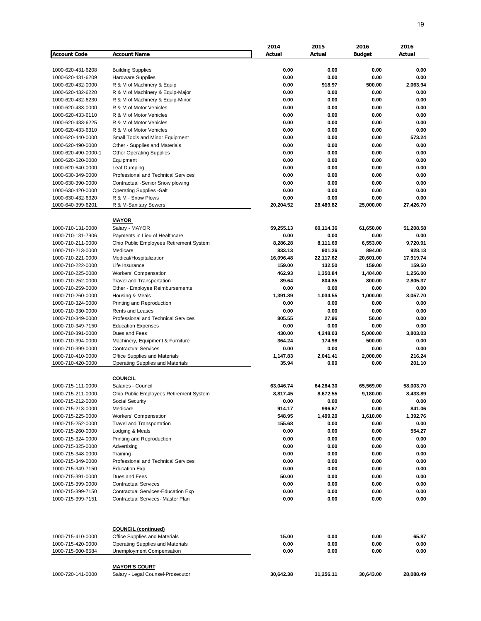|                     |                                            | 2014      | 2015         | 2016          | 2016      |
|---------------------|--------------------------------------------|-----------|--------------|---------------|-----------|
| <b>Account Code</b> | <b>Account Name</b>                        | Actual    | Actual       | <b>Budget</b> | Actual    |
|                     |                                            |           |              |               |           |
| 1000-620-431-6208   | <b>Building Supplies</b>                   | 0.00      | 0.00         | 0.00          | 0.00      |
| 1000-620-431-6209   | <b>Hardware Supplies</b>                   | 0.00      | 0.00         | 0.00          | 0.00      |
| 1000-620-432-0000   | R & M of Machinery & Equip                 | 0.00      | 918.97       | 500.00        | 2,063.94  |
| 1000-620-432-6220   | R & M of Machinery & Equip-Major           | 0.00      | 0.00         | 0.00          | 0.00      |
| 1000-620-432-6230   | R & M of Machinery & Equip-Minor           | 0.00      | 0.00         | 0.00          | 0.00      |
| 1000-620-433-0000   | R & M of Motor Vehicles                    | 0.00      | 0.00         | 0.00          | 0.00      |
| 1000-620-433-6110   | R & M of Motor Vehicles                    | 0.00      | 0.00         | 0.00          | 0.00      |
| 1000-620-433-6225   | R & M of Motor Vehicles                    | 0.00      | 0.00         | 0.00          | 0.00      |
| 1000-620-433-6310   | R & M of Motor Vehicles                    | 0.00      | 0.00         | 0.00          | 0.00      |
| 1000-620-440-0000   | Small Tools and Minor Equipment            | 0.00      | 0.00         | 0.00          | 573.24    |
| 1000-620-490-0000   | Other - Supplies and Materials             | 0.00      | 0.00         | 0.00          | 0.00      |
| 1000-620-490-0000-1 | <b>Other Operating Supplies</b>            | 0.00      | 0.00         | 0.00          | 0.00      |
| 1000-620-520-0000   | Equipment                                  | 0.00      | 0.00         | 0.00          | 0.00      |
| 1000-620-640-0000   | Leaf Dumping                               | 0.00      | 0.00         | 0.00          | 0.00      |
|                     | Professional and Technical Services        | 0.00      |              | 0.00          | 0.00      |
| 1000-630-349-0000   |                                            |           | 0.00         |               |           |
| 1000-630-390-0000   | Contractual -Senior Snow plowing           | 0.00      | 0.00         | 0.00          | 0.00      |
| 1000-630-420-0000   | <b>Operating Supplies -Salt</b>            | 0.00      | 0.00         | 0.00          | 0.00      |
| 1000-630-432-6320   | R & M - Snow Plows                         | 0.00      | 0.00         | 0.00          | 0.00      |
| 1000-640-399-6201   | R & M-Sanitary Sewers                      | 20,204.52 | 28,489.82    | 25,000.00     | 27,426.70 |
|                     |                                            |           |              |               |           |
|                     | <b>MAYOR</b>                               |           |              |               |           |
| 1000-710-131-0000   | Salary - MAYOR                             | 59,255.13 | 60,114.36    | 61,650.00     | 51,208.58 |
| 1000-710-131-7906   | Payments in Lieu of Healthcare             | 0.00      | 0.00         | 0.00          | 0.00      |
| 1000-710-211-0000   | Ohio Public Employees Retirement System    | 8,286.28  | 8,111.69     | 6,553.00      | 9,720.91  |
| 1000-710-213-0000   | Medicare                                   | 833.13    | 901.26       | 894.00        | 928.13    |
| 1000-710-221-0000   | Medical/Hospitalization                    | 16,096.48 | 22.117.62    | 20,601.00     | 17,919.74 |
| 1000-710-222-0000   | Life Insurance                             | 159.00    | 132.50       | 159.00        | 159.50    |
| 1000-710-225-0000   | Workers' Compensation                      | 462.93    | 1,350.84     | 1,404.00      | 1,256.00  |
| 1000-710-252-0000   | <b>Travel and Transportation</b>           | 89.64     | 804.85       | 800.00        | 2,805.37  |
| 1000-710-259-0000   | Other - Employee Reimbursements            | 0.00      | 0.00         | 0.00          | 0.00      |
| 1000-710-260-0000   | Housing & Meals                            | 1,391.89  | 1,034.55     | 1,000.00      | 3,057.70  |
| 1000-710-324-0000   | Printing and Reproduction                  | 0.00      | 0.00         | 0.00          | 0.00      |
| 1000-710-330-0000   | Rents and Leases                           | 0.00      | 0.00         | 0.00          | 0.00      |
| 1000-710-349-0000   | Professional and Technical Services        | 805.55    | 27.96        | 50.00         | 0.00      |
| 1000-710-349-7150   | <b>Education Expenses</b>                  | 0.00      | 0.00         | 0.00          | 0.00      |
| 1000-710-391-0000   | Dues and Fees                              | 430.00    | 4,248.03     | 5,000.00      | 3,803.03  |
| 1000-710-394-0000   | Machinery, Equipment & Furniture           | 364.24    | 174.98       | 500.00        | 0.00      |
| 1000-710-399-0000   | <b>Contractual Services</b>                | 0.00      | 0.00         | 0.00          | 0.00      |
| 1000-710-410-0000   | Office Supplies and Materials              | 1,147.83  | 2,041.41     | 2,000.00      | 216.24    |
| 1000-710-420-0000   | <b>Operating Supplies and Materials</b>    | 35.94     | 0.00         | 0.00          | 201.10    |
|                     |                                            |           |              |               |           |
|                     | <b>COUNCIL</b>                             |           |              |               |           |
| 1000-715-111-0000   | Salaries - Council                         | 63,046.74 | 64,284.30    | 65,569.00     | 58,003.70 |
| 1000-715-211-0000   | Ohio Public Employees Retirement System    | 8,817.45  | 8,672.55     | 9,180.00      | 8,433.89  |
| 1000-715-212-0000   | Social Security                            | 0.00      | 0.00         | 0.00          | 0.00      |
| 1000-715-213-0000   | Medicare                                   | 914.17    | 996.67       | 0.00          | 841.06    |
| 1000-715-225-0000   | <b>Workers' Compensation</b>               | 548.95    | 1,499.20     | 1,610.00      | 1,392.76  |
| 1000-715-252-0000   | Travel and Transportation                  | 155.68    | 0.00         | 0.00          | 0.00      |
| 1000-715-260-0000   | Lodging & Meals                            | 0.00      | 0.00         | 0.00          | 554.27    |
|                     |                                            | 0.00      |              |               | 0.00      |
| 1000-715-324-0000   | Printing and Reproduction                  | 0.00      | 0.00<br>0.00 | 0.00<br>0.00  | 0.00      |
| 1000-715-325-0000   | Advertising                                |           |              |               |           |
| 1000-715-348-0000   | Training                                   | 0.00      | 0.00         | 0.00          | 0.00      |
| 1000-715-349-0000   | <b>Professional and Technical Services</b> | 0.00      | 0.00         | 0.00          | 0.00      |
| 1000-715-349-7150   | <b>Education Exp</b>                       | 0.00      | 0.00         | 0.00          | 0.00      |
| 1000-715-391-0000   | Dues and Fees                              | 50.00     | 0.00         | 0.00          | 0.00      |
| 1000-715-399-0000   | <b>Contractual Services</b>                | 0.00      | 0.00         | 0.00          | 0.00      |
| 1000-715-399-7150   | <b>Contractual Services-Education Exp</b>  | 0.00      | 0.00         | 0.00          | 0.00      |
| 1000-715-399-7151   | Contractual Services- Master Plan          | 0.00      | 0.00         | 0.00          | 0.00      |
|                     |                                            |           |              |               |           |
|                     | <b>COUNCIL (continued)</b>                 |           |              |               |           |
| 1000-715-410-0000   | Office Supplies and Materials              | 15.00     | 0.00         | 0.00          | 65.87     |
| 1000-715-420-0000   | <b>Operating Supplies and Materials</b>    | 0.00      | 0.00         | 0.00          | 0.00      |
| 1000-715-600-6584   | Unemployment Compensation                  | 0.00      | 0.00         | 0.00          | 0.00      |
|                     |                                            |           |              |               |           |
|                     | <b>MAYOR'S COURT</b>                       |           |              |               |           |
| 1000-720-141-0000   | Salary - Legal Counsel-Prosecutor          | 30,642.38 | 31,256.11    | 30,643.00     | 28,088.49 |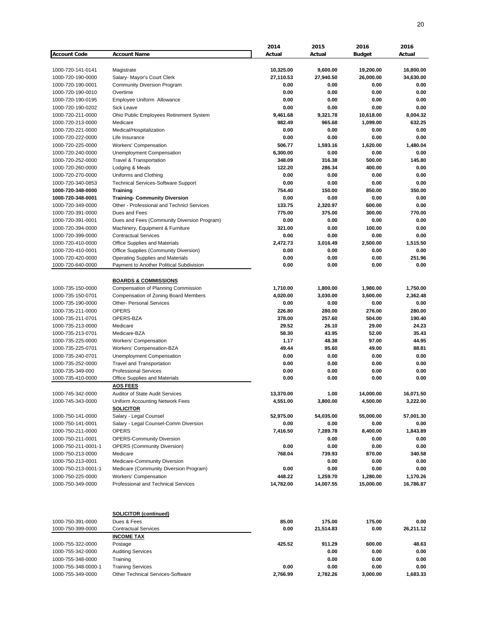|                     |                                             | 2014      | 2015      | 2016          | 2016      |
|---------------------|---------------------------------------------|-----------|-----------|---------------|-----------|
| <b>Account Code</b> | <b>Account Name</b>                         | Actual    | Actual    | <b>Budget</b> | Actual    |
|                     |                                             |           |           |               |           |
|                     |                                             |           |           |               |           |
| 1000-720-141-0141   | Magistrate                                  | 10,325.00 | 9,600.00  | 19,200.00     | 16,800.00 |
| 1000-720-190-0000   | Salary- Mayor's Court Clerk                 | 27,110.53 | 27,940.50 | 26,000.00     | 34,630.00 |
| 1000-720-190-0001   | <b>Community Diversion Program</b>          | 0.00      | 0.00      | 0.00          | 0.00      |
| 1000-720-190-0010   | Overtime                                    | 0.00      | 0.00      | 0.00          | 0.00      |
| 1000-720-190-0195   | Employee Uniform Allowance                  | 0.00      | 0.00      | 0.00          | 0.00      |
|                     |                                             |           |           |               |           |
| 1000-720-190-0202   | <b>Sick Leave</b>                           | 0.00      | 0.00      | 0.00          | 0.00      |
| 1000-720-211-0000   | Ohio Public Employees Retirement System     | 9,461.68  | 9,321.78  | 10,618.00     | 8,004.32  |
| 1000-720-213-0000   | Medicare                                    | 982.49    | 965.68    | 1,099.00      | 632.25    |
| 1000-720-221-0000   | Medical/Hospitalization                     | 0.00      | 0.00      | 0.00          | 0.00      |
| 1000-720-222-0000   | Life Insurance                              | 0.00      | 0.00      | 0.00          | 0.00      |
| 1000-720-225-0000   | Workers' Compensation                       | 506.77    | 1,593.16  | 1,620.00      | 1,480.04  |
|                     |                                             |           |           |               |           |
| 1000-720-240-0000   | Unemployment Compensation                   | 6,300.00  | 0.00      | 0.00          | 0.00      |
| 1000-720-252-0000   | Travel & Transportation                     | 348.09    | 316.38    | 500.00        | 145.80    |
| 1000-720-260-0000   | Lodging & Meals                             | 122.20    | 286.34    | 400.00        | 0.00      |
| 1000-720-270-0000   | Uniforms and Clothing                       | 0.00      | 0.00      | 0.00          | 0.00      |
| 1000-720-340-0853   | <b>Technical Services-Software Support</b>  | 0.00      | 0.00      | 0.00          | 0.00      |
|                     |                                             |           |           |               |           |
| 1000-720-348-0000   | <b>Training</b>                             | 754.40    | 150.00    | 850.00        | 350.00    |
| 1000-720-348-0001   | <b>Training- Community Diversion</b>        | 0.00      | 0.00      | 0.00          | 0.00      |
| 1000-720-349-0000   | Other - Professional and Technicl Services  | 133.75    | 2,320.97  | 600.00        | 0.00      |
| 1000-720-391-0000   | Dues and Fees                               | 775.00    | 375.00    | 300.00        | 770.00    |
| 1000-720-391-0001   | Dues and Fees (Community Diversion Program) | 0.00      | 0.00      | 0.00          | 0.00      |
| 1000-720-394-0000   | Machinery, Equipment & Furniture            | 321.00    | 0.00      | 100.00        | 0.00      |
|                     |                                             |           |           |               |           |
| 1000-720-399-0000   | <b>Contractual Services</b>                 | 0.00      | 0.00      | 0.00          | 0.00      |
| 1000-720-410-0000   | Office Supplies and Materials               | 2,472.73  | 3,016.49  | 2,500.00      | 1,515.50  |
| 1000-720-410-0001   | Office Supplies (Community Diversion)       | 0.00      | 0.00      | 0.00          | 0.00      |
| 1000-720-420-0000   | <b>Operating Supplies and Materials</b>     | 0.00      | 0.00      | 0.00          | 251.96    |
| 1000-720-640-0000   | Payment to Another Political Subdivision    | 0.00      | 0.00      | 0.00          | 0.00      |
|                     |                                             |           |           |               |           |
|                     |                                             |           |           |               |           |
|                     | <b>BOARDS &amp; COMMISSIONS</b>             |           |           |               |           |
| 1000-735-150-0000   | Compensation of Planning Commission         | 1,710.00  | 1,800.00  | 1,980.00      | 1,750.00  |
| 1000-735-150-0701   | Compensation of Zoning Board Members        | 4,020.00  | 3,030.00  | 3,600.00      | 2,362.48  |
| 1000-735-190-0000   | <b>Other- Personal Services</b>             | 0.00      | 0.00      | 0.00          | 0.00      |
| 1000-735-211-0000   | <b>OPERS</b>                                | 226.80    | 280.00    | 276.00        | 280.00    |
|                     |                                             |           |           |               |           |
| 1000-735-211-0701   | OPERS-BZA                                   | 378.00    | 257.60    | 504.00        | 190.40    |
| 1000-735-213-0000   | Medicare                                    | 29.52     | 26.10     | 29.00         | 24.23     |
| 1000-735-213-0701   | Medicare-BZA                                | 58.30     | 43.95     | 52.00         | 35.43     |
| 1000-735-225-0000   | <b>Workers' Compensation</b>                | 1.17      | 48.38     | 97.00         | 44.95     |
| 1000-735-225-0701   | Workers' Compensation-BZA                   | 49.44     | 95.60     | 49.00         | 88.81     |
| 1000-735-240-0701   | Unemployment Compensation                   | 0.00      | 0.00      | 0.00          | 0.00      |
|                     |                                             |           |           |               |           |
| 1000-735-252-0000   | <b>Travel and Transportation</b>            | 0.00      | 0.00      | 0.00          | 0.00      |
| 1000-735-349-000    | <b>Professional Services</b>                | 0.00      | 0.00      | 0.00          | 0.00      |
| 1000-735-410-0000   | Office Supplies and Materials               | 0.00      | 0.00      | 0.00          | 0.00      |
|                     | <b>AOS FEES</b>                             |           |           |               |           |
| 1000-745-342-0000   | <b>Auditor of State Audit Services</b>      | 13,370.00 | 1.00      | 14,000.00     | 16,071.50 |
|                     |                                             |           |           |               |           |
| 1000-745-343-0000   | Uniform Accounting Network Fees             | 4,551.00  | 3,800.00  | 4,500.00      | 3,222.00  |
|                     | <b>SOLICITOR</b>                            |           |           |               |           |
| 1000-750-141-0000   | Salary - Legal Counsel                      | 52,975.00 | 54,035.00 | 55,000.00     | 57,001.30 |
| 1000-750-141-0001   | Salary - Legal Counsel-Comm Diversion       | 0.00      | 0.00      | 0.00          | 0.00      |
| 1000-750-211-0000   | <b>OPERS</b>                                | 7,416.50  | 7,289.78  | 8,400.00      | 1,843.89  |
|                     |                                             |           |           |               |           |
| 1000-750-211-0001   | <b>OPERS-Community Diversion</b>            |           | 0.00      | 0.00          | 0.00      |
| 1000-750-211-0001-1 | <b>OPERS (Community Diversion)</b>          | 0.00      | 0.00      | 0.00          | 0.00      |
| 1000-750-213-0000   | Medicare                                    | 768.04    | 739.93    | 870.00        | 340.58    |
| 1000-750-213-0001   | Medicare-Community Diversion                |           | 0.00      | 0.00          | 0.00      |
| 1000-750-213-0001-1 | Medicare (Community Diversion Program)      | 0.00      | 0.00      | 0.00          | 0.00      |
| 1000-750-225-0000   | Workers' Compensation                       | 448.22    | 1,259.70  | 1,280.00      | 1,170.26  |
|                     |                                             |           |           |               |           |
| 1000-750-349-0000   | Professional and Technical Services         | 14,782.00 | 14,007.55 | 15,000.00     | 16,786.87 |
|                     |                                             |           |           |               |           |
|                     | <b>SOLICITOR (continued)</b>                |           |           |               |           |
| 1000-750-391-0000   | Dues & Fees                                 | 85.00     | 175.00    | 175.00        | 0.00      |
| 1000-750-399-0000   | <b>Contractual Services</b>                 | 0.00      | 21,514.83 | 0.00          | 26,211.12 |
|                     | <b>INCOME TAX</b>                           |           |           |               |           |
| 1000-755-322-0000   | Postage                                     | 425.52    | 911.29    | 600.00        | 48.63     |
| 1000-755-342-0000   | <b>Auditing Services</b>                    |           | 0.00      | 0.00          | 0.00      |
|                     |                                             |           |           |               |           |
| 1000-755-348-0000   | Training                                    |           | 0.00      | 0.00          | 0.00      |
| 1000-755-348-0000-1 | <b>Training Services</b>                    | 0.00      | 0.00      | 0.00          | 0.00      |
| 1000-755-349-0000   | Other Technical Services-Software           | 2,766.99  | 2,782.26  | 3,000.00      | 1,683.33  |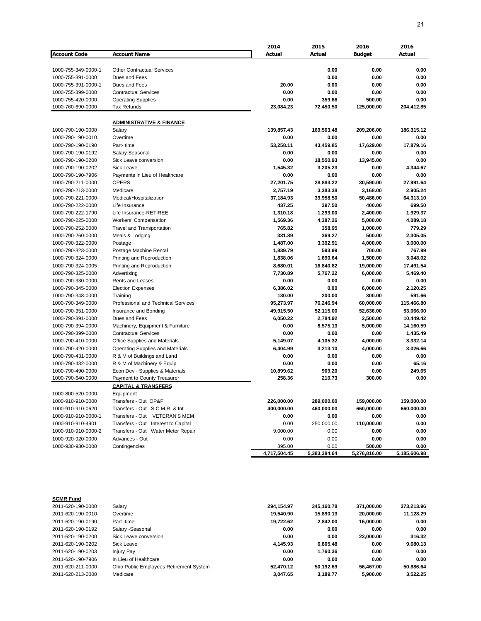|                                        |                                         | 2014                | 2015             | 2016          | 2016           |
|----------------------------------------|-----------------------------------------|---------------------|------------------|---------------|----------------|
| <b>Account Code</b>                    | <b>Account Name</b>                     | Actual              | Actual           | <b>Budget</b> | Actual         |
|                                        |                                         |                     |                  |               |                |
| 1000-755-349-0000-1                    | <b>Other Contractual Services</b>       |                     | 0.00             | 0.00          | 0.00           |
| 1000-755-391-0000                      | Dues and Fees                           |                     | 0.00             | 0.00          | 0.00           |
| 1000-755-391-0000-1                    | Dues and Fees                           | 20.00               | 0.00             | 0.00          | 0.00           |
| 1000-755-399-0000                      | <b>Contractual Services</b>             | 0.00                | 0.00             | 0.00          | 0.00           |
| 1000-755-420-0000                      | <b>Operating Supplies</b>               | 0.00                | 359.66           | 500.00        | 0.00           |
| 1000-760-690-0000                      | <b>Tax Refunds</b>                      | 23,084.23           | 72,450.50        | 125,000.00    | 204,412.85     |
|                                        |                                         |                     |                  |               |                |
|                                        | <b>ADMINISTRATIVE &amp; FINANCE</b>     |                     |                  |               |                |
| 1000-790-190-0000                      | Salary                                  | 139,857.43          | 169,563.48       | 209,206.00    | 186,315.12     |
| 1000-790-190-0010                      | Overtime                                | 0.00                | 0.00             | 0.00          | 0.00           |
| 1000-790-190-0190                      | Part-time                               | 53,258.11           | 43,459.85        | 17,629.00     | 17,879.16      |
| 1000-790-190-0192                      | <b>Salary Seasonal</b>                  | 0.00                | 0.00             | 0.00          | 0.00           |
| 1000-790-190-0200                      | Sick Leave conversion                   | 0.00                | 18,550.93        | 13,945.00     | 0.00           |
| 1000-790-190-0202                      | <b>Sick Leave</b>                       | 1,545.32            | 3,205.23         | 0.00          | 4,344.67       |
| 1000-790-190-7906                      | Payments in Lieu of Healthcare          | 0.00                | 0.00             | 0.00          | 0.00           |
| 1000-790-211-0000                      | <b>OPERS</b>                            | 27,201.75           | 28,883.22        | 30,590.00     | 27,991.64      |
| 1000-790-213-0000                      | Medicare                                | 2,757.19            | 3,383.38         | 3,168.00      | 2,905.24       |
| 1000-790-221-0000                      | Medical/Hospitalization                 | 37,184.93           | 39,958.50        | 50,486.00     | 64,313.10      |
| 1000-790-222-0000                      | Life Insurance                          | 437.25              | 397.50           | 400.00        | 699.50         |
| 1000-790-222-1790                      | Life Insurance-RETIREE                  | 1,310.18            | 1,293.00         | 2,400.00      | 1,929.37       |
| 1000-790-225-0000                      | Workers' Compensation                   | 1,569.36            | 4,387.26         | 5,000.00      | 4,089.18       |
| 1000-790-252-0000                      | <b>Travel and Transportation</b>        | 765.82              | 358.95           | 1,000.00      | 779.29         |
| 1000-790-260-0000                      | Meals & Lodging                         | 331.89              | 369.27           | 500.00        | 2.305.05       |
| 1000-790-322-0000                      | Postage                                 | 1,487.00            | 3,392.91         | 4,000.00      | 3,000.00       |
| 1000-790-323-0000                      | Postage Machine Rental                  | 1,839.79            | 593.99           | 700.00        | 767.99         |
| 1000-790-324-0000                      | Printing and Reproduction               | 1,838.06            | 1,690.64         | 1,500.00      | 3.048.02       |
| 1000-790-324-0005                      | Printing and Reproduction               | 8,680.01            | 16,840.82        | 19,000.00     | 17,491.54      |
| 1000-790-325-0000                      | Advertising                             | 7,730.89            | 5,767.22         | 6,000.00      | 5,469.40       |
| 1000-790-330-0000                      | Rents and Leases                        | 0.00                | 0.00             | 0.00          | 0.00           |
| 1000-790-345-0000                      | <b>Election Expenses</b>                | 6,386.02            | 0.00             | 6,000.00      | 2,120.25       |
| 1000-790-348-0000                      | Training                                | 130.00              | 200.00           | 300.00        | 591.66         |
| 1000-790-349-0000                      | Professional and Technical Services     | 95,273.97           | 76,246.94        | 60,000.00     | 115,466.80     |
| 1000-790-351-0000                      | Insurance and Bonding                   | 49,915.50           | 52,115.00        | 52,636.00     | 53,066.00      |
| 1000-790-391-0000                      | Dues and Fees                           | 6,050.22            | 2,784.92         | 2,500.00      | 10,449.42      |
| 1000-790-394-0000                      | Machinery, Equipment & Furniture        | 0.00                | 8,575.13         | 5,000.00      | 14,160.59      |
| 1000-790-399-0000                      | <b>Contractual Services</b>             | 0.00                | 0.00             | 0.00          | 1,435.49       |
| 1000-790-410-0000                      | Office Supplies and Materials           | 5,149.07            | 4,105.32         | 4,000.00      | 3,332.14       |
|                                        |                                         | 6,404.99            |                  |               |                |
| 1000-790-420-0000<br>1000-790-431-0000 | <b>Operating Supplies and Materials</b> |                     | 3,213.10         | 4,000.00      | 3,026.66       |
|                                        | R & M of Buildings and Land             | 0.00                | 0.00             | 0.00          | 0.00           |
| 1000-790-432-0000                      | R & M of Machinery & Equip              | 0.00                | 0.00             | 0.00          | 65.16          |
| 1000-790-490-0000                      | Econ Dev - Supplies & Materials         | 10,899.62<br>258.36 | 909.20<br>210.73 | 0.00          | 249.65<br>0.00 |
| 1000-790-640-0000                      | Payment to County Treasurer             |                     |                  | 300.00        |                |
|                                        | <b>CAPITAL &amp; TRANSFERS</b>          |                     |                  |               |                |
| 1000-800-520-0000                      | Equipment                               |                     |                  |               |                |
| 1000-910-910-0000                      | Transfers - Out OP&F                    | 226,000.00          | 289,000.00       | 159,000.00    | 159,000.00     |
| 1000-910-910-0620                      | Transfers - Out S.C.M.R. & Int          | 400,000.00          | 460,000.00       | 660,000.00    | 660,000.00     |
| 1000-910-910-0000-1                    | Transfers - Out VETERAN'S MEM           | 0.00                | 0.00             | 0.00          | 0.00           |
| 1000-910-910-4901                      | Transfers - Out Interest to Capital     | 0.00                | 250,000.00       | 110,000.00    | 0.00           |
| 1000-910-910-0000-2                    | Transfers - Out Water Meter Repair      | 9,000.00            | 0.00             | 0.00          | 0.00           |
| 1000-920-920-0000                      | Advances - Out                          | 0.00                | 0.00             | 0.00          | 0.00           |
| 1000-930-930-0000                      | Contingencies                           | 895.00              | 0.00             | 500.00        | 0.00           |
|                                        |                                         | 4,717,504.45        | 5,383,384.64     | 5,276,816.00  | 5,185,606.98   |

| <b>SCMR Fund</b>  |                                         |            |            |            |            |
|-------------------|-----------------------------------------|------------|------------|------------|------------|
| 2011-620-190-0000 | Salarv                                  | 294.154.97 | 345.160.78 | 371.000.00 | 373,213.96 |
| 2011-620-190-0010 | Overtime                                | 19,540.90  | 15,890.13  | 20.000.00  | 11,128.29  |
| 2011-620-190-0190 | Part-time                               | 19.722.62  | 2.842.00   | 16.000.00  | 0.00       |
| 2011-620-190-0192 | Salary -Seasonal                        | 0.00       | 0.00       | 0.00       | 0.00       |
| 2011-620-190-0200 | Sick Leave conversion                   | 0.00       | 0.00       | 23,000,00  | 316.32     |
| 2011-620-190-0202 | Sick Leave                              | 4.145.93   | 6.805.48   | 0.00       | 9,680.13   |
| 2011-620-190-0203 | Injury Pay                              | 0.00       | 1.760.36   | 0.00       | 0.00       |
| 2011-620-190-7906 | In Lieu of Healthcare                   | 0.00       | 0.00       | 0.00       | 0.00       |
| 2011-620-211-0000 | Ohio Public Employees Retirement System | 52,470.12  | 50.192.69  | 56.467.00  | 50,886.64  |
| 2011-620-213-0000 | Medicare                                | 3,047.65   | 3.189.77   | 5.900.00   | 3,522.25   |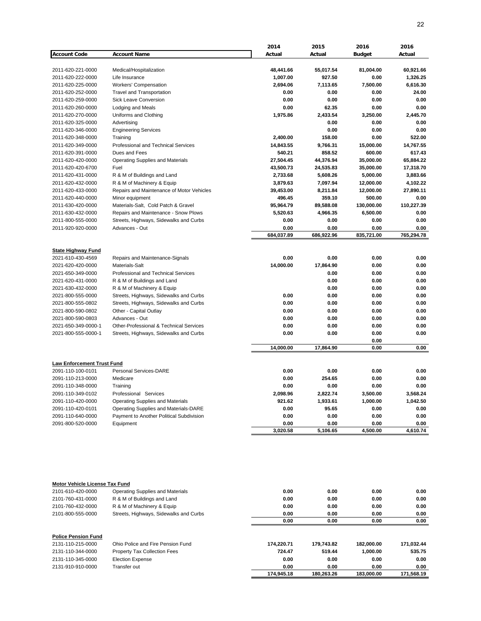|                                                        |                                                    | 2014                | 2015       | 2016          | 2016       |
|--------------------------------------------------------|----------------------------------------------------|---------------------|------------|---------------|------------|
| <b>Account Code</b>                                    | <b>Account Name</b>                                | Actual              | Actual     | <b>Budget</b> | Actual     |
| 2011-620-221-0000                                      | Medical/Hospitalization                            | 48,441.66           | 55,017.54  | 81,004.00     | 60,921.66  |
| 2011-620-222-0000                                      | Life Insurance                                     | 1,007.00            | 927.50     | 0.00          | 1,326.25   |
| 2011-620-225-0000                                      | Workers' Compensation                              | 2,694.06            | 7,113.65   | 7,500.00      | 6,616.30   |
| 2011-620-252-0000                                      | <b>Travel and Transportation</b>                   | 0.00                | 0.00       | 0.00          | 24.00      |
| 2011-620-259-0000                                      | <b>Sick Leave Conversion</b>                       | 0.00                | 0.00       | 0.00          | 0.00       |
| 2011-620-260-0000                                      | Lodging and Meals                                  | 0.00                | 62.35      | 0.00          | 0.00       |
| 2011-620-270-0000                                      | Uniforms and Clothing                              | 1,975.86            | 2,433.54   | 3,250.00      | 2,445.70   |
| 2011-620-325-0000                                      | Advertising                                        |                     | 0.00       | 0.00          | 0.00       |
| 2011-620-346-0000                                      | <b>Engineering Services</b>                        |                     | 0.00       | 0.00          | 0.00       |
| 2011-620-348-0000                                      | Training                                           | 2,400.00            | 158.00     | 0.00          | 522.00     |
| 2011-620-349-0000                                      | <b>Professional and Technical Services</b>         | 14,843.55           | 9,766.31   | 15,000.00     | 14,767.55  |
| 2011-620-391-0000                                      | Dues and Fees                                      | 540.21              | 858.52     | 600.00        | 617.43     |
| 2011-620-420-0000                                      | <b>Operating Supplies and Materials</b>            | 27,504.45           | 44,376.94  | 35,000.00     | 65,884.22  |
| 2011-620-420-6700                                      | Fuel                                               | 43,500.73           | 24,535.83  | 35,000.00     | 17,318.70  |
| 2011-620-431-0000                                      | R & M of Buildings and Land                        | 2,733.68            | 5,608.26   | 5,000.00      | 3,883.66   |
| 2011-620-432-0000                                      |                                                    | 3,879.63            | 7,097.94   |               | 4,102.22   |
|                                                        | R & M of Machinery & Equip                         |                     |            | 12,000.00     |            |
| 2011-620-433-0000                                      | Repairs and Maintenance of Motor Vehicles          | 39,453.00<br>496.45 | 8,211.84   | 12,000.00     | 27,890.11  |
| 2011-620-440-0000                                      | Minor equipment                                    |                     | 359.10     | 500.00        | 0.00       |
| 2011-630-420-0000                                      | Materials-Salt, Cold Patch & Gravel                | 95,964.79           | 89,588.08  | 130,000.00    | 110,227.39 |
| 2011-630-432-0000                                      | Repairs and Maintenance - Snow Plows               | 5,520.63            | 4,966.35   | 6,500.00      | 0.00       |
| 2011-800-555-0000                                      | Streets, Highways, Sidewalks and Curbs             | 0.00                | 0.00       | 0.00          | 0.00       |
| 2011-920-920-0000                                      | Advances - Out                                     | 0.00                | 0.00       | 0.00          | 0.00       |
|                                                        |                                                    | 684,037.89          | 686,922.96 | 835,721.00    | 765,294.78 |
| <b>State Highway Fund</b>                              |                                                    |                     |            |               |            |
| 2021-610-430-4569                                      | Repairs and Maintenance-Signals                    | 0.00                | 0.00       | 0.00          | 0.00       |
| 2021-620-420-0000                                      | <b>Materials-Salt</b>                              | 14,000.00           | 17,864.90  | 0.00          | 0.00       |
| 2021-650-349-0000                                      | Professional and Technical Services                |                     | 0.00       | 0.00          | 0.00       |
| 2021-620-431-0000                                      | R & M of Buildings and Land                        |                     | 0.00       | 0.00          | 0.00       |
| 2021-630-432-0000                                      | R & M of Machinery & Equip                         |                     | 0.00       | 0.00          | 0.00       |
| 2021-800-555-0000                                      | Streets, Highways, Sidewalks and Curbs             | 0.00                | 0.00       | 0.00          | 0.00       |
| 2021-800-555-0802                                      | Streets, Highways, Sidewalks and Curbs             | 0.00                | 0.00       | 0.00          | 0.00       |
| 2021-800-590-0802                                      | Other - Capital Outlay                             | 0.00                | 0.00       | 0.00          | 0.00       |
| 2021-800-590-0803                                      | Advances - Out                                     | 0.00                | 0.00       | 0.00          | 0.00       |
| 2021-650-349-0000-1                                    | <b>Other-Professional &amp; Technical Services</b> | 0.00                | 0.00       | 0.00          | 0.00       |
| 2021-800-555-0000-1                                    | Streets, Highways, Sidewalks and Curbs             | 0.00                | 0.00       | 0.00          | 0.00       |
|                                                        |                                                    |                     |            | 0.00          |            |
|                                                        |                                                    | 14,000.00           | 17,864.90  | 0.00          | 0.00       |
|                                                        |                                                    |                     |            |               |            |
| <b>Law Enforcement Trust Fund</b><br>2091-110-100-0101 | <b>Personal Services-DARE</b>                      | 0.00                | 0.00       | 0.00          | 0.00       |
| 2091-110-213-0000                                      | Medicare                                           | 0.00                | 254.65     | 0.00          | 0.00       |
| 2091-110-348-0000                                      | Training                                           | 0.00                | 0.00       | 0.00          | 0.00       |
|                                                        |                                                    |                     |            |               |            |
| 2091-110-349-0102                                      | Professional Services                              | 2,098.96            | 2,822.74   | 3,500.00      | 3,568.24   |
| 2091-110-420-0000                                      | <b>Operating Supplies and Materials</b>            | 921.62              | 1,933.61   | 1,000.00      | 1,042.50   |
| 2091-110-420-0101                                      | Operating Supplies and Materials-DARE              | 0.00                | 95.65      | 0.00          | 0.00       |
| 2091-110-640-0000                                      | Payment to Another Political Subdivision           | 0.00                | 0.00       | 0.00          | 0.00       |
| 2091-800-520-0000                                      | Equipment                                          | 0.00                | 0.00       | 0.00          | 0.00       |
|                                                        |                                                    | 3,020.58            | 5,106.65   | 4,500.00      | 4,610.74   |
|                                                        |                                                    |                     |            |               |            |
| <b>Motor Vehicle License Tax Fund</b>                  |                                                    |                     |            |               |            |
| 2101-610-420-0000                                      | <b>Operating Supplies and Materials</b>            | 0.00                | 0.00       | 0.00          | 0.00       |
| 2101-760-431-0000                                      | R & M of Buildings and Land                        | 0.00                | 0.00       | 0.00          | 0.00       |
| 2101-760-432-0000                                      | R & M of Machinery & Equip                         | 0.00                | 0.00       | 0.00          | 0.00       |
| 2101-800-555-0000                                      | Streets, Highways, Sidewalks and Curbs             | 0.00                | 0.00       | 0.00          | 0.00       |
|                                                        |                                                    | 0.00                | 0.00       | 0.00          | 0.00       |
|                                                        |                                                    |                     |            |               |            |
| <b>Police Pension Fund</b><br>2121 110 215 0000        | Ohio Polico and Eiro Poncion Eund                  | <b>474 220 74</b>   | 17074290   | 192.000.00    | 1710224    |

| 2131-110-215-0000 | Ohio Police and Fire Pension Fund   | 174.220.71 | 179.743.82 | 182.000.00 | 171.032.44 |
|-------------------|-------------------------------------|------------|------------|------------|------------|
| 2131-110-344-0000 | <b>Property Tax Collection Fees</b> | 724.47     | 519.44     | 1.000.00   | 535.75     |
| 2131-110-345-0000 | <b>Election Expense</b>             | 0.00       | 0.00       | 0.00       | 0.00       |
| 2131-910-910-0000 | Γransfer out⊹                       | 0.00       | 0.00       | 0.00       | 0.00       |
|                   |                                     | 174.945.18 | 180.263.26 | 183.000.00 | 171.568.19 |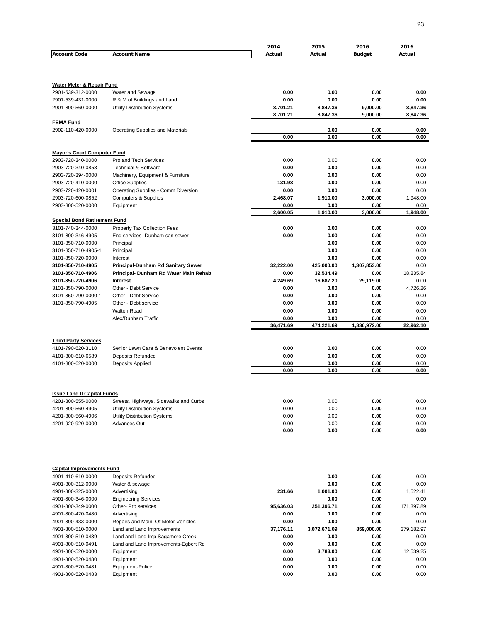|                                                       |                                                                        | 2014                 | 2015                 | 2016                 | 2016                 |
|-------------------------------------------------------|------------------------------------------------------------------------|----------------------|----------------------|----------------------|----------------------|
| <b>Account Code</b>                                   | <b>Account Name</b>                                                    | Actual               | Actual               | <b>Budget</b>        | Actual               |
|                                                       |                                                                        |                      |                      |                      |                      |
| <b>Water Meter &amp; Repair Fund</b>                  |                                                                        |                      |                      |                      |                      |
| 2901-539-312-0000                                     | Water and Sewage                                                       | 0.00                 | 0.00                 | 0.00                 | 0.00                 |
| 2901-539-431-0000                                     | R & M of Buildings and Land                                            | 0.00                 | 0.00                 | 0.00                 | 0.00                 |
| 2901-800-560-0000                                     | Utility Distribution Systems                                           | 8,701.21<br>8,701.21 | 8,847.36<br>8,847.36 | 9,000.00<br>9,000.00 | 8,847.36<br>8,847.36 |
| <b>FEMA Fund</b>                                      |                                                                        |                      |                      |                      |                      |
| 2902-110-420-0000                                     | <b>Operating Supplies and Materials</b>                                |                      | 0.00                 | 0.00                 | 0.00                 |
|                                                       |                                                                        | 0.00                 | 0.00                 | 0.00                 | 0.00                 |
|                                                       |                                                                        |                      |                      |                      |                      |
| <b>Mayor's Court Computer Fund</b>                    |                                                                        |                      |                      |                      |                      |
| 2903-720-340-0000                                     | Pro and Tech Services                                                  | 0.00                 | 0.00                 | 0.00                 | 0.00                 |
| 2903-720-340-0853                                     | <b>Technical &amp; Software</b>                                        | 0.00                 | 0.00                 | 0.00                 | 0.00                 |
| 2903-720-394-0000<br>2903-720-410-0000                | Machinery, Equipment & Furniture<br><b>Office Supplies</b>             | 0.00<br>131.98       | 0.00<br>0.00         | 0.00<br>0.00         | 0.00<br>0.00         |
| 2903-720-420-0001                                     | Operating Supplies - Comm Diversion                                    | 0.00                 | 0.00                 | 0.00                 | 0.00                 |
| 2903-720-600-0852                                     | <b>Computers &amp; Supplies</b>                                        | 2,468.07             | 1,910.00             | 3,000.00             | 1.948.00             |
| 2903-800-520-0000                                     | Equipment                                                              | 0.00                 | 0.00                 | 0.00                 | 0.00                 |
|                                                       |                                                                        | 2,600.05             | 1,910.00             | 3,000.00             | 1,948.00             |
| <b>Special Bond Retirement Fund</b>                   |                                                                        |                      |                      |                      |                      |
| 3101-740-344-0000                                     | Property Tax Collection Fees                                           | 0.00                 | 0.00                 | 0.00                 | 0.00                 |
| 3101-800-346-4905<br>3101-850-710-0000                | Eng services -Dunham san sewer<br>Principal                            | 0.00                 | 0.00<br>0.00         | 0.00<br>0.00         | 0.00<br>0.00         |
| 3101-850-710-4905-1                                   | Principal                                                              |                      | 0.00                 | 0.00                 | 0.00                 |
| 3101-850-720-0000                                     | Interest                                                               |                      | 0.00                 | 0.00                 | 0.00                 |
| 3101-850-710-4905                                     | <b>Principal-Dunham Rd Sanitary Sewer</b>                              | 32,222.00            | 425,000.00           | 1,307,853.00         | 0.00                 |
| 3101-850-710-4906                                     | Principal- Dunham Rd Water Main Rehab                                  | 0.00                 | 32,534.49            | 0.00                 | 18,235.84            |
| 3101-850-720-4906                                     | Interest                                                               | 4,249.69             | 16,687.20            | 29,119.00            | 0.00                 |
| 3101-850-790-0000                                     | Other - Debt Service                                                   | 0.00                 | 0.00                 | 0.00                 | 4,726.26             |
| 3101-850-790-0000-1                                   | Other - Debt Service                                                   | 0.00                 | 0.00                 | 0.00                 | 0.00                 |
| 3101-850-790-4905                                     | Other - Debt service                                                   | 0.00                 | 0.00                 | 0.00                 | 0.00                 |
|                                                       | <b>Walton Road</b>                                                     | 0.00                 | 0.00                 | 0.00                 | 0.00                 |
|                                                       | Alex/Dunham Traffic                                                    | 0.00                 | 0.00                 | 0.00                 | 0.00                 |
|                                                       |                                                                        | 36,471.69            | 474,221.69           | 1,336,972.00         | 22,962.10            |
| <b>Third Party Services</b>                           |                                                                        |                      |                      |                      |                      |
| 4101-790-620-3110                                     | Senior Lawn Care & Benevolent Events                                   | 0.00                 | 0.00                 | 0.00                 | 0.00                 |
| 4101-800-610-6589                                     | <b>Deposits Refunded</b>                                               | 0.00                 | 0.00                 | 0.00                 | 0.00                 |
| 4101-800-620-0000                                     | <b>Deposits Applied</b>                                                | 0.00                 | 0.00                 | 0.00                 | 0.00                 |
|                                                       |                                                                        | 0.00                 | 0.00                 | 0.00                 | 0.00                 |
|                                                       |                                                                        |                      |                      |                      |                      |
| <b>Issue I and II Capital Funds</b>                   |                                                                        |                      |                      |                      |                      |
| 4201-800-555-0000<br>4201-800-560-4905                | Streets, Highways, Sidewalks and Curbs<br>Utility Distribution Systems | 0.00<br>0.00         | 0.00<br>0.00         | 0.00<br>0.00         | 0.00<br>0.00         |
| 4201-800-560-4906                                     | Utility Distribution Systems                                           | 0.00                 | 0.00                 | 0.00                 | 0.00                 |
| 4201-920-920-0000                                     | Advances Out                                                           | 0.00                 | 0.00                 | 0.00                 | 0.00                 |
|                                                       |                                                                        | 0.00                 | 0.00                 | 0.00                 | 0.00                 |
|                                                       |                                                                        |                      |                      |                      |                      |
| <b>Capital Improvements Fund</b><br>4901-410-610-0000 | <b>Deposits Refunded</b>                                               |                      | 0.00                 | 0.00                 | 0.00                 |
| 4901-800-312-0000                                     | Water & sewage                                                         |                      | 0.00                 | 0.00                 | 0.00                 |
| 4901-800-325-0000                                     | Advertising                                                            | 231.66               | 1,001.00             | 0.00                 | 1,522.41             |
| 4901-800-346-0000                                     | <b>Engineering Services</b>                                            |                      | 0.00                 | 0.00                 | 0.00                 |
| 4901-800-349-0000                                     | Other- Pro services                                                    | 95,636.03            | 251,396.71           | 0.00                 | 171,397.89           |
| 4901-800-420-0480                                     | Advertising                                                            | 0.00                 | 0.00                 | 0.00                 | 0.00                 |
| 4901-800-433-0000                                     | Repairs and Main. Of Motor Vehicles                                    | 0.00                 | 0.00                 | 0.00                 | 0.00                 |
| 4901-800-510-0000                                     | Land and Land Improvements                                             | 37,176.11            | 3,072,671.09         | 859,000.00           | 379,182.97           |
| 4901-800-510-0489                                     | Land and Land Imp Sagamore Creek                                       | 0.00                 | 0.00                 | 0.00                 | 0.00                 |
| 4901-800-510-0491                                     | Land and Land Improvements-Egbert Rd                                   | 0.00                 | 0.00                 | 0.00                 | 0.00                 |
| 4901-800-520-0000                                     | Equipment                                                              | 0.00                 | 3,783.00             | 0.00                 | 12,539.25            |
| 4901-800-520-0480                                     | Equipment                                                              | 0.00                 | 0.00                 | 0.00                 | 0.00                 |
| 4901-800-520-0481<br>4901-800-520-0483                | Equipment-Police<br>Equipment                                          | 0.00<br>0.00         | 0.00<br>0.00         | 0.00<br>0.00         | 0.00<br>0.00         |
|                                                       |                                                                        |                      |                      |                      |                      |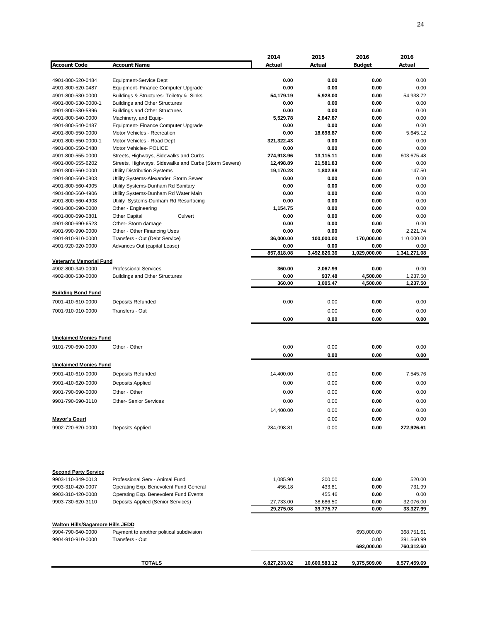|                                                  |                                                       | 2014         | 2015          | 2016          | 2016         |
|--------------------------------------------------|-------------------------------------------------------|--------------|---------------|---------------|--------------|
| <b>Account Code</b>                              | <b>Account Name</b>                                   | Actual       | Actual        | <b>Budget</b> | Actual       |
|                                                  |                                                       |              |               |               |              |
|                                                  |                                                       |              |               |               |              |
| 4901-800-520-0484                                | Equipment-Service Dept                                | 0.00         | 0.00          | 0.00          | 0.00         |
| 4901-800-520-0487                                | Equipment- Finance Computer Upgrade                   | 0.00         | 0.00          | 0.00          | 0.00         |
| 4901-800-530-0000                                | Buildings & Structures- Toiletry & Sinks              | 54,179.19    | 5,928.00      | 0.00          | 54,938.72    |
| 4901-800-530-0000-1                              | <b>Buildings and Other Structures</b>                 | 0.00         | 0.00          | 0.00          | 0.00         |
| 4901-800-530-5896                                | <b>Buildings and Other Structures</b>                 | 0.00         | 0.00          | 0.00          | 0.00         |
| 4901-800-540-0000                                | Machinery, and Equip-                                 | 5,529.78     | 2,847.87      | 0.00          | 0.00         |
| 4901-800-540-0487                                | Equipment- Finance Computer Upgrade                   | 0.00         | 0.00          | 0.00          | 0.00         |
| 4901-800-550-0000                                | Motor Vehicles - Recreation                           | 0.00         | 18,698.87     | 0.00          | 5,645.12     |
| 4901-800-550-0000-1                              | Motor Vehicles - Road Dept                            | 321,322.43   | 0.00          | 0.00          | 0.00         |
|                                                  |                                                       |              | 0.00          |               | 0.00         |
| 4901-800-550-0488                                | Motor Vehicles- POLICE                                | 0.00         |               | 0.00          |              |
| 4901-800-555-0000                                | Streets, Highways, Sidewalks and Curbs                | 274,918.96   | 13,115.11     | 0.00          | 603,675.48   |
| 4901-800-555-6202                                | Streets, Highways, Sidewalks and Curbs (Storm Sewers) | 12,498.89    | 21,581.83     | 0.00          | 0.00         |
| 4901-800-560-0000                                | <b>Utility Distribution Systems</b>                   | 19,170.28    | 1,802.88      | 0.00          | 147.50       |
| 4901-800-560-0803                                | Utility Systems-Alexander Storm Sewer                 | 0.00         | 0.00          | 0.00          | 0.00         |
| 4901-800-560-4905                                | Utility Systems-Dunham Rd Sanitary                    | 0.00         | 0.00          | 0.00          | 0.00         |
| 4901-800-560-4906                                | Utility Systems-Dunham Rd Water Main                  | 0.00         | 0.00          | 0.00          | 0.00         |
| 4901-800-560-4908                                | Utility Systems-Dunham Rd Resurfacing                 | 0.00         | 0.00          | 0.00          | 0.00         |
| 4901-800-690-0000                                | Other - Engineering                                   | 1,154.75     | 0.00          | 0.00          | 0.00         |
|                                                  |                                                       |              |               |               |              |
| 4901-800-690-0801                                | <b>Other Capital</b><br>Culvert                       | 0.00         | 0.00          | 0.00          | 0.00         |
| 4901-800-690-6523                                | Other-Storm damage                                    | 0.00         | 0.00          | 0.00          | 0.00         |
| 4901-990-990-0000                                | Other - Other Financing Uses                          | 0.00         | 0.00          | 0.00          | 2,221.74     |
| 4901-910-910-0000                                | Transfers - Out (Debt Service)                        | 36,000.00    | 100,000.00    | 170,000.00    | 110,000.00   |
| 4901-920-920-0000                                | Advances Out (capital Lease)                          | 0.00         | 0.00          | 0.00          | 0.00         |
|                                                  |                                                       | 857,818.08   | 3,492,826.36  | 1,029,000.00  | 1,341,271.08 |
| Veteran's Memorial Fund                          |                                                       |              |               |               |              |
| 4902-800-349-0000                                | <b>Professional Services</b>                          | 360.00       | 2,067.99      | 0.00          | 0.00         |
| 4902-800-530-0000                                | <b>Buildings and Other Structures</b>                 | 0.00         | 937.48        | 4,500.00      | 1,237.50     |
|                                                  |                                                       | 360.00       | 3,005.47      | 4,500.00      | 1,237.50     |
|                                                  |                                                       |              |               |               |              |
| <b>Building Bond Fund</b>                        |                                                       |              |               |               |              |
| 7001-410-610-0000                                | <b>Deposits Refunded</b>                              | 0.00         | 0.00          | 0.00          | 0.00         |
| 7001-910-910-0000                                | Transfers - Out                                       |              | 0.00          | 0.00          |              |
|                                                  |                                                       |              |               |               | 0.00         |
|                                                  |                                                       | 0.00         | 0.00          | 0.00          | 0.00         |
|                                                  |                                                       |              |               |               |              |
| <b>Unclaimed Monies Fund</b>                     |                                                       |              |               |               |              |
|                                                  |                                                       |              |               |               |              |
| 9101-790-690-0000                                | Other - Other                                         | 0.00         | 0.00          | 0.00          | 0.00         |
|                                                  |                                                       | 0.00         | 0.00          | 0.00          | 0.00         |
| <b>Unclaimed Monies Fund</b>                     |                                                       |              |               |               |              |
|                                                  |                                                       |              |               |               |              |
| 9901-410-610-0000                                | <b>Deposits Refunded</b>                              | 14,400.00    | 0.00          | 0.00          | 7,545.76     |
| 9901-410-620-0000                                | Deposits Applied                                      | 0.00         | 0.00          | 0.00          | 0.00         |
| 9901-790-690-0000                                | Other - Other                                         | 0.00         | 0.00          | 0.00          | 0.00         |
|                                                  |                                                       |              |               |               |              |
| 9901-790-690-3110                                | <b>Other-Senior Services</b>                          | 0.00         | 0.00          | 0.00          | 0.00         |
|                                                  |                                                       | 14,400.00    | 0.00          | 0.00          | 0.00         |
| <b>Mayor's Court</b>                             |                                                       |              | 0.00          | 0.00          | 0.00         |
|                                                  |                                                       |              |               |               |              |
| 9902-720-620-0000                                | Deposits Applied                                      | 284,098.81   | 0.00          | 0.00          | 272,926.61   |
|                                                  |                                                       |              |               |               |              |
| <b>Second Party Service</b><br>9903-110-349-0013 | Professional Serv - Animal Fund                       | 1,085.90     | 200.00        | 0.00          | 520.00       |
| 9903-310-420-0007                                |                                                       | 456.18       | 433.81        | 0.00          | 731.99       |
|                                                  | Operating Exp. Benevolent Fund General                |              |               |               |              |
| 9903-310-420-0008                                | Operating Exp. Benevolent Fund Events                 |              | 455.46        | 0.00          | 0.00         |
| 9903-730-620-3110                                | <b>Deposits Applied (Senior Services)</b>             | 27,733.00    | 38,686.50     | 0.00          | 32,076.00    |
|                                                  |                                                       | 29,275.08    | 39,775.77     | 0.00          | 33,327.99    |
|                                                  |                                                       |              |               |               |              |
| <b>Walton Hills/Sagamore Hills JEDD</b>          |                                                       |              |               |               |              |
| 9904-790-640-0000                                | Payment to another political subdivision              |              |               | 693,000.00    | 368,751.61   |
| 9904-910-910-0000                                | Transfers - Out                                       |              |               | 0.00          | 391,560.99   |
|                                                  |                                                       |              |               | 693,000.00    | 760,312.60   |
|                                                  |                                                       |              |               |               |              |
|                                                  |                                                       |              |               |               |              |
|                                                  | <b>TOTALS</b>                                         | 6,827,233.02 | 10,600,583.12 | 9,375,509.00  | 8,577,459.69 |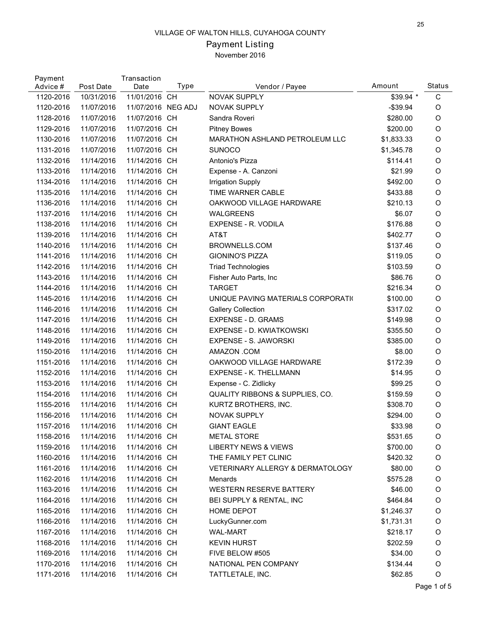# Payment Listing

November 2016

| Payment<br>Advice # | Post Date  | Transaction<br>Date | Type | Vendor / Payee                              | Amount      | Status       |
|---------------------|------------|---------------------|------|---------------------------------------------|-------------|--------------|
| 1120-2016           | 10/31/2016 | 11/01/2016 CH       |      | NOVAK SUPPLY                                | \$39.94 *   | $\mathsf C$  |
| 1120-2016           | 11/07/2016 | 11/07/2016 NEG ADJ  |      | <b>NOVAK SUPPLY</b>                         | $-$ \$39.94 | O            |
| 1128-2016           | 11/07/2016 | 11/07/2016 CH       |      | Sandra Roveri                               | \$280.00    | O            |
| 1129-2016           | 11/07/2016 | 11/07/2016 CH       |      | <b>Pitney Bowes</b>                         | \$200.00    | O            |
| 1130-2016           | 11/07/2016 | 11/07/2016 CH       |      | MARATHON ASHLAND PETROLEUM LLC              | \$1,833.33  | O            |
| 1131-2016           | 11/07/2016 | 11/07/2016 CH       |      | <b>SUNOCO</b>                               | \$1,345.78  | O            |
| 1132-2016           | 11/14/2016 | 11/14/2016 CH       |      | Antonio's Pizza                             | \$114.41    | O            |
| 1133-2016           | 11/14/2016 | 11/14/2016 CH       |      | Expense - A. Canzoni                        | \$21.99     | O            |
| 1134-2016           | 11/14/2016 | 11/14/2016 CH       |      | <b>Irrigation Supply</b>                    | \$492.00    | O            |
| 1135-2016           | 11/14/2016 | 11/14/2016 CH       |      | TIME WARNER CABLE                           | \$433.88    | O            |
| 1136-2016           | 11/14/2016 | 11/14/2016 CH       |      | OAKWOOD VILLAGE HARDWARE                    | \$210.13    | O            |
| 1137-2016           | 11/14/2016 | 11/14/2016 CH       |      | <b>WALGREENS</b>                            | \$6.07      | O            |
| 1138-2016           | 11/14/2016 | 11/14/2016 CH       |      | EXPENSE - R. VODILA                         | \$176.88    | O            |
| 1139-2016           | 11/14/2016 | 11/14/2016 CH       |      | AT&T                                        | \$402.77    | O            |
| 1140-2016           | 11/14/2016 | 11/14/2016 CH       |      | BROWNELLS.COM                               | \$137.46    | O            |
| 1141-2016           | 11/14/2016 | 11/14/2016 CH       |      | <b>GIONINO'S PIZZA</b>                      | \$119.05    | O            |
| 1142-2016           | 11/14/2016 | 11/14/2016 CH       |      | <b>Triad Technologies</b>                   | \$103.59    | O            |
| 1143-2016           | 11/14/2016 | 11/14/2016 CH       |      | Fisher Auto Parts, Inc.                     | \$86.76     | O            |
| 1144-2016           | 11/14/2016 | 11/14/2016 CH       |      | <b>TARGET</b>                               | \$216.34    | O            |
| 1145-2016           | 11/14/2016 | 11/14/2016 CH       |      | UNIQUE PAVING MATERIALS CORPORATIO          | \$100.00    | O            |
| 1146-2016           | 11/14/2016 | 11/14/2016 CH       |      | <b>Gallery Collection</b>                   | \$317.02    | O            |
| 1147-2016           | 11/14/2016 | 11/14/2016 CH       |      | <b>EXPENSE - D. GRAMS</b>                   | \$149.98    | O            |
| 1148-2016           | 11/14/2016 | 11/14/2016 CH       |      | EXPENSE - D. KWIATKOWSKI                    | \$355.50    | O            |
| 1149-2016           | 11/14/2016 | 11/14/2016 CH       |      | <b>EXPENSE - S. JAWORSKI</b>                | \$385.00    | O            |
| 1150-2016           | 11/14/2016 | 11/14/2016 CH       |      | AMAZON .COM                                 | \$8.00      | O            |
| 1151-2016           | 11/14/2016 | 11/14/2016 CH       |      | OAKWOOD VILLAGE HARDWARE                    | \$172.39    | O            |
| 1152-2016           | 11/14/2016 | 11/14/2016 CH       |      | <b>EXPENSE - K. THELLMANN</b>               | \$14.95     | O            |
| 1153-2016           | 11/14/2016 | 11/14/2016 CH       |      | Expense - C. Zidlicky                       | \$99.25     | O            |
| 1154-2016           | 11/14/2016 | 11/14/2016 CH       |      | QUALITY RIBBONS & SUPPLIES, CO.             | \$159.59    | O            |
|                     |            |                     |      |                                             |             |              |
| 1155-2016           | 11/14/2016 | 11/14/2016 CH       |      | KURTZ BROTHERS, INC.                        | \$308.70    | O<br>$\circ$ |
| 1156-2016           | 11/14/2016 | 11/14/2016 CH       |      | <b>NOVAK SUPPLY</b><br><b>GIANT EAGLE</b>   | \$294.00    |              |
| 1157-2016           | 11/14/2016 | 11/14/2016 CH       |      |                                             | \$33.98     | O            |
| 1158-2016           | 11/14/2016 | 11/14/2016 CH       |      | <b>METAL STORE</b>                          | \$531.65    | O            |
| 1159-2016           | 11/14/2016 | 11/14/2016 CH       |      | <b>LIBERTY NEWS &amp; VIEWS</b>             | \$700.00    | O            |
| 1160-2016           | 11/14/2016 | 11/14/2016 CH       |      | THE FAMILY PET CLINIC                       | \$420.32    | O            |
| 1161-2016           | 11/14/2016 | 11/14/2016 CH       |      | <b>VETERINARY ALLERGY &amp; DERMATOLOGY</b> | \$80.00     | O            |
| 1162-2016           | 11/14/2016 | 11/14/2016 CH       |      | Menards                                     | \$575.28    | O            |
| 1163-2016           | 11/14/2016 | 11/14/2016 CH       |      | <b>WESTERN RESERVE BATTERY</b>              | \$46.00     | O            |
| 1164-2016           | 11/14/2016 | 11/14/2016 CH       |      | BEI SUPPLY & RENTAL, INC                    | \$464.84    | O            |
| 1165-2016           | 11/14/2016 | 11/14/2016 CH       |      | HOME DEPOT                                  | \$1,246.37  | O            |
| 1166-2016           | 11/14/2016 | 11/14/2016 CH       |      | LuckyGunner.com                             | \$1,731.31  | O            |
| 1167-2016           | 11/14/2016 | 11/14/2016 CH       |      | <b>WAL-MART</b>                             | \$218.17    | O            |
| 1168-2016           | 11/14/2016 | 11/14/2016 CH       |      | <b>KEVIN HURST</b>                          | \$202.59    | O            |
| 1169-2016           | 11/14/2016 | 11/14/2016 CH       |      | FIVE BELOW #505                             | \$34.00     | O            |
| 1170-2016           | 11/14/2016 | 11/14/2016 CH       |      | NATIONAL PEN COMPANY                        | \$134.44    | O            |
| 1171-2016           | 11/14/2016 | 11/14/2016 CH       |      | TATTLETALE, INC.                            | \$62.85     | O            |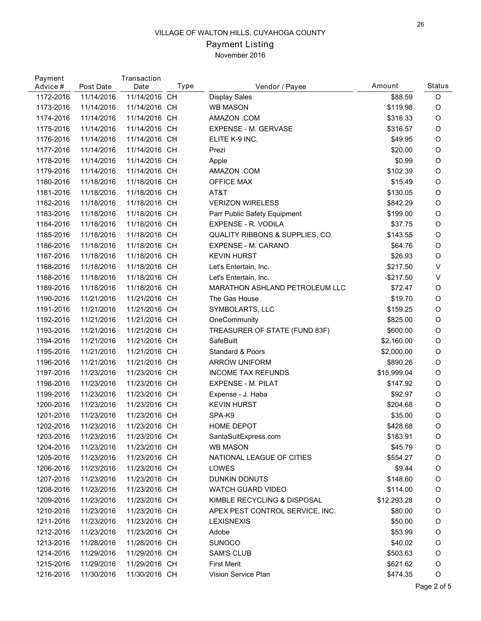## Payment Listing November 2016

| Payment<br>Advice # | Post Date  | Transaction<br>Date | Type | Vendor / Payee                        | Amount      | Status  |
|---------------------|------------|---------------------|------|---------------------------------------|-------------|---------|
| 1172-2016           | 11/14/2016 | 11/14/2016 CH       |      | <b>Display Sales</b>                  | \$88.59     | O       |
| 1173-2016           | 11/14/2016 | 11/14/2016 CH       |      | <b>WB MASON</b>                       | \$119.98    | $\circ$ |
| 1174-2016           | 11/14/2016 | 11/14/2016 CH       |      | AMAZON .COM                           | \$318.33    | $\circ$ |
| 1175-2016           | 11/14/2016 | 11/14/2016 CH       |      | EXPENSE - M. GERVASE                  | \$316.57    | $\circ$ |
| 1176-2016           | 11/14/2016 | 11/14/2016 CH       |      | ELITE K-9 INC.                        | \$49.95     | $\circ$ |
| 1177-2016           | 11/14/2016 | 11/14/2016 CH       |      | Prezi                                 | \$20.00     | $\circ$ |
| 1178-2016           | 11/14/2016 | 11/14/2016 CH       |      | Apple                                 | \$0.99      | $\circ$ |
| 1179-2016           | 11/14/2016 | 11/14/2016 CH       |      | AMAZON .COM                           | \$102.39    | $\circ$ |
| 1180-2016           | 11/18/2016 | 11/18/2016 CH       |      | <b>OFFICE MAX</b>                     | \$15.49     | $\circ$ |
| 1181-2016           | 11/18/2016 | 11/18/2016 CH       |      | AT&T                                  | \$130.05    | $\circ$ |
| 1182-2016           | 11/18/2016 | 11/18/2016 CH       |      | <b>VERIZON WIRELESS</b>               | \$842.29    | $\circ$ |
| 1183-2016           | 11/18/2016 | 11/18/2016 CH       |      | Parr Public Safety Equipment          | \$199.00    | $\circ$ |
| 1184-2016           | 11/18/2016 | 11/18/2016 CH       |      | EXPENSE - R. VODILA                   | \$37.75     | $\circ$ |
| 1185-2016           | 11/18/2016 | 11/18/2016 CH       |      | QUALITY RIBBONS & SUPPLIES, CO.       | \$143.55    | $\circ$ |
| 1186-2016           | 11/18/2016 | 11/18/2016 CH       |      | EXPENSE - M. CARANO                   | \$64.76     | $\circ$ |
| 1187-2016           | 11/18/2016 | 11/18/2016 CH       |      | <b>KEVIN HURST</b>                    | \$26.93     | $\circ$ |
| 1188-2016           | 11/18/2016 | 11/18/2016 CH       |      | Let's Entertain, Inc.                 | \$217.50    | $\vee$  |
| 1188-2016           | 11/18/2016 | 11/18/2016 CH       |      | Let's Entertain, Inc.                 | $-$217.50$  | $\vee$  |
| 1189-2016           | 11/18/2016 | 11/18/2016 CH       |      | <b>MARATHON ASHLAND PETROLEUM LLC</b> | \$72.47     | O       |
| 1190-2016           | 11/21/2016 | 11/21/2016 CH       |      | The Gas House                         | \$19.70     | $\circ$ |
| 1191-2016           | 11/21/2016 | 11/21/2016 CH       |      | SYMBOLARTS, LLC                       | \$159.25    | $\circ$ |
| 1192-2016           | 11/21/2016 | 11/21/2016 CH       |      | OneCommunity                          | \$825.00    | $\circ$ |
| 1193-2016           | 11/21/2016 | 11/21/2016 CH       |      | TREASURER OF STATE (FUND 83F)         | \$600.00    | $\circ$ |
| 1194-2016           | 11/21/2016 | 11/21/2016 CH       |      | <b>SafeBuilt</b>                      | \$2,160.00  | O       |
| 1195-2016           | 11/21/2016 | 11/21/2016 CH       |      | Standard & Poors                      | \$2,000.00  | $\circ$ |
| 1196-2016           | 11/21/2016 | 11/21/2016 CH       |      | <b>ARROW UNIFORM</b>                  | \$890.26    | $\circ$ |
| 1197-2016           | 11/23/2016 | 11/23/2016 CH       |      | <b>INCOME TAX REFUNDS</b>             | \$15,999.04 | $\circ$ |
| 1198-2016           | 11/23/2016 | 11/23/2016 CH       |      | <b>EXPENSE - M. PILAT</b>             | \$147.92    | $\circ$ |
| 1199-2016           | 11/23/2016 | 11/23/2016 CH       |      | Expense - J. Haba                     | \$92.97     | $\circ$ |
| 1200-2016           | 11/23/2016 | 11/23/2016 CH       |      | <b>KEVIN HURST</b>                    | \$204.68    | $\circ$ |
| 1201-2016           | 11/23/2016 | 11/23/2016 CH       |      | SPA-K9                                | \$35.00     | $\circ$ |
| 1202-2016           | 11/23/2016 | 11/23/2016 CH       |      | <b>HOME DEPOT</b>                     | \$428.68    | $\circ$ |
| 1203-2016           | 11/23/2016 | 11/23/2016 CH       |      | SantaSuitExpress.com                  | \$183.91    | O       |
| 1204-2016           | 11/23/2016 | 11/23/2016 CH       |      | <b>WB MASON</b>                       | \$45.79     | O       |
| 1205-2016           | 11/23/2016 | 11/23/2016 CH       |      | NATIONAL LEAGUE OF CITIES             | \$554.27    | $\circ$ |
| 1206-2016           | 11/23/2016 | 11/23/2016 CH       |      | LOWES                                 | \$9.44      | $\circ$ |
| 1207-2016           | 11/23/2016 | 11/23/2016 CH       |      | DUNKIN DONUTS                         | \$148.60    | $\circ$ |
| 1208-2016           | 11/23/2016 | 11/23/2016 CH       |      | <b>WATCH GUARD VIDEO</b>              | \$114.00    | O       |
| 1209-2016           | 11/23/2016 | 11/23/2016 CH       |      | KIMBLE RECYCLING & DISPOSAL           | \$12,293.28 | O       |
| 1210-2016           | 11/23/2016 | 11/23/2016 CH       |      | APEX PEST CONTROL SERVICE, INC.       | \$80.00     | O       |
| 1211-2016           | 11/23/2016 | 11/23/2016 CH       |      | <b>LEXISNEXIS</b>                     | \$50.00     | $\circ$ |
| 1212-2016           | 11/23/2016 | 11/23/2016 CH       |      | Adobe                                 | \$53.99     | O       |
| 1213-2016           | 11/28/2016 | 11/28/2016 CH       |      | <b>SUNOCO</b>                         | \$40.02     | O       |
| 1214-2016           | 11/29/2016 | 11/29/2016 CH       |      | <b>SAM'S CLUB</b>                     | \$503.63    | O       |
| 1215-2016           | 11/29/2016 | 11/29/2016 CH       |      | <b>First Merit</b>                    | \$621.62    | O       |
| 1216-2016           | 11/30/2016 | 11/30/2016 CH       |      | Vision Service Plan                   | \$474.35    | O       |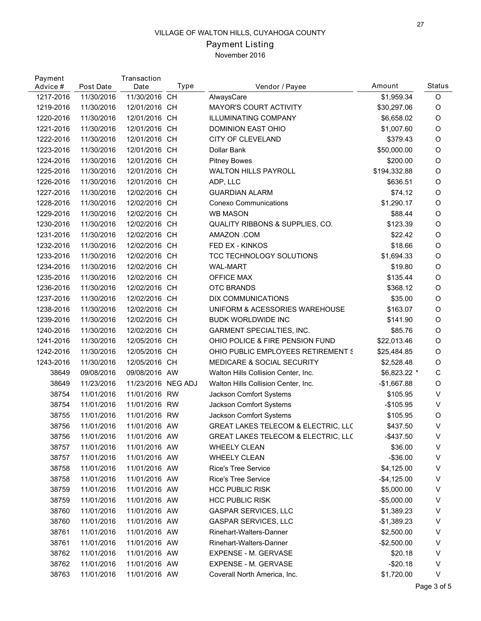## Payment Listing November 2016

| Payment<br>Advice # | Post Date  | Transaction<br>Date | Type | Vendor / Payee                                 | Amount       | Status      |
|---------------------|------------|---------------------|------|------------------------------------------------|--------------|-------------|
| 1217-2016           | 11/30/2016 | 11/30/2016 CH       |      | AlwaysCare                                     | \$1,959.34   | O           |
| 1219-2016           | 11/30/2016 | 12/01/2016 CH       |      | <b>MAYOR'S COURT ACTIVITY</b>                  | \$30,297.06  | O           |
| 1220-2016           | 11/30/2016 | 12/01/2016 CH       |      | <b>ILLUMINATING COMPANY</b>                    | \$6,658.02   | O           |
| 1221-2016           | 11/30/2016 | 12/01/2016 CH       |      | DOMINION EAST OHIO                             | \$1,007.60   | O           |
| 1222-2016           | 11/30/2016 | 12/01/2016 CH       |      | CITY OF CLEVELAND                              | \$379.43     | O           |
| 1223-2016           | 11/30/2016 | 12/01/2016 CH       |      | Dollar Bank                                    | \$50,000.00  | O           |
| 1224-2016           | 11/30/2016 | 12/01/2016 CH       |      | <b>Pitney Bowes</b>                            | \$200.00     | O           |
| 1225-2016           | 11/30/2016 | 12/01/2016 CH       |      | <b>WALTON HILLS PAYROLL</b>                    | \$194,332.88 | O           |
| 1226-2016           | 11/30/2016 | 12/01/2016 CH       |      | ADP, LLC                                       | \$636.51     | O           |
| 1227-2016           | 11/30/2016 | 12/02/2016 CH       |      | <b>GUARDIAN ALARM</b>                          | \$74.12      | O           |
| 1228-2016           | 11/30/2016 | 12/02/2016 CH       |      | <b>Conexo Communications</b>                   | \$1,290.17   | O           |
| 1229-2016           | 11/30/2016 | 12/02/2016 CH       |      | <b>WB MASON</b>                                | \$88.44      | O           |
| 1230-2016           | 11/30/2016 | 12/02/2016 CH       |      | QUALITY RIBBONS & SUPPLIES, CO.                | \$123.39     | O           |
| 1231-2016           | 11/30/2016 | 12/02/2016 CH       |      | AMAZON .COM                                    | \$22.42      | O           |
| 1232-2016           | 11/30/2016 | 12/02/2016 CH       |      | FED EX - KINKOS                                | \$18.66      | O           |
| 1233-2016           | 11/30/2016 | 12/02/2016 CH       |      | TCC TECHNOLOGY SOLUTIONS                       | \$1,694.33   | O           |
| 1234-2016           | 11/30/2016 | 12/02/2016 CH       |      | <b>WAL-MART</b>                                | \$19.80      | O           |
| 1235-2016           | 11/30/2016 | 12/02/2016 CH       |      | <b>OFFICE MAX</b>                              | \$135.44     | O           |
| 1236-2016           | 11/30/2016 | 12/02/2016 CH       |      | <b>OTC BRANDS</b>                              | \$368.12     | O           |
| 1237-2016           | 11/30/2016 | 12/02/2016 CH       |      | <b>DIX COMMUNICATIONS</b>                      | \$35.00      | O           |
| 1238-2016           | 11/30/2016 | 12/02/2016 CH       |      | UNIFORM & ACESSORIES WAREHOUSE                 | \$163.07     | O           |
| 1239-2016           | 11/30/2016 | 12/02/2016 CH       |      | <b>BUDK WORLDWIDE INC</b>                      | \$141.90     | O           |
| 1240-2016           | 11/30/2016 | 12/02/2016 CH       |      | <b>GARMENT SPECIALTIES, INC.</b>               | \$85.76      | O           |
| 1241-2016           | 11/30/2016 | 12/05/2016 CH       |      | OHIO POLICE & FIRE PENSION FUND                | \$22,013.46  | O           |
| 1242-2016           | 11/30/2016 | 12/05/2016 CH       |      | OHIO PUBLIC EMPLOYEES RETIREMENT S             | \$25,484.85  | O           |
| 1243-2016           | 11/30/2016 | 12/05/2016 CH       |      | <b>MEDICARE &amp; SOCIAL SECURITY</b>          | \$2,528.48   | $\circ$     |
| 38649               | 09/08/2016 | 09/08/2016 AW       |      | Walton Hills Collision Center, Inc.            | \$6,823.22 * | $\mathsf C$ |
| 38649               | 11/23/2016 | 11/23/2016 NEG ADJ  |      | Walton Hills Collision Center, Inc.            | $-$1,667.88$ | O           |
| 38754               | 11/01/2016 | 11/01/2016 RW       |      | Jackson Comfort Systems                        | \$105.95     | V           |
| 38754               | 11/01/2016 | 11/01/2016 RW       |      | Jackson Comfort Systems                        | $-$105.95$   | V           |
| 38755               | 11/01/2016 | 11/01/2016 RW       |      | Jackson Comfort Systems                        | \$105.95     | O           |
| 38756               | 11/01/2016 | 11/01/2016 AW       |      | <b>GREAT LAKES TELECOM &amp; ELECTRIC, LLC</b> | \$437.50     | V           |
| 38756               | 11/01/2016 | 11/01/2016 AW       |      | <b>GREAT LAKES TELECOM &amp; ELECTRIC, LLC</b> | $-$437.50$   | V           |
| 38757               | 11/01/2016 | 11/01/2016 AW       |      | <b>WHEELY CLEAN</b>                            | \$36.00      | V           |
| 38757               | 11/01/2016 | 11/01/2016 AW       |      | <b>WHEELY CLEAN</b>                            | $-$36.00$    | V           |
| 38758               | 11/01/2016 | 11/01/2016 AW       |      | Rice's Tree Service                            | \$4,125.00   | V           |
| 38758               | 11/01/2016 | 11/01/2016 AW       |      | <b>Rice's Tree Service</b>                     | $-$4,125.00$ | V           |
| 38759               | 11/01/2016 | 11/01/2016 AW       |      | <b>HCC PUBLIC RISK</b>                         | \$5,000.00   | V           |
| 38759               | 11/01/2016 | 11/01/2016 AW       |      | <b>HCC PUBLIC RISK</b>                         | $-$5,000.00$ | V           |
| 38760               | 11/01/2016 | 11/01/2016 AW       |      | <b>GASPAR SERVICES, LLC</b>                    | \$1,389.23   | V           |
| 38760               | 11/01/2016 | 11/01/2016 AW       |      | <b>GASPAR SERVICES, LLC</b>                    | $-$1,389.23$ | V           |
| 38761               | 11/01/2016 | 11/01/2016 AW       |      | Rinehart-Walters-Danner                        | \$2,500.00   | V           |
| 38761               | 11/01/2016 | 11/01/2016 AW       |      | Rinehart-Walters-Danner                        | $-$2,500.00$ | V           |
| 38762               | 11/01/2016 | 11/01/2016 AW       |      | EXPENSE - M. GERVASE                           | \$20.18      | V           |
| 38762               | 11/01/2016 | 11/01/2016 AW       |      | <b>EXPENSE - M. GERVASE</b>                    | $-$20.18$    | V           |
| 38763               | 11/01/2016 | 11/01/2016 AW       |      | Coverall North America, Inc.                   | \$1,720.00   | V           |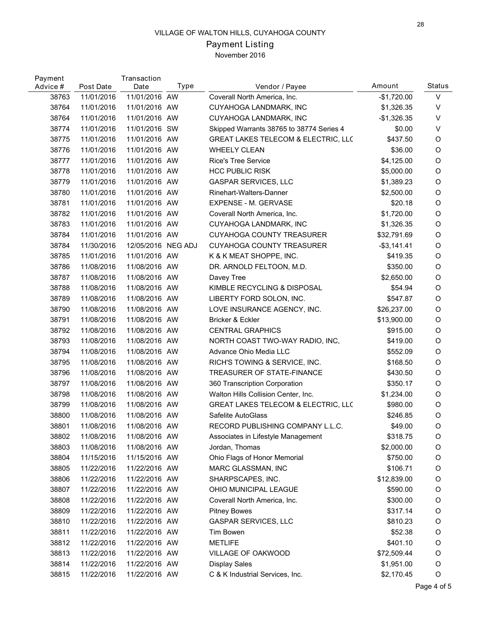# Payment Listing

November 2016

| Payment<br>Advice # | Post Date  | Transaction<br>Date | Type | Vendor / Payee                           | Amount       | <b>Status</b> |
|---------------------|------------|---------------------|------|------------------------------------------|--------------|---------------|
| 38763               | 11/01/2016 | 11/01/2016 AW       |      | Coverall North America, Inc.             | $-$1,720.00$ | $\vee$        |
| 38764               | 11/01/2016 | 11/01/2016 AW       |      | CUYAHOGA LANDMARK, INC                   | \$1,326.35   | V             |
| 38764               | 11/01/2016 | 11/01/2016 AW       |      | CUYAHOGA LANDMARK, INC                   | $-$1,326.35$ | V             |
| 38774               | 11/01/2016 | 11/01/2016 SW       |      | Skipped Warrants 38765 to 38774 Series 4 | \$0.00       | V             |
| 38775               | 11/01/2016 | 11/01/2016 AW       |      | GREAT LAKES TELECOM & ELECTRIC, LLC      | \$437.50     | O             |
| 38776               | 11/01/2016 | 11/01/2016 AW       |      | <b>WHEELY CLEAN</b>                      | \$36.00      | O             |
| 38777               | 11/01/2016 | 11/01/2016 AW       |      | <b>Rice's Tree Service</b>               | \$4,125.00   | O             |
| 38778               | 11/01/2016 | 11/01/2016 AW       |      | <b>HCC PUBLIC RISK</b>                   | \$5,000.00   | O             |
| 38779               | 11/01/2016 | 11/01/2016 AW       |      | <b>GASPAR SERVICES, LLC</b>              | \$1,389.23   | O             |
| 38780               | 11/01/2016 | 11/01/2016 AW       |      | Rinehart-Walters-Danner                  | \$2,500.00   | O             |
| 38781               | 11/01/2016 | 11/01/2016 AW       |      | EXPENSE - M. GERVASE                     | \$20.18      | O             |
| 38782               | 11/01/2016 | 11/01/2016 AW       |      | Coverall North America, Inc.             | \$1,720.00   | O             |
| 38783               | 11/01/2016 | 11/01/2016 AW       |      | CUYAHOGA LANDMARK, INC                   | \$1,326.35   | O             |
| 38784               | 11/01/2016 | 11/01/2016 AW       |      | <b>CUYAHOGA COUNTY TREASURER</b>         | \$32,791.69  | O             |
| 38784               | 11/30/2016 | 12/05/2016 NEG ADJ  |      | <b>CUYAHOGA COUNTY TREASURER</b>         | $-$3,141.41$ | O             |
| 38785               | 11/01/2016 | 11/01/2016 AW       |      | K & K MEAT SHOPPE, INC.                  | \$419.35     | O             |
| 38786               | 11/08/2016 | 11/08/2016 AW       |      | DR. ARNOLD FELTOON, M.D.                 | \$350.00     | O             |
| 38787               | 11/08/2016 | 11/08/2016 AW       |      | Davey Tree                               | \$2,650.00   | O             |
| 38788               | 11/08/2016 | 11/08/2016 AW       |      | KIMBLE RECYCLING & DISPOSAL              | \$54.94      | O             |
| 38789               | 11/08/2016 | 11/08/2016 AW       |      | LIBERTY FORD SOLON, INC.                 | \$547.87     | O             |
| 38790               | 11/08/2016 | 11/08/2016 AW       |      | LOVE INSURANCE AGENCY, INC.              | \$26,237.00  | O             |
| 38791               | 11/08/2016 | 11/08/2016 AW       |      | Bricker & Eckler                         | \$13,900.00  | O             |
| 38792               | 11/08/2016 | 11/08/2016 AW       |      | <b>CENTRAL GRAPHICS</b>                  | \$915.00     | O             |
| 38793               | 11/08/2016 | 11/08/2016 AW       |      | NORTH COAST TWO-WAY RADIO, INC,          | \$419.00     | O             |
| 38794               | 11/08/2016 | 11/08/2016 AW       |      | Advance Ohio Media LLC                   | \$552.09     | O             |
| 38795               | 11/08/2016 | 11/08/2016 AW       |      | RICH'S TOWING & SERVICE, INC.            | \$168.50     | O             |
| 38796               | 11/08/2016 | 11/08/2016 AW       |      | TREASURER OF STATE-FINANCE               | \$430.50     | O             |
| 38797               | 11/08/2016 | 11/08/2016 AW       |      | 360 Transcription Corporation            | \$350.17     | O             |
| 38798               | 11/08/2016 | 11/08/2016 AW       |      | Walton Hills Collision Center, Inc.      | \$1,234.00   | O             |
| 38799               | 11/08/2016 | 11/08/2016 AW       |      | GREAT LAKES TELECOM & ELECTRIC, LLC      | \$980.00     | O             |
| 38800               | 11/08/2016 | 11/08/2016 AW       |      | Safelite AutoGlass                       | \$246.85     | O             |
| 38801               | 11/08/2016 | 11/08/2016 AW       |      | RECORD PUBLISHING COMPANY L.L.C.         | \$49.00      | O             |
| 38802               | 11/08/2016 | 11/08/2016 AW       |      | Associates in Lifestyle Management       | \$318.75     | O             |
| 38803               | 11/08/2016 | 11/08/2016 AW       |      | Jordan, Thomas                           | \$2,000.00   | $\circ$       |
| 38804               | 11/15/2016 | 11/15/2016 AW       |      | Ohio Flags of Honor Memorial             | \$750.00     | O             |
| 38805               | 11/22/2016 | 11/22/2016 AW       |      | MARC GLASSMAN, INC                       | \$106.71     | O             |
| 38806               | 11/22/2016 | 11/22/2016 AW       |      | SHARPSCAPES, INC.                        | \$12,839.00  | O             |
| 38807               | 11/22/2016 | 11/22/2016 AW       |      | OHIO MUNICIPAL LEAGUE                    | \$590.00     | $\circ$       |
| 38808               | 11/22/2016 | 11/22/2016 AW       |      | Coverall North America, Inc.             | \$300.00     | O             |
| 38809               | 11/22/2016 | 11/22/2016 AW       |      | <b>Pitney Bowes</b>                      | \$317.14     | O             |
| 38810               | 11/22/2016 | 11/22/2016 AW       |      | <b>GASPAR SERVICES, LLC</b>              | \$810.23     | $\circ$       |
| 38811               | 11/22/2016 | 11/22/2016 AW       |      | Tim Bowen                                | \$52.38      | $\circ$       |
| 38812               | 11/22/2016 | 11/22/2016 AW       |      | <b>METLIFE</b>                           | \$401.10     | O             |
| 38813               | 11/22/2016 | 11/22/2016 AW       |      | VILLAGE OF OAKWOOD                       | \$72,509.44  | O             |
| 38814               | 11/22/2016 | 11/22/2016 AW       |      | <b>Display Sales</b>                     | \$1,951.00   | O             |
| 38815               | 11/22/2016 | 11/22/2016 AW       |      | C & K Industrial Services, Inc.          | \$2,170.45   | $\circ$       |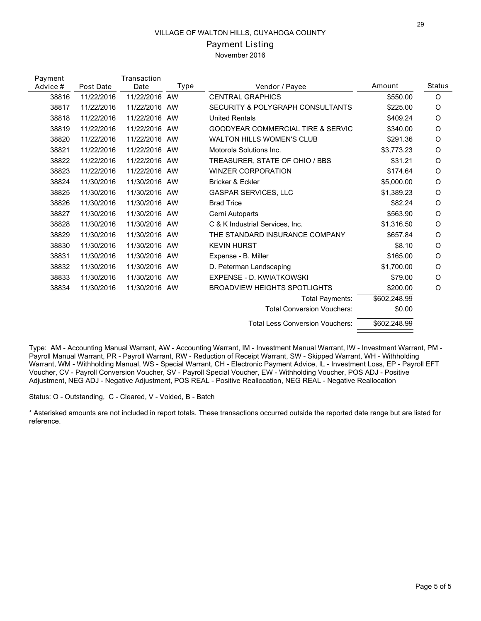## Payment Listing November 2016

| Payment  |            | Transaction   |      |                                              | Amount       | <b>Status</b> |
|----------|------------|---------------|------|----------------------------------------------|--------------|---------------|
| Advice # | Post Date  | Date          | Type | Vendor / Payee                               |              |               |
| 38816    | 11/22/2016 | 11/22/2016 AW |      | <b>CENTRAL GRAPHICS</b>                      | \$550.00     | O             |
| 38817    | 11/22/2016 | 11/22/2016 AW |      | SECURITY & POLYGRAPH CONSULTANTS             | \$225.00     | O             |
| 38818    | 11/22/2016 | 11/22/2016    | AW   | <b>United Rentals</b>                        | \$409.24     | O             |
| 38819    | 11/22/2016 | 11/22/2016 AW |      | <b>GOODYEAR COMMERCIAL TIRE &amp; SERVIC</b> | \$340.00     | O             |
| 38820    | 11/22/2016 | 11/22/2016 AW |      | <b>WALTON HILLS WOMEN'S CLUB</b>             | \$291.36     | O             |
| 38821    | 11/22/2016 | 11/22/2016 AW |      | Motorola Solutions Inc.                      | \$3.773.23   | O             |
| 38822    | 11/22/2016 | 11/22/2016    | AW   | TREASURER, STATE OF OHIO / BBS               | \$31.21      | O             |
| 38823    | 11/22/2016 | 11/22/2016 AW |      | <b>WINZER CORPORATION</b>                    | \$174.64     | $\circ$       |
| 38824    | 11/30/2016 | 11/30/2016 AW |      | Bricker & Eckler                             | \$5,000.00   | O             |
| 38825    | 11/30/2016 | 11/30/2016 AW |      | <b>GASPAR SERVICES, LLC</b>                  | \$1,389.23   | O             |
| 38826    | 11/30/2016 | 11/30/2016 AW |      | <b>Brad Trice</b>                            | \$82.24      | O             |
| 38827    | 11/30/2016 | 11/30/2016 AW |      | Cerni Autoparts                              | \$563.90     | O             |
| 38828    | 11/30/2016 | 11/30/2016 AW |      | C & K Industrial Services, Inc.              | \$1,316.50   | O             |
| 38829    | 11/30/2016 | 11/30/2016 AW |      | THE STANDARD INSURANCE COMPANY               | \$657.84     | O             |
| 38830    | 11/30/2016 | 11/30/2016 AW |      | <b>KEVIN HURST</b>                           | \$8.10       | O             |
| 38831    | 11/30/2016 | 11/30/2016 AW |      | Expense - B. Miller                          | \$165.00     | $\circ$       |
| 38832    | 11/30/2016 | 11/30/2016 AW |      | D. Peterman Landscaping                      | \$1.700.00   | O             |
| 38833    | 11/30/2016 | 11/30/2016 AW |      | EXPENSE - D. KWIATKOWSKI                     | \$79.00      | O             |
| 38834    | 11/30/2016 | 11/30/2016 AW |      | <b>BROADVIEW HEIGHTS SPOTLIGHTS</b>          | \$200.00     | O             |
|          |            |               |      | Total Payments:                              | \$602,248.99 |               |
|          |            |               |      | <b>Total Conversion Vouchers:</b>            | \$0.00       |               |
|          |            |               |      | <b>Total Less Conversion Vouchers:</b>       | \$602,248.99 |               |
|          |            |               |      |                                              |              |               |

Type: AM - Accounting Manual Warrant, AW - Accounting Warrant, IM - Investment Manual Warrant, IW - Investment Warrant, PM - Payroll Manual Warrant, PR - Payroll Warrant, RW - Reduction of Receipt Warrant, SW - Skipped Warrant, WH - Withholding Warrant, WM - Withholding Manual, WS - Special Warrant, CH - Electronic Payment Advice, IL - Investment Loss, EP - Payroll EFT Voucher, CV - Payroll Conversion Voucher, SV - Payroll Special Voucher, EW - Withholding Voucher, POS ADJ - Positive Adjustment, NEG ADJ - Negative Adjustment, POS REAL - Positive Reallocation, NEG REAL - Negative Reallocation

Status: O - Outstanding, C - Cleared, V - Voided, B - Batch

\* Asterisked amounts are not included in report totals. These transactions occurred outside the reported date range but are listed for reference.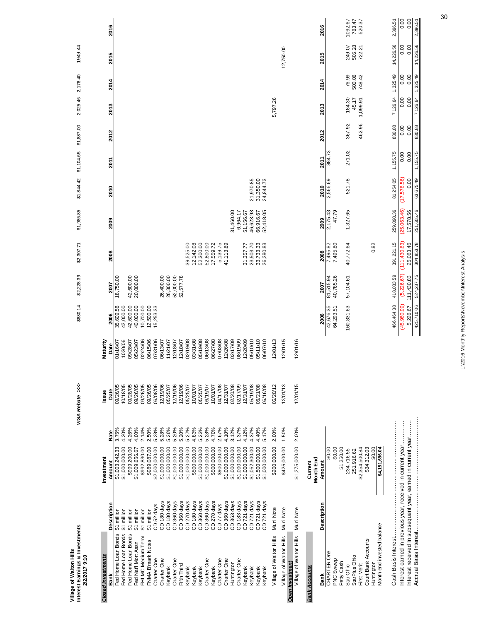| Interest Earnings & Investments<br>Village of Walton Hills<br>2/2/2017 9:10     |                                                    | VISA Rebate >>>      |                      | \$880.14               | \$2,228.39 | \$2,307.71             | \$1,985.85             | \$1,844.42             | \$1,104.65 | \$1,887.00 | 2,025.46        | 2,178.40        | 1949.44          |                   |
|---------------------------------------------------------------------------------|----------------------------------------------------|----------------------|----------------------|------------------------|------------|------------------------|------------------------|------------------------|------------|------------|-----------------|-----------------|------------------|-------------------|
| <b>Closed Investments</b>                                                       | Investment                                         | Issue                | Maturity             |                        |            |                        |                        |                        |            |            |                 |                 |                  |                   |
| Description<br>Bank                                                             | Rate<br>Amount                                     | Date                 | Date                 | 2006                   | 2007       | 2008                   | 2009                   | 2010                   | 2011       | 2012       | 2013            | 2014            | 2015             | 2016              |
| million<br><b>St</b> million<br>5<br>Fed Home Loan Bonds<br>Fed Home Loan Bonds | 3.75%<br>4.20%<br>\$1,003,242.33<br>\$1,000,000.00 | 10/18/05<br>09/26/05 | 1020/06<br>01/16/07  | 35,609.56<br>42,000.00 | 18,750.00  |                        |                        |                        |            |            |                 |                 |                  |                   |
| million<br>5<br>Fed Home Loan Bonds                                             | 4.26%<br>\$999,200.00                              | 09/28/05             | 09/28/07             | 42,600.00              | 42,600.00  |                        |                        |                        |            |            |                 |                 |                  |                   |
| million<br>ົ<br>Fed Nat'l Mort Assn                                             | 4.00%<br>\$1,009,656.67                            | 09/26/05             | 05/23/07             | 40,000.00              | 20,000.00  |                        |                        |                        |            |            |                 |                 |                  |                   |
| \$1 million<br>FHLMC Medium Term                                                | 2.14%<br>\$992,830.00                              | 09/26/05             | 02/24/06             | 10,700.00              |            |                        |                        |                        |            |            |                 |                 |                  |                   |
| \$1 million<br>FNMA B'mark Notes                                                | 2.50%<br>\$989,087.00                              | 09/26/05             | 06/15/06             | 12,500.00              |            |                        |                        |                        |            |            |                 |                 |                  |                   |
| CD 180 days<br>CD <sub>52</sub> days<br>Charter One<br>Charter One              | 5.28%<br>5.28%<br>\$1,000,000.00<br>\$2,000,000.00 | 06/08/06<br>12/19/06 | 07/31/06<br>06/13/07 | 15,253.33              | 26,400.00  |                        |                        |                        |            |            |                 |                 |                  |                   |
| CD 180 days<br>Keybank                                                          | 5.26%<br>\$1,000,000.00                            | 05/25/07             | 11/21/07             |                        | 26,300.00  |                        |                        |                        |            |            |                 |                 |                  |                   |
| CD 360 days<br>Charter One                                                      | 5.20%<br>\$1,000,000.00                            | 12/19/06             | 12/18/07             |                        | 52,000.00  |                        |                        |                        |            |            |                 |                 |                  |                   |
| CD 360 days<br>Fifth Third                                                      | 5.20%<br>\$1,000,000.00                            | 12/19/06             | 12/18/07             |                        | 52,577.78  |                        |                        |                        |            |            |                 |                 |                  |                   |
| CD 270 days<br>Keybank                                                          | 5.27%<br>\$1,000,000.00                            | 05/25/07             | 02/19/08             |                        |            | 39,525.00              |                        |                        |            |            |                 |                 |                  |                   |
| CD 180 days<br>Keybank                                                          | 4.83%<br>\$500,000.00                              | 10/01/07             | 03/31/08             |                        |            | 12, 142.08             |                        |                        |            |            |                 |                 |                  |                   |
| CD 360 days<br>CD 360 days<br>Charter One<br>Keybank                            | 5.23%<br>5.28%<br>\$1,000,000.00<br>\$1,000,000.00 | 05/25/07<br>06/19/07 | 05/19/08<br>06/13/08 |                        |            | 52,300.00<br>52,800.00 |                        |                        |            |            |                 |                 |                  |                   |
| CD 270 days<br>Keybank                                                          | 4.70%<br>\$500,000.00                              | 10/01/07             | 06/27/08             |                        |            | 17,559.72              |                        |                        |            |            |                 |                 |                  |                   |
| CD 77 days<br>Charter One                                                       | 2.67%<br>\$900,000.00                              | 04/17/08             | 07/03/08             |                        |            | 5,139.75               |                        |                        |            |            |                 |                 |                  |                   |
| CD 360 days<br>Charter One                                                      | 4.10%<br>\$1,000,000.00                            | 12/31/07             | 12/26/08             |                        |            | 41,113.89              |                        |                        |            |            |                 |                 |                  |                   |
| CD 363 days<br>Huntington                                                       | 3.12%<br>\$1,000,000.00                            | 02/20/08             | 02/17/09             |                        |            |                        | 31,460.00              |                        |            |            |                 |                 |                  |                   |
| CD <sub>183</sub> days<br>Charter One                                           | 1.37%<br>\$1,000,000.00                            | 02/17/09             | 08/19/09             |                        |            |                        | 6,964.17               |                        |            |            |                 |                 |                  |                   |
| CD 721 days<br>Keybank                                                          | 4.12%<br>\$1,000,000.00                            | 12/31/07             | 12/20/09             |                        |            | 31,357.77              | 51,156.67              |                        |            |            |                 |                 |                  |                   |
| CD 721 days<br>CD 721 days<br>Keybank                                           | 4.37%<br>4.40%<br>\$1,052,300.00<br>\$1,500,000.00 | 05/19/08<br>05/21/08 | 05/10/10<br>05/11/10 |                        |            | 23,503.70<br>33,733.33 | 46,623.93<br>66,916.67 | 31,350.00<br>21,970.85 |            |            |                 |                 |                  |                   |
| CD 721 days<br>Keybank<br><b>Keybank</b>                                        | 5.17%<br>\$1,000,000.00                            | 06/16/08             | 06/07/10             |                        |            | 26,280.83              | 52,418.05              | 24,844.73              |            |            |                 |                 |                  |                   |
|                                                                                 |                                                    |                      |                      |                        |            |                        |                        |                        |            |            |                 |                 |                  |                   |
| Muni Note<br>Village of Walton Hills                                            | 2.00%<br>\$200,000.00                              | 06/20/12             | 12/01/13             |                        |            |                        |                        |                        |            |            | 5,797.26        |                 |                  |                   |
| Muni Note<br>Village of Walton Hills                                            | 1.50%<br>\$425,000.00                              | 12/01/13             | 12/01/15             |                        |            |                        |                        |                        |            |            |                 |                 | 12,750.00        |                   |
| <b>Open Investment</b>                                                          |                                                    |                      |                      |                        |            |                        |                        |                        |            |            |                 |                 |                  |                   |
| Muni Note<br>Village of Walton Hills                                            | 2.00%<br>\$1,275,000.00                            | 12/01/15             | 12/01/16             |                        |            |                        |                        |                        |            |            |                 |                 |                  |                   |
| <b>Bank Accounts</b>                                                            | Month End<br>Current                               |                      |                      |                        |            |                        |                        |                        |            |            |                 |                 |                  |                   |
| Description<br>Bank                                                             | Amount                                             |                      |                      | 2006                   | 2007       | 2008                   | 2009                   | 2010                   | 2011       | 2012       | 2013            | 2014            | 2015             | 2016              |
| CHARTER One                                                                     | \$0.00                                             |                      |                      | 42,676.35              | 81,515.94  | 7,495.82               | 2,175.43               | 2,566.69               | 884.73     |            |                 |                 |                  |                   |
| PNC Sweep                                                                       | \$0.00                                             |                      |                      | 64,293.51              | 40,785.26  | 7,495.80               | 47.79                  |                        |            |            |                 |                 |                  |                   |
| Petty Cash                                                                      | \$1,250.00                                         |                      |                      |                        |            |                        |                        |                        |            |            |                 |                 |                  |                   |
| StarPlus Ohio<br>Star Ohio                                                      | 234,716.55<br>251,916.62                           |                      |                      | 160,831.63             | 57,104.61  | 40,772.64              | 1,327.65               | 521.78                 | 271.02     | 367.92     | 184.30<br>45.17 | 76.99<br>500.08 | 505.28<br>249.07 | 1092.67<br>783.47 |
| <b>First Merit</b>                                                              | \$2,354,500.84                                     |                      |                      |                        |            |                        |                        |                        |            | 462.96     | 1,099.91        | 748.42          | 722.21           | 520.37            |
| Court Bank Accounts                                                             | \$34,312.03                                        |                      |                      |                        |            |                        |                        |                        |            |            |                 |                 |                  |                   |
| Huntington                                                                      | \$0.00                                             |                      |                      |                        |            | 0.82                   |                        |                        |            |            |                 |                 |                  |                   |
| Month end invested balance                                                      | \$4,151,696.04                                     |                      |                      |                        |            |                        |                        |                        |            |            |                 |                 |                  |                   |
| Cash Basis Interest                                                             |                                                    |                      |                      | 466,464.38             | 418,033.59 | 391,221.15             | 259,090.36             | 81,254.05              | 1,155.75   | 830.88     | 7,126.64        | 1,325.49        | 14,226.56        | 2,396.51          |
| Interest earned in previous year, received in current year                      |                                                    |                      |                      | (45,980.99)            | (5,226.67) | (111, 430.83)          | (25,063.46)            | (17,578.56)            | 0.00       | 0.00       | 0.00            | 0.00            | 0.00             | 0.00              |
| Interest received In subsequent year, earned in current year                    |                                                    |                      |                      | 5,226.67               | 111,430.83 | 25,063.46              | 17,578.56              | 0.00                   | 0.00       | 0.00       | 0.00            | 0.00            | 0.00             | 0.00              |
|                                                                                 |                                                    |                      |                      | 425,710.06             | 524,237.75 | 304,853.78             | 251,605.46             | 63,675.49              | 1,155.75   | 830.88     | 7,126.64        | 1,325.49        | 14,226.56        | 2,396.51          |
|                                                                                 |                                                    |                      |                      |                        |            |                        |                        |                        |            |            |                 |                 |                  |                   |

L:\2016 Monthly Reports\November\Interest Analysis L:\2016 Monthly Reports\November\Interest Analysis

30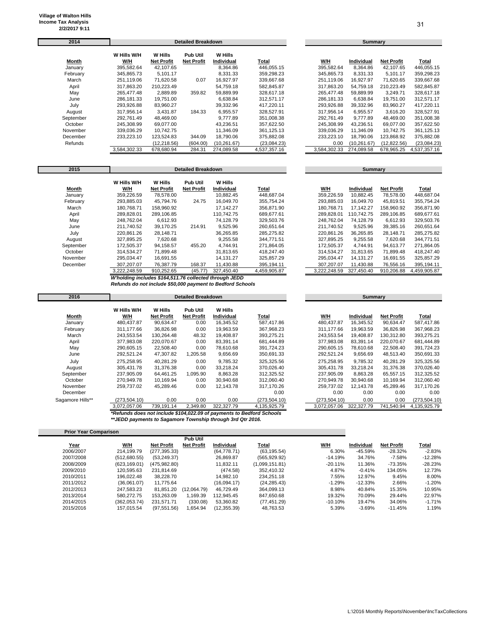**Prior Year Comparison**

| 2014      |              |                   | <b>Detailed Breakdown</b> |              |              |              | Summary           |                   |              |
|-----------|--------------|-------------------|---------------------------|--------------|--------------|--------------|-------------------|-------------------|--------------|
|           | W Hills W/H  | W Hills           | <b>Pub Util</b>           | W Hills      |              |              |                   |                   |              |
| Month     | <u>W/H</u>   | <b>Net Profit</b> | <b>Net Profit</b>         | Individual   | Total        | <u>W/H</u>   | <b>Individual</b> | <b>Net Profit</b> | <u>Total</u> |
| January   | 395,582.64   | 42,107.65         |                           | 8,364.86     | 446,055.15   | 395,582.64   | 8,364.86          | 42,107.65         | 446,055.15   |
| February  | 345,865.73   | 5,101.17          |                           | 8,331.33     | 359,298.23   | 345,865.73   | 8,331.33          | 5,101.17          | 359,298.23   |
| March     | 251.119.06   | 71.620.58         | 0.07                      | 16.927.97    | 339.667.68   | 251.119.06   | 16.927.97         | 71.620.65         | 339.667.68   |
| April     | 317.863.20   | 210,223.49        |                           | 54,759.18    | 582,845.87   | 317,863.20   | 54,759.18         | 210,223.49        | 582,845.87   |
| May       | 265.477.48   | 2.889.89          | 359.82                    | 59.889.99    | 328.617.18   | 265.477.48   | 59.889.99         | 3.249.71          | 328.617.18   |
| June      | 286.181.33   | 19.751.00         |                           | 6,638.84     | 312.571.17   | 286,181.33   | 6,638.84          | 19.751.00         | 312,571.17   |
| July      | 293,926.88   | 83,960.27         |                           | 39,332.96    | 417,220.11   | 293,926.88   | 39,332.96         | 83,960.27         | 417,220.11   |
| August    | 317.956.14   | 3.431.87          | 184.33                    | 6,955.57     | 328,527.91   | 317.956.14   | 6,955.57          | 3,616.20          | 328,527.91   |
| September | 292,761.49   | 48,469.00         |                           | 9,777.89     | 351,008.38   | 292,761.49   | 9,777.89          | 48,469.00         | 351,008.38   |
| October   | 245.308.99   | 69.077.00         |                           | 43.236.51    | 357.622.50   | 245.308.99   | 43.236.51         | 69.077.00         | 357.622.50   |
| November  | 339.036.29   | 10.742.75         |                           | 11.346.09    | 361.125.13   | 339.036.29   | 11,346.09         | 10.742.75         | 361,125.13   |
| December  | 233.223.10   | 123.524.83        | 344.09                    | 18.790.06    | 375,882.08   | 233.223.10   | 18.790.06         | 123.868.92        | 375,882.08   |
| Refunds   |              | (12,218.56)       | (604.00)                  | (10, 261.67) | (23,084.23)  | 0.00         | (10, 261.67)      | (12, 822.56)      | (23,084.23)  |
|           | 3.584.302.33 | 678.680.94        | 284.31                    | 274.089.58   | 4,537,357.16 | 3.584.302.33 | 274.089.58        | 678.965.25        | 4.537.357.16 |

| W/H          | <b>Individual</b> | <b>Net Profit</b> | Total        |
|--------------|-------------------|-------------------|--------------|
| 395,582.64   | 8.364.86          | 42.107.65         | 446.055.15   |
| 345.865.73   | 8.331.33          | 5.101.17          | 359.298.23   |
| 251.119.06   | 16.927.97         | 71.620.65         | 339.667.68   |
| 317.863.20   | 54.759.18         | 210.223.49        | 582.845.87   |
| 265.477.48   | 59.889.99         | 3.249.71          | 328.617.18   |
| 286.181.33   | 6.638.84          | 19.751.00         | 312.571.17   |
| 293.926.88   | 39.332.96         | 83.960.27         | 417,220.11   |
| 317.956.14   | 6.955.57          | 3.616.20          | 328.527.91   |
| 292.761.49   | 9.777.89          | 48.469.00         | 351.008.38   |
| 245.308.99   | 43.236.51         | 69.077.00         | 357.622.50   |
| 339.036.29   | 11.346.09         | 10.742.75         | 361,125.13   |
| 233.223.10   | 18.790.06         | 123.868.92        | 375.882.08   |
| 0.00         | (10, 261.67)      | (12.822.56)       | (23,084.23)  |
| 3.584.302.33 | 274.089.58        | 678.965.25        | 4,537,357.16 |

| 2015      |                    | <b>Detailed Breakdown</b>    |                                      |                              |              |     |              | Summary    |                   |              |  |
|-----------|--------------------|------------------------------|--------------------------------------|------------------------------|--------------|-----|--------------|------------|-------------------|--------------|--|
| Month     | W Hills W/H<br>W/H | W Hills<br><b>Net Profit</b> | <b>Pub Util</b><br><b>Net Profit</b> | <b>W</b> Hills<br>Individual | Total        | W/H |              | Individual | <b>Net Profit</b> | Total        |  |
| January   | 359.226.59         | 78.578.00                    |                                      | 10.882.45                    | 448.687.04   |     | 359.226.59   | 10.882.45  | 78.578.00         | 448.687.04   |  |
| February  | 293,885.03         | 45,794.76                    | 24.75                                | 16,049.70                    | 355,754.24   |     | 293,885.03   | 16,049.70  | 45,819.51         | 355,754.24   |  |
| March     | 180.768.71         | 158,960.92                   |                                      | 17.142.27                    | 356.871.90   |     | 180.768.71   | 17.142.27  | 158,960.92        | 356,871.90   |  |
| April     | 289,828.01         | 289,106.85                   |                                      | 110.742.75                   | 689,677.61   |     | 289,828.01   | 110.742.75 | 289,106.85        | 689,677.61   |  |
| May       | 248.762.04         | 6.612.93                     |                                      | 74.128.79                    | 329.503.76   |     | 248.762.04   | 74.128.79  | 6.612.93          | 329.503.76   |  |
| June      | 211,740.52         | 39.170.25                    | 214.91                               | 9,525.96                     | 260.651.64   |     | 211.740.52   | 9,525.96   | 39,385.16         | 260,651.64   |  |
| July      | 220,861.26         | 28,148.71                    |                                      | 36,265.85                    | 285,275.82   |     | 220.861.26   | 36,265.85  | 28,148.71         | 285,275.82   |  |
| August    | 327,895.25         | 7.620.68                     |                                      | 9.255.58                     | 344.771.51   |     | 327.895.25   | 9,255.58   | 7,620.68          | 344.771.51   |  |
| September | 172,505.37         | 94,158.57                    | 455.20                               | 4.744.91                     | 271,864.05   |     | 172,505.37   | 4,744.91   | 94,613.77         | 271,864.05   |  |
| October   | 314.534.27         | 71,899.48                    |                                      | 31.813.65                    | 418.247.40   |     | 314.534.27   | 31.813.65  | 71,899.48         | 418,247.40   |  |
| November  | 295.034.47         | 16,691.55                    |                                      | 14.131.27                    | 325,857.29   |     | 295.034.47   | 14.131.27  | 16,691.55         | 325,857.29   |  |
| December  | 307.207.07         | 76.387.79                    | 168.37                               | 11.430.88                    | 395,194.11   |     | 307.207.07   | 11.430.88  | 76.556.16         | 395,194.11   |  |
|           | 3,222,248.59       | 910,252.65                   | (45.77)                              | 327,450.40                   | 4,459,905.87 |     | 3,222,248.59 | 327,450.40 | 910,206.88        | 4,459,905.87 |  |
|           |                    |                              |                                      |                              |              |     |              |            |                   |              |  |

*W'holding includes \$164,511.76 collected through JEDD Refunds do not include \$50,000 payment to Bedford Schools*

| Returned about include \$50,000 payment to beginn a Scribble |  |  |  |
|--------------------------------------------------------------|--|--|--|
|                                                              |  |  |  |

| 2016                                                                                                                                |                    |                              | <b>Detailed Breakdown</b>            |                       |               | Summary       |            |            |               |
|-------------------------------------------------------------------------------------------------------------------------------------|--------------------|------------------------------|--------------------------------------|-----------------------|---------------|---------------|------------|------------|---------------|
| Month                                                                                                                               | W Hills W/H<br>W/H | W Hills<br><b>Net Profit</b> | <b>Pub Util</b><br><b>Net Profit</b> | W Hills<br>Individual | Total         | W/H           | Individual | Net Profit | Total         |
| January                                                                                                                             | 480.437.87         | 90,634.47                    | 0.00                                 | 16,345.52             | 587.417.86    | 480.437.87    | 16,345.52  | 90,634.47  | 587,417.86    |
| February                                                                                                                            | 311,177.66         | 36,826.98                    | 0.00                                 | 19,963.59             | 367,968.23    | 311,177.66    | 19,963.59  | 36,826.98  | 367,968.23    |
| March                                                                                                                               | 243,553.54         | 130,264.48                   | 48.32                                | 19,408.87             | 393,275.21    | 243,553.54    | 19,408.87  | 130,312.80 | 393,275.21    |
| April                                                                                                                               | 377,983.08         | 220,070.67                   | 0.00                                 | 83,391.14             | 681,444.89    | 377,983.08    | 83,391.14  | 220,070.67 | 681,444.89    |
| May                                                                                                                                 | 290,605.15         | 22,508.40                    | 0.00                                 | 78,610.68             | 391,724.23    | 290,605.15    | 78,610.68  | 22,508.40  | 391,724.23    |
| June                                                                                                                                | 292,521.24         | 47,307.82                    | 1,205.58                             | 9,656.69              | 350,691.33    | 292,521.24    | 9,656.69   | 48,513.40  | 350,691.33    |
| July                                                                                                                                | 275,258.95         | 40,281.29                    | 0.00                                 | 9,785.32              | 325,325.56    | 275,258.95    | 9,785.32   | 40,281.29  | 325,325.56    |
| August                                                                                                                              | 305,431.78         | 31,376.38                    | 0.00                                 | 33,218.24             | 370,026.40    | 305,431.78    | 33,218.24  | 31,376.38  | 370,026.40    |
| September                                                                                                                           | 237,905.09         | 64,461.25                    | 1,095.90                             | 8,863.28              | 312,325.52    | 237,905.09    | 8,863.28   | 65,557.15  | 312,325.52    |
| October                                                                                                                             | 270.949.78         | 10,169.94                    | 0.00                                 | 30.940.68             | 312,060.40    | 270.949.78    | 30.940.68  | 10.169.94  | 312,060.40    |
| November                                                                                                                            | 259.737.02         | 45,289.46                    | 0.00                                 | 12.143.78             | 317.170.26    | 259.737.02    | 12.143.78  | 45.289.46  | 317,170.26    |
| December                                                                                                                            |                    |                              |                                      |                       | 0.00          | 0.00          | 0.00       | 0.00       | 0.00          |
| Sagamore Hills**                                                                                                                    | (273, 504.10)      | 0.00                         | 0.00                                 | 0.00                  | (273, 504.10) | (273, 504.10) | 0.00       | 0.00       | (273, 504.10) |
|                                                                                                                                     | 3,072,057.06       | 739,191.14                   | 2,349.80                             | 322,327.79            | 4,135,925.79  | 3,072,057.06  | 322,327.79 | 741,540.94 | 4,135,925.79  |
| *Refunds does not include \$104,022.09 of payments to Bedford Schools<br>** IEDD normante to Conomove Toumabin through 3rd Otr 3046 |                    |                              |                                      |                       |               |               |            |            |               |

*\*\*JEDD payments to Sagamore Township through 3rd Qtr 2016.* 

| 11191 1941 9911194119911 |               |                   |                   |              |                |            |            |                   |           |
|--------------------------|---------------|-------------------|-------------------|--------------|----------------|------------|------------|-------------------|-----------|
|                          |               |                   | <b>Pub Util</b>   |              |                |            |            |                   |           |
| <u>Year</u>              | W/H           | <b>Net Profit</b> | <b>Net Profit</b> | Individual   | <u>Total</u>   | W/H        | Individual | <b>Net Profit</b> | Total     |
| 2006/2007                | 214,199.79    | (277, 395.33)     |                   | (64, 778.71) | (63, 195.54)   | 6.30%      | $-45.59%$  | $-28.32%$         | $-2.83%$  |
| 2007/2008                | (512,680.55)  | (53.249.37)       |                   | 26.869.87    | (565, 929.92)  | $-14.19%$  | 34.76%     | $-7.58%$          | $-12.28%$ |
| 2008/2009                | (623, 169.01) | (475, 982.80)     |                   | 11,832.11    | (1,099,151.81) | $-20.11\%$ | 11.36%     | -73.35%           | $-28.23%$ |
| 2009/2010                | 120.595.63    | 231.814.69        |                   | (474.58)     | 352.410.32     | 4.87%      | $-0.41%$   | 134.05%           | 12.73%    |
| 2010/2011                | 196.022.48    | 38.228.70         |                   | 14.982.10    | 234.251.18     | 7.55%      | 12.97%     | 9.45%             | 8.00%     |
| 2011/2012                | (36.061.07)   | 11.775.64         |                   | (16.094.17)  | (24, 285.43)   | $-1.29%$   | $-12.33%$  | 2.66%             | $-1.20%$  |
| 2012/2013                | 247.583.23    | 81.851.20         | (12.064.79)       | 46.729.49    | 364.099.13     | 8.98%      | 40.84%     | 15.35%            | 10.95%    |
| 2013/2014                | 580.272.75    | 153.263.09        | 1.169.39          | 112.945.45   | 847.650.68     | 19.32%     | 70.09%     | 29.44%            | 22.97%    |
| 2014/2015                | (362.053.74)  | 231.571.71        | (330.08)          | 53.360.82    | (77, 451.29)   | $-10.10\%$ | 19.47%     | 34.06%            | $-1.71%$  |
| 2015/2016                | 157.015.54    | (97, 551.56)      | 1.654.94          | (12,355.39)  | 48,763.53      | 5.39%      | $-3.69%$   | $-11.45\%$        | 1.19%     |
|                          |               |                   |                   |              |                |            |            |                   |           |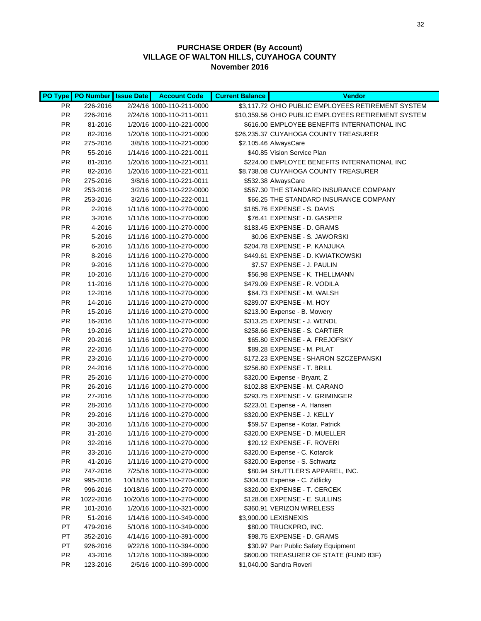|           | PO Type   PO Number   Issue Date | <b>Account Code</b>        | <b>Current Balance</b> | <b>Vendor</b>                                       |
|-----------|----------------------------------|----------------------------|------------------------|-----------------------------------------------------|
| PR.       | 226-2016                         | 2/24/16 1000-110-211-0000  |                        | \$3,117.72 OHIO PUBLIC EMPLOYEES RETIREMENT SYSTEM  |
| <b>PR</b> | 226-2016                         | 2/24/16 1000-110-211-0011  |                        | \$10,359.56 OHIO PUBLIC EMPLOYEES RETIREMENT SYSTEM |
| <b>PR</b> | 81-2016                          | 1/20/16 1000-110-221-0000  |                        | \$616.00 EMPLOYEE BENEFITS INTERNATIONAL INC        |
| <b>PR</b> | 82-2016                          | 1/20/16 1000-110-221-0000  |                        | \$26,235.37 CUYAHOGA COUNTY TREASURER               |
| <b>PR</b> | 275-2016                         | 3/8/16 1000-110-221-0000   |                        | \$2,105.46 AlwaysCare                               |
| <b>PR</b> | 55-2016                          | 1/14/16 1000-110-221-0011  |                        | \$40.85 Vision Service Plan                         |
| <b>PR</b> | 81-2016                          | 1/20/16 1000-110-221-0011  |                        | \$224.00 EMPLOYEE BENEFITS INTERNATIONAL INC        |
| <b>PR</b> | 82-2016                          | 1/20/16 1000-110-221-0011  |                        | \$8,738.08 CUYAHOGA COUNTY TREASURER                |
| <b>PR</b> | 275-2016                         | 3/8/16 1000-110-221-0011   |                        | \$532.38 AlwaysCare                                 |
| <b>PR</b> | 253-2016                         | 3/2/16 1000-110-222-0000   |                        | \$567.30 THE STANDARD INSURANCE COMPANY             |
| <b>PR</b> | 253-2016                         | 3/2/16 1000-110-222-0011   |                        | \$66.25 THE STANDARD INSURANCE COMPANY              |
| <b>PR</b> | 2-2016                           | 1/11/16 1000-110-270-0000  |                        | \$185.76 EXPENSE - S. DAVIS                         |
| PR        | 3-2016                           | 1/11/16 1000-110-270-0000  |                        | \$76.41 EXPENSE - D. GASPER                         |
| PR        | 4-2016                           | 1/11/16 1000-110-270-0000  |                        | \$183.45 EXPENSE - D. GRAMS                         |
| PR        | 5-2016                           | 1/11/16 1000-110-270-0000  |                        | \$0.06 EXPENSE - S. JAWORSKI                        |
| PR        | 6-2016                           | 1/11/16 1000-110-270-0000  |                        | \$204.78 EXPENSE - P. KANJUKA                       |
| PR.       | 8-2016                           | 1/11/16 1000-110-270-0000  |                        | \$449.61 EXPENSE - D. KWIATKOWSKI                   |
| <b>PR</b> | 9-2016                           | 1/11/16 1000-110-270-0000  |                        | \$7.57 EXPENSE - J. PAULIN                          |
| <b>PR</b> | 10-2016                          | 1/11/16 1000-110-270-0000  |                        | \$56.98 EXPENSE - K. THELLMANN                      |
| <b>PR</b> | 11-2016                          | 1/11/16 1000-110-270-0000  |                        | \$479.09 EXPENSE - R. VODILA                        |
| <b>PR</b> | 12-2016                          | 1/11/16 1000-110-270-0000  |                        | \$64.73 EXPENSE - M. WALSH                          |
| <b>PR</b> | 14-2016                          | 1/11/16 1000-110-270-0000  |                        | \$289.07 EXPENSE - M. HOY                           |
| <b>PR</b> | 15-2016                          | 1/11/16 1000-110-270-0000  |                        | \$213.90 Expense - B. Mowery                        |
| PR        | 16-2016                          | 1/11/16 1000-110-270-0000  |                        | \$313.25 EXPENSE - J. WENDL                         |
| PR        | 19-2016                          | 1/11/16 1000-110-270-0000  |                        | \$258.66 EXPENSE - S. CARTIER                       |
| PR        | 20-2016                          | 1/11/16 1000-110-270-0000  |                        | \$65.80 EXPENSE - A. FREJOFSKY                      |
| <b>PR</b> | 22-2016                          | 1/11/16 1000-110-270-0000  |                        | \$89.28 EXPENSE - M. PILAT                          |
| <b>PR</b> | 23-2016                          | 1/11/16 1000-110-270-0000  |                        | \$172.23 EXPENSE - SHARON SZCZEPANSKI               |
| PR        | 24-2016                          | 1/11/16 1000-110-270-0000  |                        | \$256.80 EXPENSE - T. BRILL                         |
| PR        | 25-2016                          | 1/11/16 1000-110-270-0000  |                        | \$320.00 Expense - Bryant, Z                        |
| <b>PR</b> | 26-2016                          | 1/11/16 1000-110-270-0000  |                        | \$102.88 EXPENSE - M. CARANO                        |
| <b>PR</b> | 27-2016                          | 1/11/16 1000-110-270-0000  |                        | \$293.75 EXPENSE - V. GRIMINGER                     |
| PR        | 28-2016                          | 1/11/16 1000-110-270-0000  |                        | \$223.01 Expense - A. Hansen                        |
| PR        | 29-2016                          | 1/11/16 1000-110-270-0000  |                        | \$320.00 EXPENSE - J. KELLY                         |
| PR        | 30-2016                          | 1/11/16 1000-110-270-0000  |                        | \$59.57 Expense - Kotar, Patrick                    |
| <b>PR</b> | 31-2016                          | 1/11/16 1000-110-270-0000  |                        | \$320.00 EXPENSE - D. MUELLER                       |
| PR        | 32-2016                          | 1/11/16 1000-110-270-0000  |                        | \$20.12 EXPENSE - F. ROVERI                         |
| <b>PR</b> | 33-2016                          | 1/11/16 1000-110-270-0000  |                        | \$320.00 Expense - C. Kotarcik                      |
| PR        | 41-2016                          | 1/11/16 1000-110-270-0000  |                        | \$320.00 Expense - S. Schwartz                      |
| PR        | 747-2016                         | 7/25/16 1000-110-270-0000  |                        | \$80.94 SHUTTLER'S APPAREL, INC.                    |
| <b>PR</b> | 995-2016                         | 10/18/16 1000-110-270-0000 |                        | \$304.03 Expense - C. Zidlicky                      |
| <b>PR</b> | 996-2016                         | 10/18/16 1000-110-270-0000 |                        | \$320.00 EXPENSE - T. CERCEK                        |
| <b>PR</b> | 1022-2016                        | 10/20/16 1000-110-270-0000 |                        | \$128.08 EXPENSE - E. SULLINS                       |
| <b>PR</b> | 101-2016                         | 1/20/16 1000-110-321-0000  |                        | \$360.91 VERIZON WIRELESS                           |
| PR.       | 51-2016                          | 1/14/16 1000-110-349-0000  |                        | \$3,900.00 LEXISNEXIS                               |
| PT        | 479-2016                         | 5/10/16 1000-110-349-0000  |                        | \$80.00 TRUCKPRO, INC.                              |
| PT        | 352-2016                         | 4/14/16 1000-110-391-0000  |                        | \$98.75 EXPENSE - D. GRAMS                          |
| PT        | 926-2016                         | 9/22/16 1000-110-394-0000  |                        | \$30.97 Parr Public Safety Equipment                |
| <b>PR</b> | 43-2016                          | 1/12/16 1000-110-399-0000  |                        | \$600.00 TREASURER OF STATE (FUND 83F)              |
| <b>PR</b> | 123-2016                         | 2/5/16 1000-110-399-0000   |                        | \$1,040.00 Sandra Roveri                            |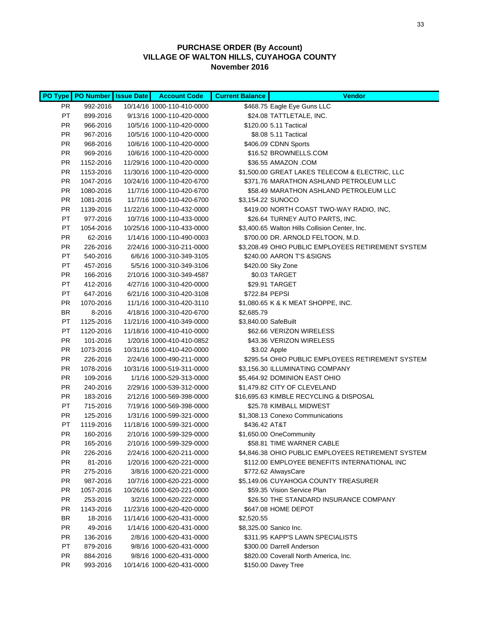|                 | PO Type   PO Number   Issue Date | <b>Account Code</b>                                    | <b>Current Balance</b> | <b>Vendor</b>                                                                   |
|-----------------|----------------------------------|--------------------------------------------------------|------------------------|---------------------------------------------------------------------------------|
| PR              | 992-2016                         | 10/14/16 1000-110-410-0000                             |                        | \$468.75 Eagle Eye Guns LLC                                                     |
| PT.             | 899-2016                         | 9/13/16 1000-110-420-0000                              |                        | \$24.08 TATTLETALE, INC.                                                        |
| PR              | 966-2016                         | 10/5/16 1000-110-420-0000                              |                        | \$120.00 5.11 Tactical                                                          |
| PR              | 967-2016                         | 10/5/16 1000-110-420-0000                              |                        | \$8.08 5.11 Tactical                                                            |
| PR              | 968-2016                         | 10/6/16 1000-110-420-0000                              |                        | \$406.09 CDNN Sports                                                            |
| PR              | 969-2016                         | 10/6/16 1000-110-420-0000                              |                        | \$16.52 BROWNELLS.COM                                                           |
| PR              | 1152-2016                        | 11/29/16 1000-110-420-0000                             |                        | \$36.55 AMAZON .COM                                                             |
| PR              | 1153-2016                        | 11/30/16 1000-110-420-0000                             |                        | \$1,500.00 GREAT LAKES TELECOM & ELECTRIC, LLC                                  |
| PR              | 1047-2016                        | 10/24/16 1000-110-420-6700                             |                        | \$371.76 MARATHON ASHLAND PETROLEUM LLC                                         |
| PR              | 1080-2016                        | 11/7/16 1000-110-420-6700                              |                        | \$58.49 MARATHON ASHLAND PETROLEUM LLC                                          |
| <b>PR</b>       | 1081-2016                        | 11/7/16 1000-110-420-6700                              |                        | \$3,154.22 SUNOCO                                                               |
| PR              | 1139-2016                        | 11/22/16 1000-110-432-0000                             |                        | \$419.00 NORTH COAST TWO-WAY RADIO, INC,                                        |
| PT              | 977-2016                         | 10/7/16 1000-110-433-0000                              |                        | \$26.64 TURNEY AUTO PARTS, INC.                                                 |
| PT              | 1054-2016                        | 10/25/16 1000-110-433-0000                             |                        | \$3,400.65 Walton Hills Collision Center, Inc.                                  |
| <b>PR</b>       | 62-2016                          | 1/14/16 1000-110-490-0003                              |                        | \$700.00 DR. ARNOLD FELTOON, M.D.                                               |
| <b>PR</b>       | 226-2016                         | 2/24/16 1000-310-211-0000                              |                        | \$3,208.49 OHIO PUBLIC EMPLOYEES RETIREMENT SYSTEM                              |
| PT              | 540-2016                         | 6/6/16 1000-310-349-3105                               |                        | \$240.00 AARON T'S & SIGNS                                                      |
| PT              | 457-2016                         | 5/5/16 1000-310-349-3106                               |                        | \$420.00 Sky Zone                                                               |
| PR.             | 166-2016                         | 2/10/16 1000-310-349-4587                              |                        | \$0.03 TARGET                                                                   |
| PT              | 412-2016                         | 4/27/16 1000-310-420-0000                              |                        | \$29.91 TARGET                                                                  |
| PT              | 647-2016                         | 6/21/16 1000-310-420-3108                              | \$722.84 PEPSI         |                                                                                 |
| <b>PR</b>       | 1070-2016                        | 11/1/16 1000-310-420-3110                              |                        | \$1,080.65 K & K MEAT SHOPPE, INC.                                              |
| BR              | 8-2016                           | 4/18/16 1000-310-420-6700                              | \$2,685.79             |                                                                                 |
| PT              | 1125-2016                        | 11/21/16 1000-410-349-0000                             | \$3,840.00 SafeBuilt   |                                                                                 |
| PT              | 1120-2016                        | 11/18/16 1000-410-410-0000                             |                        | \$62.66 VERIZON WIRELESS                                                        |
| PR              | 101-2016                         | 1/20/16 1000-410-410-0852                              |                        | \$43.36 VERIZON WIRELESS                                                        |
| PR              | 1073-2016                        | 10/31/16 1000-410-420-0000                             |                        | \$3.02 Apple                                                                    |
| PR              | 226-2016                         | 2/24/16 1000-490-211-0000                              |                        | \$295.54 OHIO PUBLIC EMPLOYEES RETIREMENT SYSTEM                                |
| PR              | 1078-2016                        | 10/31/16 1000-519-311-0000                             |                        | \$3,156.30 ILLUMINATING COMPANY                                                 |
| <b>PR</b>       | 109-2016                         | 1/1/16 1000-529-313-0000                               |                        | \$5,464.92 DOMINION EAST OHIO                                                   |
| PR              | 240-2016                         | 2/29/16 1000-539-312-0000                              |                        | \$1,479.82 CITY OF CLEVELAND                                                    |
| PR              | 183-2016                         | 2/12/16 1000-569-398-0000                              |                        | \$16,695.63 KIMBLE RECYCLING & DISPOSAL                                         |
| PT              | 715-2016                         | 7/19/16 1000-569-398-0000                              |                        | \$25.78 KIMBALL MIDWEST                                                         |
| <b>PR</b><br>PT | 125-2016                         | 1/31/16 1000-599-321-0000                              |                        | \$1,308.13 Conexo Communications                                                |
| PR              | 1119-2016<br>160-2016            | 11/18/16 1000-599-321-0000                             | \$436.42 AT&T          |                                                                                 |
| PR              | 165-2016                         | 2/10/16 1000-599-329-0000<br>2/10/16 1000-599-329-0000 |                        | \$1,650.00 OneCommunity                                                         |
| PR              | 226-2016                         | 2/24/16 1000-620-211-0000                              |                        | \$58.81 TIME WARNER CABLE<br>\$4,846.38 OHIO PUBLIC EMPLOYEES RETIREMENT SYSTEM |
| PR              | 81-2016                          | 1/20/16 1000-620-221-0000                              |                        | \$112.00 EMPLOYEE BENEFITS INTERNATIONAL INC                                    |
| PR              | 275-2016                         | 3/8/16 1000-620-221-0000                               |                        | \$772.62 AlwaysCare                                                             |
| PR              | 987-2016                         | 10/7/16 1000-620-221-0000                              |                        | \$5,149.06 CUYAHOGA COUNTY TREASURER                                            |
| <b>PR</b>       | 1057-2016                        | 10/26/16 1000-620-221-0000                             |                        | \$59.35 Vision Service Plan                                                     |
| PR              | 253-2016                         | 3/2/16 1000-620-222-0000                               |                        | \$26.50 THE STANDARD INSURANCE COMPANY                                          |
| PR              | 1143-2016                        | 11/23/16 1000-620-420-0000                             |                        | \$647.08 HOME DEPOT                                                             |
| ΒR              | 18-2016                          | 11/14/16 1000-620-431-0000                             | \$2,520.55             |                                                                                 |
| <b>PR</b>       | 49-2016                          | 1/14/16 1000-620-431-0000                              |                        | \$8,325.00 Sanico Inc.                                                          |
| PR              | 136-2016                         | 2/8/16 1000-620-431-0000                               |                        | \$311.95 KAPP'S LAWN SPECIALISTS                                                |
| PT              | 879-2016                         | 9/8/16 1000-620-431-0000                               |                        | \$300.00 Darrell Anderson                                                       |
| <b>PR</b>       | 884-2016                         | 9/8/16 1000-620-431-0000                               |                        | \$820.00 Coverall North America, Inc.                                           |
| <b>PR</b>       | 993-2016                         | 10/14/16 1000-620-431-0000                             |                        | \$150.00 Davey Tree                                                             |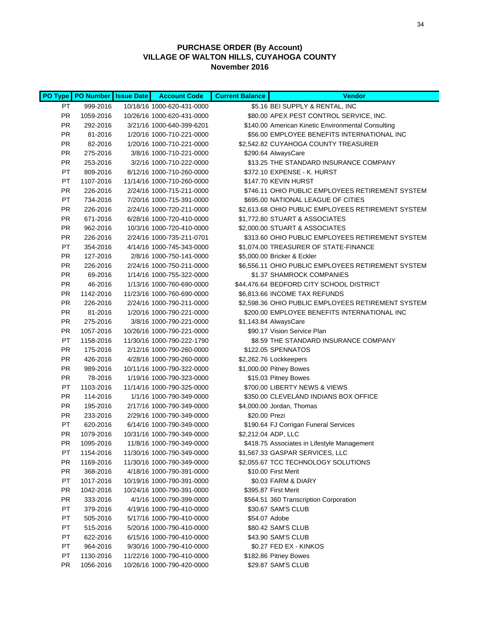|                 | PO Type   PO Number   Issue Date | <b>Account Code</b>                                      | <b>Current Balance</b> | <b>Vendor</b>                                                      |
|-----------------|----------------------------------|----------------------------------------------------------|------------------------|--------------------------------------------------------------------|
| PT              | 999-2016                         | 10/18/16 1000-620-431-0000                               |                        | \$5.16 BEI SUPPLY & RENTAL, INC                                    |
| PR.             | 1059-2016                        | 10/26/16 1000-620-431-0000                               |                        | \$80.00 APEX PEST CONTROL SERVICE, INC.                            |
| PR.             | 292-2016                         | 3/21/16 1000-640-399-6201                                |                        | \$140.00 American Kinetic Environmental Consulting                 |
| PR.             | 81-2016                          | 1/20/16 1000-710-221-0000                                |                        | \$56.00 EMPLOYEE BENEFITS INTERNATIONAL INC                        |
| PR.             | 82-2016                          | 1/20/16 1000-710-221-0000                                |                        | \$2,542.82 CUYAHOGA COUNTY TREASURER                               |
| <b>PR</b>       | 275-2016                         | 3/8/16 1000-710-221-0000                                 |                        | \$290.64 AlwaysCare                                                |
| <b>PR</b>       | 253-2016                         | 3/2/16 1000-710-222-0000                                 |                        | \$13.25 THE STANDARD INSURANCE COMPANY                             |
| PT              | 809-2016                         | 8/12/16 1000-710-260-0000                                |                        | \$372.10 EXPENSE - K. HURST                                        |
| PT              | 1107-2016                        | 11/14/16 1000-710-260-0000                               |                        | \$147.70 KEVIN HURST                                               |
| <b>PR</b>       | 226-2016                         | 2/24/16 1000-715-211-0000                                |                        | \$746.11 OHIO PUBLIC EMPLOYEES RETIREMENT SYSTEM                   |
| PT              | 734-2016                         | 7/20/16 1000-715-391-0000                                |                        | \$695.00 NATIONAL LEAGUE OF CITIES                                 |
| <b>PR</b>       | 226-2016                         | 2/24/16 1000-720-211-0000                                |                        | \$2,613.68 OHIO PUBLIC EMPLOYEES RETIREMENT SYSTEM                 |
| <b>PR</b>       | 671-2016                         | 6/28/16 1000-720-410-0000                                |                        | \$1,772.80 STUART & ASSOCIATES                                     |
| <b>PR</b>       | 962-2016                         | 10/3/16 1000-720-410-0000                                |                        | \$2,000.00 STUART & ASSOCIATES                                     |
| <b>PR</b>       | 226-2016                         | 2/24/16 1000-735-211-0701                                |                        | \$313.60 OHIO PUBLIC EMPLOYEES RETIREMENT SYSTEM                   |
| PT              | 354-2016                         | 4/14/16 1000-745-343-0000                                |                        | \$1,074.00 TREASURER OF STATE-FINANCE                              |
| <b>PR</b>       | 127-2016                         | 2/8/16 1000-750-141-0000                                 |                        | \$5,000.00 Bricker & Eckler                                        |
| PR              | 226-2016                         | 2/24/16 1000-750-211-0000                                |                        | \$6,556.11 OHIO PUBLIC EMPLOYEES RETIREMENT SYSTEM                 |
| PR              | 69-2016                          | 1/14/16 1000-755-322-0000                                |                        | \$1.37 SHAMROCK COMPANIES                                          |
| PR              | 46-2016                          | 1/13/16 1000-760-690-0000                                |                        | \$44,476.64 BEDFORD CITY SCHOOL DISTRICT                           |
| <b>PR</b>       | 1142-2016                        | 11/23/16 1000-760-690-0000                               |                        | \$6,813.66 INCOME TAX REFUNDS                                      |
| <b>PR</b>       | 226-2016                         | 2/24/16 1000-790-211-0000                                |                        | \$2,598.36 OHIO PUBLIC EMPLOYEES RETIREMENT SYSTEM                 |
| <b>PR</b>       | 81-2016                          | 1/20/16 1000-790-221-0000                                |                        | \$200.00 EMPLOYEE BENEFITS INTERNATIONAL INC                       |
| PR.             | 275-2016                         | 3/8/16 1000-790-221-0000                                 |                        | \$1,143.84 AlwaysCare                                              |
| PR.             | 1057-2016                        | 10/26/16 1000-790-221-0000                               |                        | \$90.17 Vision Service Plan                                        |
| PT              | 1158-2016                        | 11/30/16 1000-790-222-1790                               |                        | \$8.59 THE STANDARD INSURANCE COMPANY                              |
| <b>PR</b>       | 175-2016                         | 2/12/16 1000-790-260-0000                                |                        | \$122.05 SPENNATOS                                                 |
| <b>PR</b>       | 426-2016                         | 4/28/16 1000-790-260-0000                                |                        | \$2,262.76 Lockkeepers                                             |
| <b>PR</b>       | 989-2016                         | 10/11/16 1000-790-322-0000                               |                        | \$1,000.00 Pitney Bowes                                            |
| <b>PR</b>       | 78-2016                          | 1/19/16 1000-790-323-0000                                |                        | \$15.03 Pitney Bowes                                               |
| PT              | 1103-2016                        | 11/14/16 1000-790-325-0000                               |                        | \$700.00 LIBERTY NEWS & VIEWS                                      |
| <b>PR</b>       | 114-2016                         | 1/1/16 1000-790-349-0000                                 |                        | \$350.00 CLEVELAND INDIANS BOX OFFICE                              |
| <b>PR</b>       | 195-2016                         | 2/17/16 1000-790-349-0000                                |                        | \$4,000.00 Jordan, Thomas                                          |
| <b>PR</b>       | 233-2016                         | 2/29/16 1000-790-349-0000                                | \$20.00 Prezi          |                                                                    |
| PT              | 620-2016                         | 6/14/16 1000-790-349-0000                                |                        | \$190.64 FJ Corrigan Funeral Services                              |
| <b>PR</b>       | 1079-2016                        | 10/31/16 1000-790-349-0000                               |                        | \$2,212.04 ADP, LLC<br>\$418.75 Associates in Lifestyle Management |
| <b>PR</b><br>PT | 1095-2016<br>1154-2016           | 11/8/16 1000-790-349-0000                                |                        | \$1,567.33 GASPAR SERVICES, LLC                                    |
| <b>PR</b>       | 1169-2016                        | 11/30/16 1000-790-349-0000<br>11/30/16 1000-790-349-0000 |                        | \$2,055.67 TCC TECHNOLOGY SOLUTIONS                                |
| <b>PR</b>       | 368-2016                         | 4/18/16 1000-790-391-0000                                |                        | \$10.00 First Merit                                                |
| PT              |                                  |                                                          |                        | \$0.03 FARM & DIARY                                                |
| <b>PR</b>       | 1017-2016<br>1042-2016           | 10/19/16 1000-790-391-0000<br>10/24/16 1000-790-391-0000 |                        | \$395.87 First Merit                                               |
| <b>PR</b>       | 333-2016                         | 4/1/16 1000-790-399-0000                                 |                        | \$564.51 360 Transcription Corporation                             |
| PT.             | 379-2016                         | 4/19/16 1000-790-410-0000                                |                        | \$30.67 SAM'S CLUB                                                 |
| PT.             | 505-2016                         | 5/17/16 1000-790-410-0000                                | \$54.07 Adobe          |                                                                    |
| PT.             | 515-2016                         | 5/20/16 1000-790-410-0000                                |                        | \$80.42 SAM'S CLUB                                                 |
| PT              | 622-2016                         | 6/15/16 1000-790-410-0000                                |                        | \$43.90 SAM'S CLUB                                                 |
| PT              | 964-2016                         | 9/30/16 1000-790-410-0000                                |                        | \$0.27 FED EX - KINKOS                                             |
| PT              | 1130-2016                        | 11/22/16 1000-790-410-0000                               |                        | \$182.86 Pitney Bowes                                              |
| <b>PR</b>       | 1056-2016                        | 10/26/16 1000-790-420-0000                               |                        | \$29.87 SAM'S CLUB                                                 |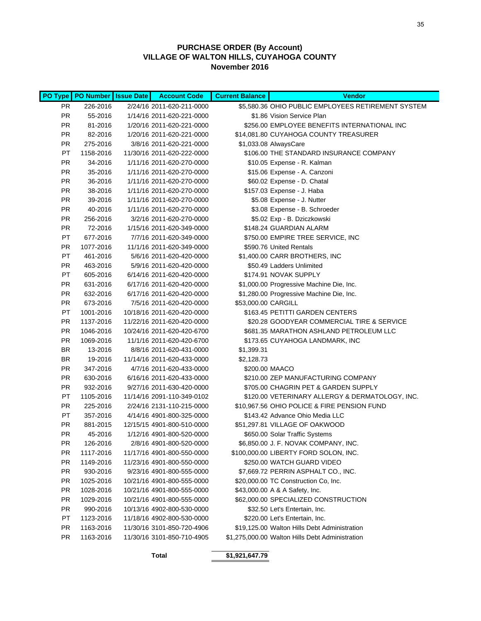|           | PO Type   PO Number   Issue Date | <b>Account Code</b>        | <b>Current Balance</b> | <b>Vendor</b>                                      |
|-----------|----------------------------------|----------------------------|------------------------|----------------------------------------------------|
| PR.       | 226-2016                         | 2/24/16 2011-620-211-0000  |                        | \$5,580.36 OHIO PUBLIC EMPLOYEES RETIREMENT SYSTEM |
| PR.       | 55-2016                          | 1/14/16 2011-620-221-0000  |                        | \$1.86 Vision Service Plan                         |
| PR.       | 81-2016                          | 1/20/16 2011-620-221-0000  |                        | \$256.00 EMPLOYEE BENEFITS INTERNATIONAL INC       |
| PR.       | 82-2016                          | 1/20/16 2011-620-221-0000  |                        | \$14,081.80 CUYAHOGA COUNTY TREASURER              |
| <b>PR</b> | 275-2016                         | 3/8/16 2011-620-221-0000   |                        | \$1,033.08 AlwaysCare                              |
| PT        | 1158-2016                        | 11/30/16 2011-620-222-0000 |                        | \$106.00 THE STANDARD INSURANCE COMPANY            |
| <b>PR</b> | 34-2016                          | 1/11/16 2011-620-270-0000  |                        | \$10.05 Expense - R. Kalman                        |
| <b>PR</b> | 35-2016                          | 1/11/16 2011-620-270-0000  |                        | \$15.06 Expense - A. Canzoni                       |
| <b>PR</b> | 36-2016                          | 1/11/16 2011-620-270-0000  |                        | \$60.02 Expense - D. Chatal                        |
| <b>PR</b> | 38-2016                          | 1/11/16 2011-620-270-0000  |                        | \$157.03 Expense - J. Haba                         |
| <b>PR</b> | 39-2016                          | 1/11/16 2011-620-270-0000  |                        | \$5.08 Expense - J. Nutter                         |
| <b>PR</b> | 40-2016                          | 1/11/16 2011-620-270-0000  |                        | \$3.08 Expense - B. Schroeder                      |
| <b>PR</b> | 256-2016                         | 3/2/16 2011-620-270-0000   |                        | \$5.02 Exp - B. Dziczkowski                        |
| PR        | 72-2016                          | 1/15/16 2011-620-349-0000  |                        | \$148.24 GUARDIAN ALARM                            |
| PT        | 677-2016                         | 7/7/16 2011-620-349-0000   |                        | \$750.00 EMPIRE TREE SERVICE, INC                  |
| <b>PR</b> | 1077-2016                        | 11/1/16 2011-620-349-0000  |                        | \$590.76 United Rentals                            |
| PT        | 461-2016                         | 5/6/16 2011-620-420-0000   |                        | \$1,400.00 CARR BROTHERS, INC                      |
| <b>PR</b> | 463-2016                         | 5/9/16 2011-620-420-0000   |                        | \$50.49 Ladders Unlimited                          |
| PT        | 605-2016                         | 6/14/16 2011-620-420-0000  |                        | \$174.91 NOVAK SUPPLY                              |
| <b>PR</b> | 631-2016                         | 6/17/16 2011-620-420-0000  |                        | \$1,000.00 Progressive Machine Die, Inc.           |
| <b>PR</b> | 632-2016                         | 6/17/16 2011-620-420-0000  |                        | \$1,280.00 Progressive Machine Die, Inc.           |
| <b>PR</b> | 673-2016                         | 7/5/16 2011-620-420-0000   | \$53,000.00 CARGILL    |                                                    |
| PT        | 1001-2016                        | 10/18/16 2011-620-420-0000 |                        | \$163.45 PETITTI GARDEN CENTERS                    |
| <b>PR</b> | 1137-2016                        | 11/22/16 2011-620-420-0000 |                        | \$20.28 GOODYEAR COMMERCIAL TIRE & SERVICE         |
| <b>PR</b> | 1046-2016                        | 10/24/16 2011-620-420-6700 |                        | \$681.35 MARATHON ASHLAND PETROLEUM LLC            |
| <b>PR</b> | 1069-2016                        | 11/1/16 2011-620-420-6700  |                        | \$173.65 CUYAHOGA LANDMARK, INC                    |
| <b>BR</b> | 13-2016                          | 8/8/16 2011-620-431-0000   | \$1,399.31             |                                                    |
| <b>BR</b> | 19-2016                          | 11/14/16 2011-620-433-0000 | \$2,128.73             |                                                    |
| <b>PR</b> | 347-2016                         | 4/7/16 2011-620-433-0000   |                        | \$200.00 MAACO                                     |
| <b>PR</b> | 630-2016                         | 6/16/16 2011-620-433-0000  |                        | \$210.00 ZEP MANUFACTURING COMPANY                 |
| <b>PR</b> | 932-2016                         | 9/27/16 2011-630-420-0000  |                        | \$705.00 CHAGRIN PET & GARDEN SUPPLY               |
| PT        | 1105-2016                        | 11/14/16 2091-110-349-0102 |                        | \$120.00 VETERINARY ALLERGY & DERMATOLOGY, INC.    |
| PR.       | 225-2016                         | 2/24/16 2131-110-215-0000  |                        | \$10,967.56 OHIO POLICE & FIRE PENSION FUND        |
| PT        | 357-2016                         | 4/14/16 4901-800-325-0000  |                        | \$143.42 Advance Ohio Media LLC                    |
| <b>PR</b> | 881-2015                         | 12/15/15 4901-800-510-0000 |                        | \$51,297.81 VILLAGE OF OAKWOOD                     |
| <b>PR</b> | 45-2016                          | 1/12/16 4901-800-520-0000  |                        | \$650.00 Solar Traffic Systems                     |
| <b>PR</b> | 126-2016                         | 2/8/16 4901-800-520-0000   |                        | \$6,850.00 J. F. NOVAK COMPANY, INC.               |
| PR.       | 1117-2016                        | 11/17/16 4901-800-550-0000 |                        | \$100,000.00 LIBERTY FORD SOLON, INC.              |
| <b>PR</b> | 1149-2016                        | 11/23/16 4901-800-550-0000 |                        | \$250.00 WATCH GUARD VIDEO                         |
| <b>PR</b> | 930-2016                         | 9/23/16 4901-800-555-0000  |                        | \$7,669.72 PERRIN ASPHALT CO., INC.                |
| <b>PR</b> | 1025-2016                        | 10/21/16 4901-800-555-0000 |                        | \$20,000.00 TC Construction Co, Inc.               |
| <b>PR</b> | 1028-2016                        | 10/21/16 4901-800-555-0000 |                        | \$43,000.00 A & A Safety, Inc.                     |
| <b>PR</b> | 1029-2016                        | 10/21/16 4901-800-555-0000 |                        | \$62,000.00 SPECIALIZED CONSTRUCTION               |
| <b>PR</b> | 990-2016                         | 10/13/16 4902-800-530-0000 |                        | \$32.50 Let's Entertain, Inc.                      |
| PT        | 1123-2016                        | 11/18/16 4902-800-530-0000 |                        | \$220.00 Let's Entertain, Inc.                     |
| <b>PR</b> | 1163-2016                        | 11/30/16 3101-850-720-4906 |                        | \$19,125.00 Walton Hills Debt Administration       |
| <b>PR</b> | 1163-2016                        | 11/30/16 3101-850-710-4905 |                        | \$1,275,000.00 Walton Hills Debt Administration    |

**Total \$1,921,647.79**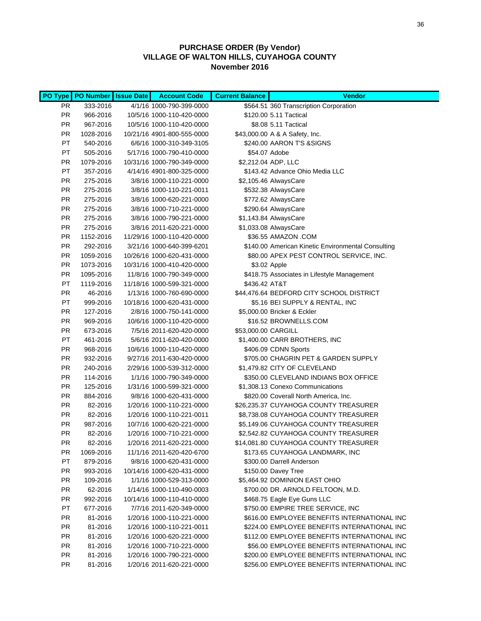| <b>PO Type</b>         | PO Number Issue Date | <b>Account Code</b>                                  | <b>Current Balance</b> | <b>Vendor</b>                                         |
|------------------------|----------------------|------------------------------------------------------|------------------------|-------------------------------------------------------|
| PR                     | 333-2016             | 4/1/16 1000-790-399-0000                             |                        | \$564.51 360 Transcription Corporation                |
| PR                     | 966-2016             | 10/5/16 1000-110-420-0000                            |                        | \$120.00 5.11 Tactical                                |
| PR                     | 967-2016             | 10/5/16 1000-110-420-0000                            |                        | \$8.08 5.11 Tactical                                  |
| PR                     | 1028-2016            | 10/21/16 4901-800-555-0000                           |                        | \$43,000.00 A & A Safety, Inc.                        |
| PT                     | 540-2016             | 6/6/16 1000-310-349-3105                             |                        | \$240.00 AARON T'S & SIGNS                            |
| PT                     | 505-2016             | 5/17/16 1000-790-410-0000                            |                        | \$54.07 Adobe                                         |
| PR                     | 1079-2016            | 10/31/16 1000-790-349-0000                           |                        | \$2,212.04 ADP, LLC                                   |
| PT                     | 357-2016             | 4/14/16 4901-800-325-0000                            |                        | \$143.42 Advance Ohio Media LLC                       |
| PR                     | 275-2016             | 3/8/16 1000-110-221-0000                             |                        | \$2,105.46 AlwaysCare                                 |
| <b>PR</b>              | 275-2016             | 3/8/16 1000-110-221-0011                             |                        | \$532.38 AlwaysCare                                   |
| PR                     | 275-2016             | 3/8/16 1000-620-221-0000                             |                        | \$772.62 AlwaysCare                                   |
| PR                     | 275-2016             | 3/8/16 1000-710-221-0000                             |                        | \$290.64 AlwaysCare                                   |
| PR                     | 275-2016             | 3/8/16 1000-790-221-0000                             |                        | \$1,143.84 AlwaysCare                                 |
| PR                     | 275-2016             | 3/8/16 2011-620-221-0000                             |                        | \$1,033.08 AlwaysCare                                 |
| PR                     | 1152-2016            | 11/29/16 1000-110-420-0000                           |                        | \$36.55 AMAZON .COM                                   |
| PR                     | 292-2016             | 3/21/16 1000-640-399-6201                            |                        | \$140.00 American Kinetic Environmental Consulting    |
| PR                     | 1059-2016            | 10/26/16 1000-620-431-0000                           |                        | \$80.00 APEX PEST CONTROL SERVICE, INC.               |
| PR                     | 1073-2016            | 10/31/16 1000-410-420-0000                           |                        | \$3.02 Apple                                          |
| PR                     | 1095-2016            | 11/8/16 1000-790-349-0000                            |                        | \$418.75 Associates in Lifestyle Management           |
| РT                     | 1119-2016            | 11/18/16 1000-599-321-0000                           | \$436.42 AT&T          |                                                       |
| PR                     | 46-2016              | 1/13/16 1000-760-690-0000                            |                        | \$44,476.64 BEDFORD CITY SCHOOL DISTRICT              |
| PT.                    | 999-2016             | 10/18/16 1000-620-431-0000                           |                        | \$5.16 BEI SUPPLY & RENTAL, INC                       |
| <b>PR</b>              | 127-2016             | 2/8/16 1000-750-141-0000                             |                        | \$5,000.00 Bricker & Eckler                           |
| <b>PR</b><br><b>PR</b> | 969-2016             | 10/6/16 1000-110-420-0000                            |                        | \$16.52 BROWNELLS.COM                                 |
| PT                     | 673-2016<br>461-2016 | 7/5/16 2011-620-420-0000<br>5/6/16 2011-620-420-0000 | \$53,000.00 CARGILL    |                                                       |
| <b>PR</b>              | 968-2016             | 10/6/16 1000-110-420-0000                            |                        | \$1,400.00 CARR BROTHERS, INC<br>\$406.09 CDNN Sports |
| <b>PR</b>              | 932-2016             | 9/27/16 2011-630-420-0000                            |                        | \$705.00 CHAGRIN PET & GARDEN SUPPLY                  |
| <b>PR</b>              | 240-2016             | 2/29/16 1000-539-312-0000                            |                        | \$1,479.82 CITY OF CLEVELAND                          |
| <b>PR</b>              | 114-2016             | 1/1/16 1000-790-349-0000                             |                        | \$350.00 CLEVELAND INDIANS BOX OFFICE                 |
| <b>PR</b>              | 125-2016             | 1/31/16 1000-599-321-0000                            |                        | \$1,308.13 Conexo Communications                      |
| <b>PR</b>              | 884-2016             | 9/8/16 1000-620-431-0000                             |                        | \$820.00 Coverall North America, Inc.                 |
| <b>PR</b>              | 82-2016              | 1/20/16 1000-110-221-0000                            |                        | \$26,235.37 CUYAHOGA COUNTY TREASURER                 |
| <b>PR</b>              | 82-2016              | 1/20/16 1000-110-221-0011                            |                        | \$8,738.08 CUYAHOGA COUNTY TREASURER                  |
| PR                     | 987-2016             | 10/7/16 1000-620-221-0000                            |                        | \$5,149.06 CUYAHOGA COUNTY TREASURER                  |
| PR                     | 82-2016              | 1/20/16 1000-710-221-0000                            |                        | \$2,542.82 CUYAHOGA COUNTY TREASURER                  |
| PR.                    | 82-2016              | 1/20/16 2011-620-221-0000                            |                        | \$14,081.80 CUYAHOGA COUNTY TREASURER                 |
| <b>PR</b>              | 1069-2016            | 11/1/16 2011-620-420-6700                            |                        | \$173.65 CUYAHOGA LANDMARK, INC                       |
| PT                     | 879-2016             | 9/8/16 1000-620-431-0000                             |                        | \$300.00 Darrell Anderson                             |
| <b>PR</b>              | 993-2016             | 10/14/16 1000-620-431-0000                           |                        | \$150.00 Davey Tree                                   |
| <b>PR</b>              | 109-2016             | 1/1/16 1000-529-313-0000                             |                        | \$5,464.92 DOMINION EAST OHIO                         |
| PR                     | 62-2016              | 1/14/16 1000-110-490-0003                            |                        | \$700.00 DR. ARNOLD FELTOON, M.D.                     |
| PR                     | 992-2016             | 10/14/16 1000-110-410-0000                           |                        | \$468.75 Eagle Eye Guns LLC                           |
| PT                     | 677-2016             | 7/7/16 2011-620-349-0000                             |                        | \$750.00 EMPIRE TREE SERVICE, INC                     |
| PR                     | 81-2016              | 1/20/16 1000-110-221-0000                            |                        | \$616.00 EMPLOYEE BENEFITS INTERNATIONAL INC          |
| PR                     | 81-2016              | 1/20/16 1000-110-221-0011                            |                        | \$224.00 EMPLOYEE BENEFITS INTERNATIONAL INC          |
| PR                     | 81-2016              | 1/20/16 1000-620-221-0000                            |                        | \$112.00 EMPLOYEE BENEFITS INTERNATIONAL INC          |
| PR                     | 81-2016              | 1/20/16 1000-710-221-0000                            |                        | \$56.00 EMPLOYEE BENEFITS INTERNATIONAL INC           |
| PR                     | 81-2016              | 1/20/16 1000-790-221-0000                            |                        | \$200.00 EMPLOYEE BENEFITS INTERNATIONAL INC          |
| PR                     | 81-2016              | 1/20/16 2011-620-221-0000                            |                        | \$256.00 EMPLOYEE BENEFITS INTERNATIONAL INC          |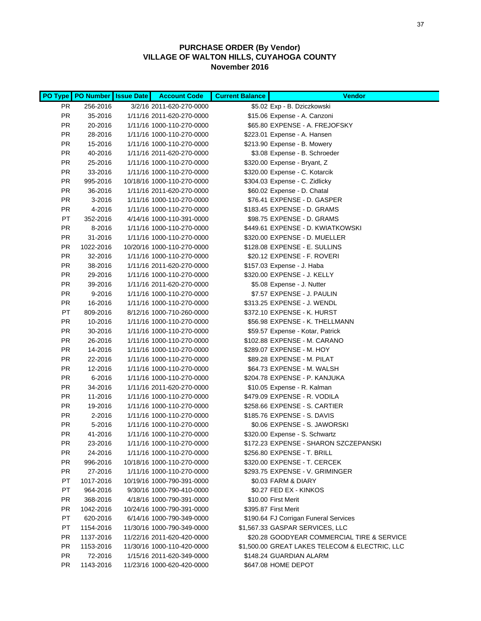|           | PO Type   PO Number   Issue Date | <b>Account Code</b>        | <b>Current Balance</b> | <b>Vendor</b>                                  |
|-----------|----------------------------------|----------------------------|------------------------|------------------------------------------------|
| PR.       | 256-2016                         | 3/2/16 2011-620-270-0000   |                        | \$5.02 Exp - B. Dziczkowski                    |
| PR.       | 35-2016                          | 1/11/16 2011-620-270-0000  |                        | \$15.06 Expense - A. Canzoni                   |
| PR.       | 20-2016                          | 1/11/16 1000-110-270-0000  |                        | \$65.80 EXPENSE - A. FREJOFSKY                 |
| PR.       | 28-2016                          | 1/11/16 1000-110-270-0000  |                        | \$223.01 Expense - A. Hansen                   |
| PR.       | 15-2016                          | 1/11/16 1000-110-270-0000  |                        | \$213.90 Expense - B. Mowery                   |
| <b>PR</b> | 40-2016                          | 1/11/16 2011-620-270-0000  |                        | \$3.08 Expense - B. Schroeder                  |
| <b>PR</b> | 25-2016                          | 1/11/16 1000-110-270-0000  |                        | \$320.00 Expense - Bryant, Z                   |
| <b>PR</b> | 33-2016                          | 1/11/16 1000-110-270-0000  |                        | \$320.00 Expense - C. Kotarcik                 |
| <b>PR</b> | 995-2016                         | 10/18/16 1000-110-270-0000 |                        | \$304.03 Expense - C. Zidlicky                 |
| <b>PR</b> | 36-2016                          | 1/11/16 2011-620-270-0000  |                        | \$60.02 Expense - D. Chatal                    |
| <b>PR</b> | 3-2016                           | 1/11/16 1000-110-270-0000  |                        | \$76.41 EXPENSE - D. GASPER                    |
| PR.       | 4-2016                           | 1/11/16 1000-110-270-0000  |                        | \$183.45 EXPENSE - D. GRAMS                    |
| PT        | 352-2016                         | 4/14/16 1000-110-391-0000  |                        | \$98.75 EXPENSE - D. GRAMS                     |
| <b>PR</b> | 8-2016                           | 1/11/16 1000-110-270-0000  |                        | \$449.61 EXPENSE - D. KWIATKOWSKI              |
| <b>PR</b> | 31-2016                          | 1/11/16 1000-110-270-0000  |                        | \$320.00 EXPENSE - D. MUELLER                  |
| <b>PR</b> | 1022-2016                        | 10/20/16 1000-110-270-0000 |                        | \$128.08 EXPENSE - E. SULLINS                  |
| <b>PR</b> | 32-2016                          | 1/11/16 1000-110-270-0000  |                        | \$20.12 EXPENSE - F. ROVERI                    |
| <b>PR</b> | 38-2016                          | 1/11/16 2011-620-270-0000  |                        | \$157.03 Expense - J. Haba                     |
| <b>PR</b> | 29-2016                          | 1/11/16 1000-110-270-0000  |                        | \$320.00 EXPENSE - J. KELLY                    |
| <b>PR</b> | 39-2016                          | 1/11/16 2011-620-270-0000  |                        | \$5.08 Expense - J. Nutter                     |
| <b>PR</b> | $9 - 2016$                       | 1/11/16 1000-110-270-0000  |                        | \$7.57 EXPENSE - J. PAULIN                     |
| <b>PR</b> | 16-2016                          | 1/11/16 1000-110-270-0000  |                        | \$313.25 EXPENSE - J. WENDL                    |
| PT        | 809-2016                         | 8/12/16 1000-710-260-0000  |                        | \$372.10 EXPENSE - K. HURST                    |
| PR.       | 10-2016                          | 1/11/16 1000-110-270-0000  |                        | \$56.98 EXPENSE - K. THELLMANN                 |
| PR.       | 30-2016                          | 1/11/16 1000-110-270-0000  |                        | \$59.57 Expense - Kotar, Patrick               |
| PR.       | 26-2016                          | 1/11/16 1000-110-270-0000  |                        | \$102.88 EXPENSE - M. CARANO                   |
| PR.       | 14-2016                          | 1/11/16 1000-110-270-0000  |                        | \$289.07 EXPENSE - M. HOY                      |
| <b>PR</b> | 22-2016                          | 1/11/16 1000-110-270-0000  |                        | \$89.28 EXPENSE - M. PILAT                     |
| <b>PR</b> | 12-2016                          | 1/11/16 1000-110-270-0000  |                        | \$64.73 EXPENSE - M. WALSH                     |
| PR        | 6-2016                           | 1/11/16 1000-110-270-0000  |                        | \$204.78 EXPENSE - P. KANJUKA                  |
| PR        | 34-2016                          | 1/11/16 2011-620-270-0000  |                        | \$10.05 Expense - R. Kalman                    |
| PR        | 11-2016                          | 1/11/16 1000-110-270-0000  |                        | \$479.09 EXPENSE - R. VODILA                   |
| PR        | 19-2016                          | 1/11/16 1000-110-270-0000  |                        | \$258.66 EXPENSE - S. CARTIER                  |
| PR        | 2-2016                           | 1/11/16 1000-110-270-0000  |                        | \$185.76 EXPENSE - S. DAVIS                    |
| PR        | 5-2016                           | 1/11/16 1000-110-270-0000  |                        | \$0.06 EXPENSE - S. JAWORSKI                   |
| PR        | 41-2016                          | 1/11/16 1000-110-270-0000  |                        | \$320.00 Expense - S. Schwartz                 |
| PR        | 23-2016                          | 1/11/16 1000-110-270-0000  |                        | \$172.23 EXPENSE - SHARON SZCZEPANSKI          |
| <b>PR</b> | 24-2016                          | 1/11/16 1000-110-270-0000  |                        | \$256.80 EXPENSE - T. BRILL                    |
| PR        | 996-2016                         | 10/18/16 1000-110-270-0000 |                        | \$320.00 EXPENSE - T. CERCEK                   |
| PR        | 27-2016                          | 1/11/16 1000-110-270-0000  |                        | \$293.75 EXPENSE - V. GRIMINGER                |
| PT        | 1017-2016                        | 10/19/16 1000-790-391-0000 |                        | \$0.03 FARM & DIARY                            |
| PT        | 964-2016                         | 9/30/16 1000-790-410-0000  |                        | \$0.27 FED EX - KINKOS                         |
| PR.       | 368-2016                         | 4/18/16 1000-790-391-0000  |                        | \$10.00 First Merit                            |
| <b>PR</b> | 1042-2016                        | 10/24/16 1000-790-391-0000 |                        | \$395.87 First Merit                           |
| PT        | 620-2016                         | 6/14/16 1000-790-349-0000  |                        | \$190.64 FJ Corrigan Funeral Services          |
| PT        | 1154-2016                        | 11/30/16 1000-790-349-0000 |                        | \$1,567.33 GASPAR SERVICES, LLC                |
| <b>PR</b> | 1137-2016                        | 11/22/16 2011-620-420-0000 |                        | \$20.28 GOODYEAR COMMERCIAL TIRE & SERVICE     |
| <b>PR</b> | 1153-2016                        | 11/30/16 1000-110-420-0000 |                        | \$1,500.00 GREAT LAKES TELECOM & ELECTRIC, LLC |
| <b>PR</b> | 72-2016                          | 1/15/16 2011-620-349-0000  |                        | \$148.24 GUARDIAN ALARM                        |
| <b>PR</b> | 1143-2016                        | 11/23/16 1000-620-420-0000 |                        | \$647.08 HOME DEPOT                            |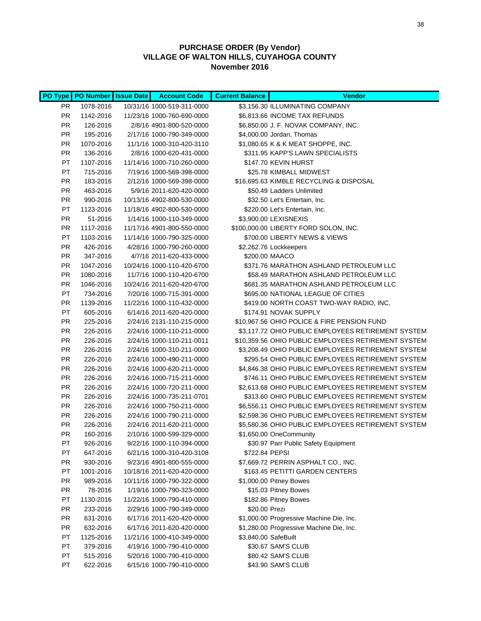|                        |                      | PO Type   PO Number   Issue Date   Account Code        | <b>Current Balance</b> | <b>Vendor</b>                                                                                          |
|------------------------|----------------------|--------------------------------------------------------|------------------------|--------------------------------------------------------------------------------------------------------|
| PR.                    | 1078-2016            | 10/31/16 1000-519-311-0000                             |                        | \$3,156.30 ILLUMINATING COMPANY                                                                        |
| PR                     | 1142-2016            | 11/23/16 1000-760-690-0000                             |                        | \$6,813.66 INCOME TAX REFUNDS                                                                          |
| PR                     | 126-2016             | 2/8/16 4901-800-520-0000                               |                        | \$6,850.00 J. F. NOVAK COMPANY, INC.                                                                   |
| <b>PR</b>              | 195-2016             | 2/17/16 1000-790-349-0000                              |                        | \$4,000.00 Jordan, Thomas                                                                              |
| <b>PR</b>              | 1070-2016            | 11/1/16 1000-310-420-3110                              |                        | \$1,080.65 K & K MEAT SHOPPE, INC.                                                                     |
| <b>PR</b>              | 136-2016             | 2/8/16 1000-620-431-0000                               |                        | \$311.95 KAPP'S LAWN SPECIALISTS                                                                       |
| PT                     | 1107-2016            | 11/14/16 1000-710-260-0000                             |                        | \$147.70 KEVIN HURST                                                                                   |
| PT                     | 715-2016             | 7/19/16 1000-569-398-0000                              |                        | \$25.78 KIMBALL MIDWEST                                                                                |
| <b>PR</b>              | 183-2016             | 2/12/16 1000-569-398-0000                              |                        | \$16,695.63 KIMBLE RECYCLING & DISPOSAL                                                                |
| <b>PR</b>              | 463-2016             | 5/9/16 2011-620-420-0000                               |                        | \$50.49 Ladders Unlimited                                                                              |
| PR                     | 990-2016             | 10/13/16 4902-800-530-0000                             |                        | \$32.50 Let's Entertain, Inc.                                                                          |
| PT                     | 1123-2016            | 11/18/16 4902-800-530-0000                             |                        | \$220.00 Let's Entertain, Inc.                                                                         |
| PR                     | 51-2016              | 1/14/16 1000-110-349-0000                              |                        | \$3,900.00 LEXISNEXIS                                                                                  |
| PR                     | 1117-2016            | 11/17/16 4901-800-550-0000                             |                        | \$100,000.00 LIBERTY FORD SOLON, INC.                                                                  |
| PT                     | 1103-2016            | 11/14/16 1000-790-325-0000                             |                        | \$700.00 LIBERTY NEWS & VIEWS                                                                          |
| <b>PR</b>              | 426-2016             | 4/28/16 1000-790-260-0000                              |                        | \$2,262.76 Lockkeepers                                                                                 |
| <b>PR</b>              | 347-2016             | 4/7/16 2011-620-433-0000                               |                        | \$200.00 MAACO                                                                                         |
| <b>PR</b>              | 1047-2016            | 10/24/16 1000-110-420-6700                             |                        | \$371.76 MARATHON ASHLAND PETROLEUM LLC                                                                |
| <b>PR</b>              | 1080-2016            | 11/7/16 1000-110-420-6700                              |                        | \$58.49 MARATHON ASHLAND PETROLEUM LLC                                                                 |
| PR                     | 1046-2016            | 10/24/16 2011-620-420-6700                             |                        | \$681.35 MARATHON ASHLAND PETROLEUM LLC                                                                |
| PT                     | 734-2016             | 7/20/16 1000-715-391-0000                              |                        | \$695.00 NATIONAL LEAGUE OF CITIES                                                                     |
| <b>PR</b>              | 1139-2016            | 11/22/16 1000-110-432-0000                             |                        | \$419.00 NORTH COAST TWO-WAY RADIO, INC,                                                               |
| PT                     | 605-2016             | 6/14/16 2011-620-420-0000                              |                        | \$174.91 NOVAK SUPPLY                                                                                  |
| <b>PR</b>              | 225-2016             | 2/24/16 2131-110-215-0000                              |                        | \$10,967.56 OHIO POLICE & FIRE PENSION FUND                                                            |
| <b>PR</b>              | 226-2016             | 2/24/16 1000-110-211-0000                              |                        | \$3,117.72 OHIO PUBLIC EMPLOYEES RETIREMENT SYSTEM                                                     |
| <b>PR</b>              | 226-2016             | 2/24/16 1000-110-211-0011                              |                        | \$10,359.56 OHIO PUBLIC EMPLOYEES RETIREMENT SYSTEM                                                    |
| <b>PR</b>              | 226-2016             | 2/24/16 1000-310-211-0000                              |                        | \$3,208.49 OHIO PUBLIC EMPLOYEES RETIREMENT SYSTEM                                                     |
| <b>PR</b>              | 226-2016             | 2/24/16 1000-490-211-0000                              |                        | \$295.54 OHIO PUBLIC EMPLOYEES RETIREMENT SYSTEM                                                       |
| <b>PR</b><br><b>PR</b> | 226-2016             | 2/24/16 1000-620-211-0000<br>2/24/16 1000-715-211-0000 |                        | \$4,846.38 OHIO PUBLIC EMPLOYEES RETIREMENT SYSTEM<br>\$746.11 OHIO PUBLIC EMPLOYEES RETIREMENT SYSTEM |
| <b>PR</b>              | 226-2016<br>226-2016 | 2/24/16 1000-720-211-0000                              |                        | \$2,613.68 OHIO PUBLIC EMPLOYEES RETIREMENT SYSTEM                                                     |
| <b>PR</b>              | 226-2016             | 2/24/16 1000-735-211-0701                              |                        | \$313.60 OHIO PUBLIC EMPLOYEES RETIREMENT SYSTEM                                                       |
| <b>PR</b>              | 226-2016             | 2/24/16 1000-750-211-0000                              |                        | \$6,556.11 OHIO PUBLIC EMPLOYEES RETIREMENT SYSTEM                                                     |
| <b>PR</b>              | 226-2016             | 2/24/16 1000-790-211-0000                              |                        | \$2,598.36 OHIO PUBLIC EMPLOYEES RETIREMENT SYSTEM                                                     |
| <b>PR</b>              | 226-2016             | 2/24/16 2011-620-211-0000                              |                        | \$5,580.36 OHIO PUBLIC EMPLOYEES RETIREMENT SYSTEM                                                     |
| <b>PR</b>              | 160-2016             | 2/10/16 1000-599-329-0000                              |                        | \$1,650.00 OneCommunity                                                                                |
| PT                     | 926-2016             | 9/22/16 1000-110-394-0000                              |                        | \$30.97 Parr Public Safety Equipment                                                                   |
| PT                     | 647-2016             | 6/21/16 1000-310-420-3108                              | \$722.84 PEPSI         |                                                                                                        |
| PR                     | 930-2016             | 9/23/16 4901-800-555-0000                              |                        | \$7,669.72 PERRIN ASPHALT CO., INC.                                                                    |
| PT                     | 1001-2016            | 10/18/16 2011-620-420-0000                             |                        | \$163.45 PETITTI GARDEN CENTERS                                                                        |
| PR                     | 989-2016             | 10/11/16 1000-790-322-0000                             |                        | \$1,000.00 Pitney Bowes                                                                                |
| <b>PR</b>              | 78-2016              | 1/19/16 1000-790-323-0000                              |                        | \$15.03 Pitney Bowes                                                                                   |
| PT                     | 1130-2016            | 11/22/16 1000-790-410-0000                             |                        | \$182.86 Pitney Bowes                                                                                  |
| <b>PR</b>              | 233-2016             | 2/29/16 1000-790-349-0000                              | \$20.00 Prezi          |                                                                                                        |
| <b>PR</b>              | 631-2016             | 6/17/16 2011-620-420-0000                              |                        | \$1,000.00 Progressive Machine Die, Inc.                                                               |
| <b>PR</b>              | 632-2016             | 6/17/16 2011-620-420-0000                              |                        | \$1,280.00 Progressive Machine Die, Inc.                                                               |
| РT                     | 1125-2016            | 11/21/16 1000-410-349-0000                             | \$3,840.00 SafeBuilt   |                                                                                                        |
| РT                     | 379-2016             | 4/19/16 1000-790-410-0000                              |                        | \$30.67 SAM'S CLUB                                                                                     |
| PT                     | 515-2016             | 5/20/16 1000-790-410-0000                              |                        | \$80.42 SAM'S CLUB                                                                                     |
| PT                     | 622-2016             | 6/15/16 1000-790-410-0000                              |                        | \$43.90 SAM'S CLUB                                                                                     |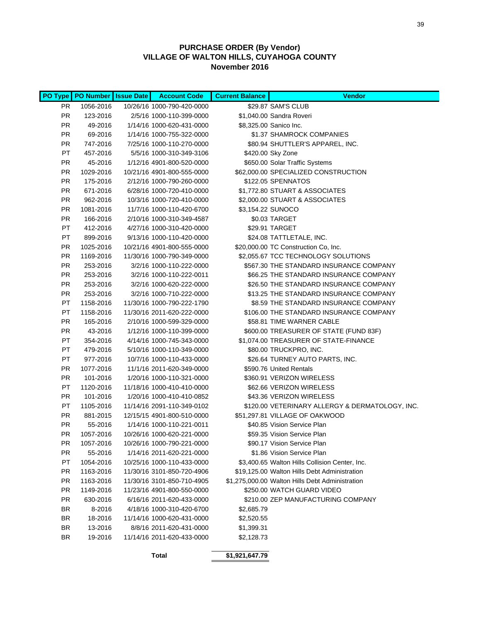|           | PO Type PO Number Issue Date | <b>Account Code</b>        | <b>Current Balance</b> | <b>Vendor</b>                                   |
|-----------|------------------------------|----------------------------|------------------------|-------------------------------------------------|
| PR.       | 1056-2016                    | 10/26/16 1000-790-420-0000 |                        | \$29.87 SAM'S CLUB                              |
| PR.       | 123-2016                     | 2/5/16 1000-110-399-0000   |                        | \$1,040.00 Sandra Roveri                        |
| PR.       | 49-2016                      | 1/14/16 1000-620-431-0000  |                        | \$8,325.00 Sanico Inc.                          |
| PR.       | 69-2016                      | 1/14/16 1000-755-322-0000  |                        | \$1.37 SHAMROCK COMPANIES                       |
| PR.       | 747-2016                     | 7/25/16 1000-110-270-0000  |                        | \$80.94 SHUTTLER'S APPAREL, INC.                |
| PT        | 457-2016                     | 5/5/16 1000-310-349-3106   |                        | \$420.00 Sky Zone                               |
| PR.       | 45-2016                      | 1/12/16 4901-800-520-0000  |                        | \$650.00 Solar Traffic Systems                  |
| PR.       | 1029-2016                    | 10/21/16 4901-800-555-0000 |                        | \$62,000.00 SPECIALIZED CONSTRUCTION            |
| PR.       | 175-2016                     | 2/12/16 1000-790-260-0000  |                        | \$122.05 SPENNATOS                              |
| <b>PR</b> | 671-2016                     | 6/28/16 1000-720-410-0000  |                        | \$1,772.80 STUART & ASSOCIATES                  |
| <b>PR</b> | 962-2016                     | 10/3/16 1000-720-410-0000  |                        | \$2,000.00 STUART & ASSOCIATES                  |
| <b>PR</b> | 1081-2016                    | 11/7/16 1000-110-420-6700  |                        | \$3,154.22 SUNOCO                               |
| <b>PR</b> | 166-2016                     | 2/10/16 1000-310-349-4587  |                        | \$0.03 TARGET                                   |
| PT        | 412-2016                     | 4/27/16 1000-310-420-0000  |                        | \$29.91 TARGET                                  |
| PT        | 899-2016                     | 9/13/16 1000-110-420-0000  |                        | \$24.08 TATTLETALE, INC.                        |
| PR.       | 1025-2016                    | 10/21/16 4901-800-555-0000 |                        | \$20,000.00 TC Construction Co, Inc.            |
| <b>PR</b> | 1169-2016                    | 11/30/16 1000-790-349-0000 |                        | \$2,055.67 TCC TECHNOLOGY SOLUTIONS             |
| <b>PR</b> | 253-2016                     | 3/2/16 1000-110-222-0000   |                        | \$567.30 THE STANDARD INSURANCE COMPANY         |
| <b>PR</b> | 253-2016                     | 3/2/16 1000-110-222-0011   |                        | \$66.25 THE STANDARD INSURANCE COMPANY          |
| <b>PR</b> | 253-2016                     | 3/2/16 1000-620-222-0000   |                        | \$26.50 THE STANDARD INSURANCE COMPANY          |
| <b>PR</b> | 253-2016                     | 3/2/16 1000-710-222-0000   |                        | \$13.25 THE STANDARD INSURANCE COMPANY          |
| PT        | 1158-2016                    | 11/30/16 1000-790-222-1790 |                        | \$8.59 THE STANDARD INSURANCE COMPANY           |
| PT        | 1158-2016                    | 11/30/16 2011-620-222-0000 |                        | \$106.00 THE STANDARD INSURANCE COMPANY         |
| PR.       | 165-2016                     | 2/10/16 1000-599-329-0000  |                        | \$58.81 TIME WARNER CABLE                       |
| PR.       | 43-2016                      | 1/12/16 1000-110-399-0000  |                        | \$600.00 TREASURER OF STATE (FUND 83F)          |
| PT        | 354-2016                     | 4/14/16 1000-745-343-0000  |                        | \$1,074.00 TREASURER OF STATE-FINANCE           |
| PT        | 479-2016                     | 5/10/16 1000-110-349-0000  |                        | \$80.00 TRUCKPRO, INC.                          |
| PT        | 977-2016                     | 10/7/16 1000-110-433-0000  |                        | \$26.64 TURNEY AUTO PARTS, INC.                 |
| PR.       | 1077-2016                    | 11/1/16 2011-620-349-0000  |                        | \$590.76 United Rentals                         |
| PR.       | 101-2016                     | 1/20/16 1000-110-321-0000  |                        | \$360.91 VERIZON WIRELESS                       |
| PT        | 1120-2016                    | 11/18/16 1000-410-410-0000 |                        | \$62.66 VERIZON WIRELESS                        |
| <b>PR</b> | 101-2016                     | 1/20/16 1000-410-410-0852  |                        | \$43.36 VERIZON WIRELESS                        |
| PT        | 1105-2016                    | 11/14/16 2091-110-349-0102 |                        | \$120.00 VETERINARY ALLERGY & DERMATOLOGY, INC. |
| PR        | 881-2015                     | 12/15/15 4901-800-510-0000 |                        | \$51,297.81 VILLAGE OF OAKWOOD                  |
| PR        | 55-2016                      | 1/14/16 1000-110-221-0011  |                        | \$40.85 Vision Service Plan                     |
| PR        | 1057-2016                    | 10/26/16 1000-620-221-0000 |                        | \$59.35 Vision Service Plan                     |
| <b>PR</b> | 1057-2016                    | 10/26/16 1000-790-221-0000 |                        | \$90.17 Vision Service Plan                     |
| PR.       | 55-2016                      | 1/14/16 2011-620-221-0000  |                        | \$1.86 Vision Service Plan                      |
| PT        | 1054-2016                    | 10/25/16 1000-110-433-0000 |                        | \$3,400.65 Walton Hills Collision Center, Inc.  |
| PR        | 1163-2016                    | 11/30/16 3101-850-720-4906 |                        | \$19,125.00 Walton Hills Debt Administration    |
| <b>PR</b> | 1163-2016                    | 11/30/16 3101-850-710-4905 |                        | \$1,275,000.00 Walton Hills Debt Administration |
| <b>PR</b> | 1149-2016                    | 11/23/16 4901-800-550-0000 |                        | \$250.00 WATCH GUARD VIDEO                      |
| <b>PR</b> | 630-2016                     | 6/16/16 2011-620-433-0000  |                        | \$210.00 ZEP MANUFACTURING COMPANY              |
| <b>BR</b> | 8-2016                       | 4/18/16 1000-310-420-6700  | \$2,685.79             |                                                 |
| <b>BR</b> | 18-2016                      | 11/14/16 1000-620-431-0000 | \$2,520.55             |                                                 |
| BR        | 13-2016                      | 8/8/16 2011-620-431-0000   | \$1,399.31             |                                                 |
| BR        | 19-2016                      | 11/14/16 2011-620-433-0000 | \$2,128.73             |                                                 |
|           |                              | <b>Total</b>               | \$1,921,647.79         |                                                 |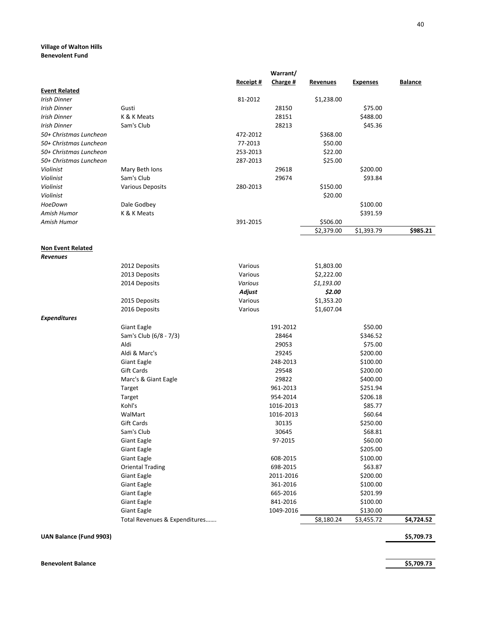#### **Village of Walton Hills Benevolent Fund**

|                                             |                               |           | Warrant/  |                 |                 |            |
|---------------------------------------------|-------------------------------|-----------|-----------|-----------------|-----------------|------------|
| <b>Event Related</b>                        |                               | Receipt # | Charge #  | <b>Revenues</b> | <b>Expenses</b> | Balance    |
| Irish Dinner                                |                               | 81-2012   |           | \$1,238.00      |                 |            |
| Irish Dinner                                | Gusti                         |           | 28150     |                 | \$75.00         |            |
| <b>Irish Dinner</b>                         | K & K Meats                   |           | 28151     |                 | \$488.00        |            |
| <b>Irish Dinner</b>                         | Sam's Club                    |           | 28213     |                 | \$45.36         |            |
| 50+ Christmas Luncheon                      |                               | 472-2012  |           | \$368.00        |                 |            |
| 50+ Christmas Luncheon                      |                               | 77-2013   |           | \$50.00         |                 |            |
| 50+ Christmas Luncheon                      |                               | 253-2013  |           | \$22.00         |                 |            |
| 50+ Christmas Luncheon                      |                               | 287-2013  |           | \$25.00         |                 |            |
| Violinist                                   | Mary Beth Ions                |           | 29618     |                 | \$200.00        |            |
| Violinist                                   | Sam's Club                    |           | 29674     |                 | \$93.84         |            |
| Violinist                                   | <b>Various Deposits</b>       | 280-2013  |           | \$150.00        |                 |            |
| Violinist                                   |                               |           |           | \$20.00         |                 |            |
| HoeDown                                     | Dale Godbey                   |           |           |                 | \$100.00        |            |
| Amish Humor                                 | K & K Meats                   |           |           |                 | \$391.59        |            |
| Amish Humor                                 |                               | 391-2015  |           | \$506.00        |                 |            |
|                                             |                               |           |           | \$2,379.00      | \$1,393.79      | \$985.21   |
|                                             |                               |           |           |                 |                 |            |
| <b>Non Event Related</b><br><b>Revenues</b> |                               |           |           |                 |                 |            |
|                                             | 2012 Deposits                 | Various   |           | \$1,803.00      |                 |            |
|                                             | 2013 Deposits                 | Various   |           | \$2,222.00      |                 |            |
|                                             | 2014 Deposits                 | Various   |           | \$1,193.00      |                 |            |
|                                             |                               | Adjust    |           | \$2.00          |                 |            |
|                                             | 2015 Deposits                 | Various   |           | \$1,353.20      |                 |            |
|                                             | 2016 Deposits                 | Various   |           | \$1,607.04      |                 |            |
| <b>Expenditures</b>                         |                               |           |           |                 |                 |            |
|                                             | Giant Eagle                   |           | 191-2012  |                 | \$50.00         |            |
|                                             | Sam's Club (6/8 - 7/3)        |           | 28464     |                 | \$346.52        |            |
|                                             | Aldi                          |           | 29053     |                 | \$75.00         |            |
|                                             | Aldi & Marc's                 |           | 29245     |                 | \$200.00        |            |
|                                             | Giant Eagle                   |           | 248-2013  |                 | \$100.00        |            |
|                                             | Gift Cards                    |           | 29548     |                 | \$200.00        |            |
|                                             | Marc's & Giant Eagle          |           | 29822     |                 | \$400.00        |            |
|                                             | Target                        |           | 961-2013  |                 | \$251.94        |            |
|                                             | Target                        |           | 954-2014  |                 | \$206.18        |            |
|                                             | Kohl's                        |           | 1016-2013 |                 | \$85.77         |            |
|                                             | WalMart                       |           | 1016-2013 |                 | \$60.64         |            |
|                                             | Gift Cards                    |           | 30135     |                 | \$250.00        |            |
|                                             | Sam's Club                    |           | 30645     |                 | \$68.81         |            |
|                                             | Giant Eagle                   |           | 97-2015   |                 | \$60.00         |            |
|                                             | Giant Eagle                   |           |           |                 | \$205.00        |            |
|                                             | <b>Giant Eagle</b>            |           | 608-2015  |                 | \$100.00        |            |
|                                             | <b>Oriental Trading</b>       |           | 698-2015  |                 | \$63.87         |            |
|                                             | Giant Eagle                   |           | 2011-2016 |                 | \$200.00        |            |
|                                             | Giant Eagle                   |           | 361-2016  |                 | \$100.00        |            |
|                                             | Giant Eagle                   |           | 665-2016  |                 | \$201.99        |            |
|                                             | Giant Eagle                   |           | 841-2016  |                 | \$100.00        |            |
|                                             | Giant Eagle                   |           | 1049-2016 |                 | \$130.00        |            |
|                                             | Total Revenues & Expenditures |           |           | \$8,180.24      | \$3,455.72      | \$4,724.52 |

**UAN Balance (Fund 9903) \$5,709.73**

40

**Benevolent Balance \$5,709.73**